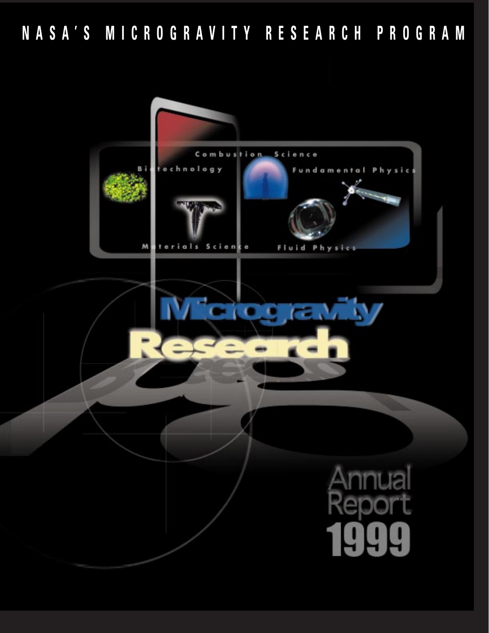**NASA'S MICROGRAVITY RESEARCH PROGRAM**

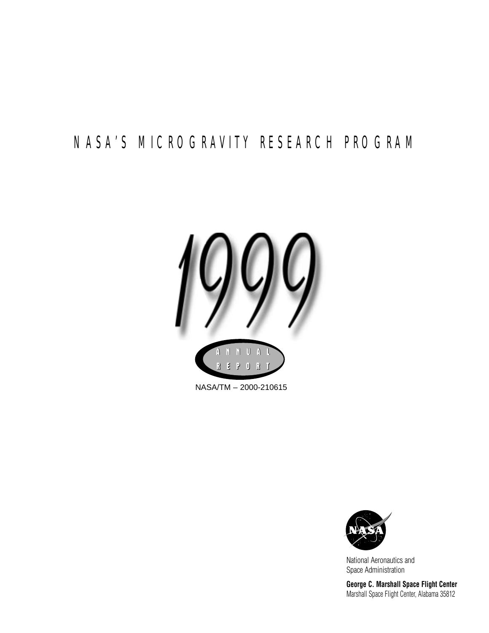# NASA'S MICROGRAVITY RESEARCH PROGRAM



NASA/TM – 2000-210615



National Aeronautics and Space Administration

**George C. Marshall Space Flight Center** Marshall Space Flight Center, Alabama 35812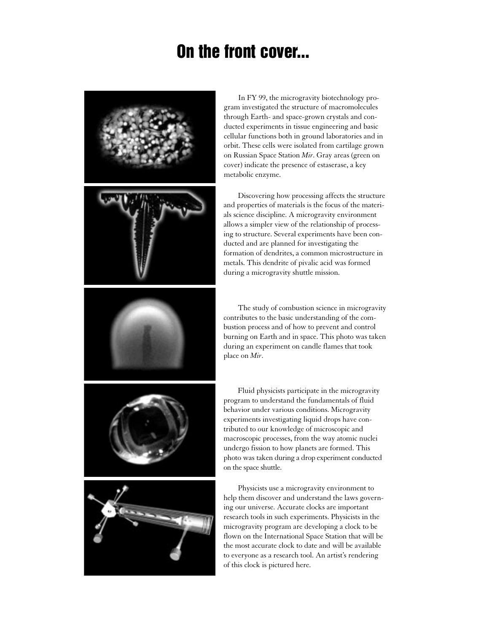# **On the front cover...**



In FY 99, the microgravity biotechnology program investigated the structure of macromolecules through Earth- and space-grown crystals and conducted experiments in tissue engineering and basic cellular functions both in ground laboratories and in orbit. These cells were isolated from cartilage grown on Russian Space Station *Mir*. Gray areas (green on cover) indicate the presence of estaserase, a key metabolic enzyme.

Discovering how processing affects the structure and properties of materials is the focus of the materials science discipline. A microgravity environment allows a simpler view of the relationship of processing to structure. Several experiments have been conducted and are planned for investigating the formation of dendrites, a common microstructure in metals. This dendrite of pivalic acid was formed during a microgravity shuttle mission.

The study of combustion science in microgravity contributes to the basic understanding of the combustion process and of how to prevent and control burning on Earth and in space. This photo was taken during an experiment on candle flames that took place on *Mir*.

Fluid physicists participate in the microgravity program to understand the fundamentals of fluid behavior under various conditions. Microgravity experiments investigating liquid drops have contributed to our knowledge of microscopic and macroscopic processes, from the way atomic nuclei undergo fission to how planets are formed. This photo was taken during a drop experiment conducted on the space shuttle.

Physicists use a microgravity environment to help them discover and understand the laws governing our universe. Accurate clocks are important research tools in such experiments. Physicists in the microgravity program are developing a clock to be flown on the International Space Station that will be the most accurate clock to date and will be available to everyone as a research tool. An artist's rendering of this clock is pictured here.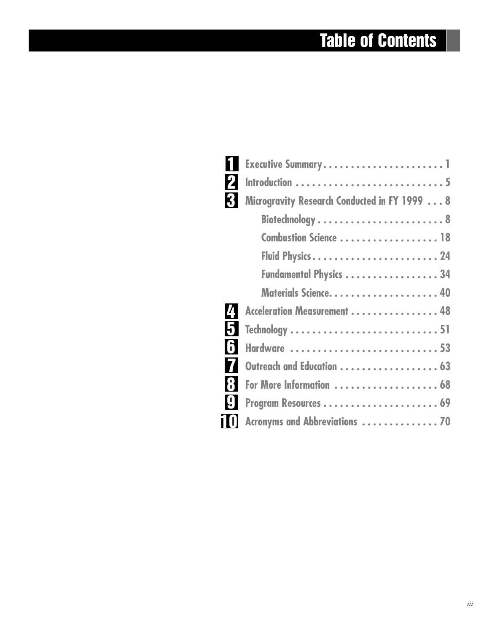# **Table of Contents**

г

| $\mathbf 2$                                       |                                              |
|---------------------------------------------------|----------------------------------------------|
| 3                                                 | Microgravity Research Conducted in FY 1999 8 |
|                                                   |                                              |
|                                                   | Combustion Science 18                        |
|                                                   |                                              |
|                                                   | Fundamental Physics 34                       |
|                                                   |                                              |
| 4                                                 | Acceleration Measurement 48                  |
| 51                                                |                                              |
| 6                                                 | Hardware 53                                  |
| 74                                                | Outreach and Education  63                   |
| <b>8</b>                                          | For More Information  68                     |
| $\left[\begin{matrix} 0 \\ 1 \end{matrix}\right]$ |                                              |
|                                                   | Acronyms and Abbreviations  70               |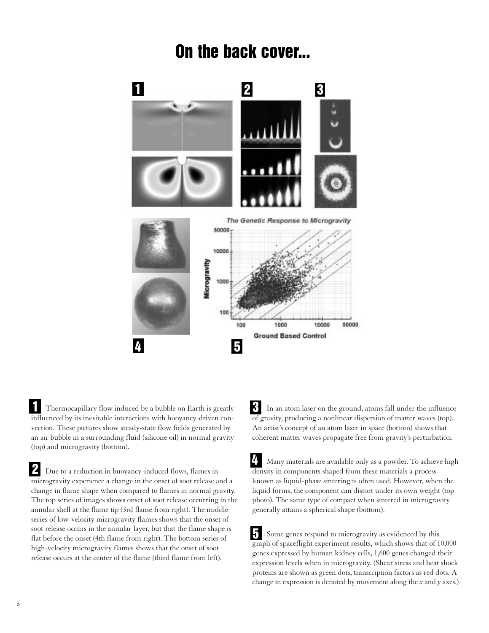# **On the back cover...**



Thermocapillary flow induced by a bubble on Earth is greatly influenced by its inevitable interactions with buoyancy-driven convection. These pictures show steady-state flow fields generated by an air bubble in a surrounding fluid (silicone oil) in normal gravity (top) and microgravity (bottom). **1**

Due to a reduction in buoyancy-induced flows, flames in microgravity experience a change in the onset of soot release and a change in flame shape when compared to flames in normal gravity. The top series of images shows onset of soot release occurring in the annular shell at the flame tip (3rd flame from right). The middle series of low-velocity microgravity flames shows that the onset of soot release occurs in the annular layer, but that the flame shape is flat before the onset (4th flame from right). The bottom series of high-velocity microgravity flames shows that the onset of soot release occurs at the center of the flame (third flame from left). **2**

In an atom laser on the ground, atoms fall under the influence of gravity, producing a nonlinear dispersion of matter waves (top). An artist's concept of an atom laser in space (bottom) shows that coherent matter waves propagate free from gravity's perturbation. **3**

Many materials are available only as a powder. To achieve high density in components shaped from these materials a process known as liquid-phase sintering is often used. However, when the liquid forms, the component can distort under its own weight (top photo). The same type of compact when sintered in microgravity generally attains a spherical shape (bottom). **4**

Some genes respond to microgravity as evidenced by this graph of spaceflight experiment results, which shows that of 10,000 genes expressed by human kidney cells, 1,600 genes changed their expression levels when in microgravity. (Shear stress and heat shock proteins are shown as green dots, transcription factors as red dots. A change in expression is denoted by movement along the *x* and *y* axes.) **5**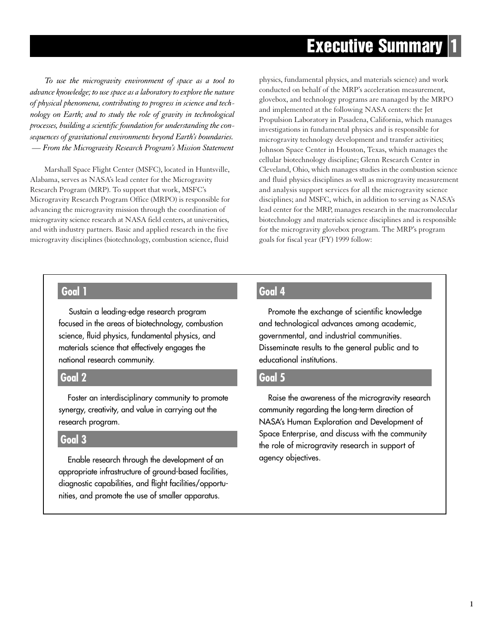# **Executive Summary 1**

*To use the microgravity environment of space as a tool to advance knowledge; to use space as a laboratory to explore the nature of physical phenomena, contributing to progress in science and technology on Earth; and to study the role of gravity in technological processes, building a scientific foundation for understanding the consequences of gravitational environments beyond Earth's boundaries. — From the Microgravity Research Program's Mission Statement*

Marshall Space Flight Center (MSFC), located in Huntsville, Alabama, serves as NASA's lead center for the Microgravity Research Program (MRP). To support that work, MSFC's Microgravity Research Program Office (MRPO) is responsible for advancing the microgravity mission through the coordination of microgravity science research at NASA field centers, at universities, and with industry partners. Basic and applied research in the five microgravity disciplines (biotechnology, combustion science, fluid

physics, fundamental physics, and materials science) and work conducted on behalf of the MRP's acceleration measurement, glovebox, and technology programs are managed by the MRPO and implemented at the following NASA centers: the Jet Propulsion Laboratory in Pasadena, California, which manages investigations in fundamental physics and is responsible for microgravity technology development and transfer activities; Johnson Space Center in Houston, Texas, which manages the cellular biotechnology discipline; Glenn Research Center in Cleveland, Ohio, which manages studies in the combustion science and fluid physics disciplines as well as microgravity measurement and analysis support services for all the microgravity science disciplines; and MSFC, which, in addition to serving as NASA's lead center for the MRP, manages research in the macromolecular biotechnology and materials science disciplines and is responsible for the microgravity glovebox program. The MRP's program goals for fiscal year (FY) 1999 follow:

## **Goal 1**

Sustain a leading-edge research program focused in the areas of biotechnology, combustion science, fluid physics, fundamental physics, and materials science that effectively engages the national research community.

## **Goal 2**

Foster an interdisciplinary community to promote synergy, creativity, and value in carrying out the research program.

## **Goal 3**

Enable research through the development of an appropriate infrastructure of ground-based facilities, diagnostic capabilities, and flight facilities/opportunities, and promote the use of smaller apparatus.

## **Goal 4**

Promote the exchange of scientific knowledge and technological advances among academic, governmental, and industrial communities. Disseminate results to the general public and to educational institutions.

## **Goal 5**

Raise the awareness of the microgravity research community regarding the long-term direction of NASA's Human Exploration and Development of Space Enterprise, and discuss with the community the role of microgravity research in support of agency objectives.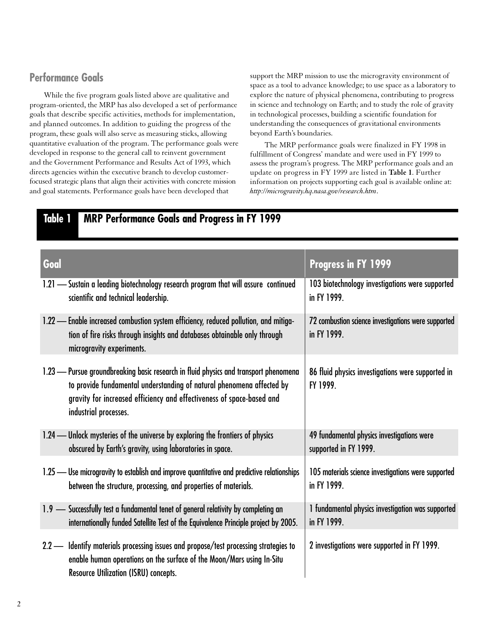## **Performance Goals**

While the five program goals listed above are qualitative and program-oriented, the MRP has also developed a set of performance goals that describe specific activities, methods for implementation, and planned outcomes. In addition to guiding the progress of the program, these goals will also serve as measuring sticks, allowing quantitative evaluation of the program. The performance goals were developed in response to the general call to reinvent government and the Government Performance and Results Act of 1993, which directs agencies within the executive branch to develop customerfocused strategic plans that align their activities with concrete mission and goal statements. Performance goals have been developed that

support the MRP mission to use the microgravity environment of space as a tool to advance knowledge; to use space as a laboratory to explore the nature of physical phenomena, contributing to progress in science and technology on Earth; and to study the role of gravity in technological processes, building a scientific foundation for understanding the consequences of gravitational environments beyond Earth's boundaries.

The MRP performance goals were finalized in FY 1998 in fulfillment of Congress' mandate and were used in FY 1999 to assess the program's progress. The MRP performance goals and an update on progress in FY 1999 are listed in **Table 1**. Further information on projects supporting each goal is available online at: *http://microgravity.hq.nasa.gov/research.htm*.

## **Table 1 MRP Performance Goals and Progress in FY 1999**

| Goal                                                                                                                                                                                                                                                            | Progress in FY 1999                                                |
|-----------------------------------------------------------------------------------------------------------------------------------------------------------------------------------------------------------------------------------------------------------------|--------------------------------------------------------------------|
| 1.21 - Sustain a leading biotechnology research program that will assure continued                                                                                                                                                                              | 103 biotechnology investigations were supported                    |
| scientific and technical leadership.                                                                                                                                                                                                                            | in FY 1999.                                                        |
| 1.22 - Enable increased combustion system efficiency, reduced pollution, and mitiga-<br>tion of fire risks through insights and databases obtainable only through<br>microgravity experiments.                                                                  | 72 combustion science investigations were supported<br>in FY 1999. |
| 1.23 - Pursue groundbreaking basic research in fluid physics and transport phenomena<br>to provide fundamental understanding of natural phenomena affected by<br>gravity for increased efficiency and effectiveness of space-based and<br>industrial processes. | 86 fluid physics investigations were supported in<br>FY 1999.      |
| 1.24 — Unlock mysteries of the universe by exploring the frontiers of physics                                                                                                                                                                                   | 49 fundamental physics investigations were                         |
| obscured by Earth's gravity, using laboratories in space.                                                                                                                                                                                                       | supported in FY 1999.                                              |
| 1.25 — Use microgravity to establish and improve quantitative and predictive relationships                                                                                                                                                                      | 105 materials science investigations were supported                |
| between the structure, processing, and properties of materials.                                                                                                                                                                                                 | in FY 1999.                                                        |
| 1.9 - Successfully test a fundamental tenet of general relativity by completing an                                                                                                                                                                              | 1 fundamental physics investigation was supported                  |
| internationally funded Satellite Test of the Equivalence Principle project by 2005.                                                                                                                                                                             | in FY 1999.                                                        |
| 2.2 - Identify materials processing issues and propose/test processing strategies to<br>enable human operations on the surface of the Moon/Mars using In-Situ<br><b>Resource Utilization (ISRU) concepts.</b>                                                   | 2 investigations were supported in FY 1999.                        |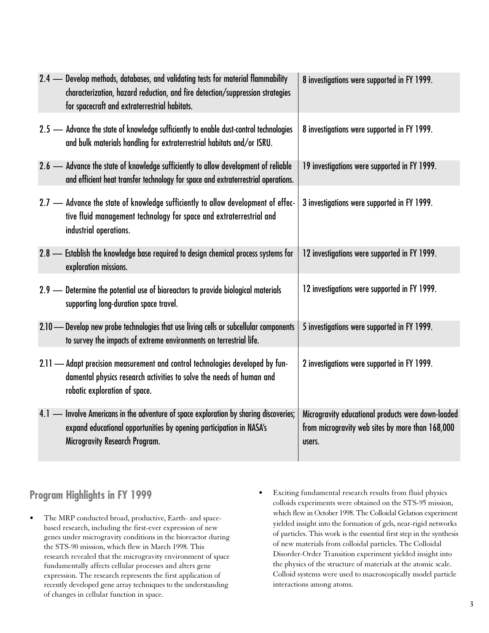| 2.4 - Develop methods, databases, and validating tests for material flammability<br>characterization, hazard reduction, and fire detection/suppression strategies<br>for spacecraft and extraterrestrial habitats. | 8 investigations were supported in FY 1999.                                                                      |
|--------------------------------------------------------------------------------------------------------------------------------------------------------------------------------------------------------------------|------------------------------------------------------------------------------------------------------------------|
| 2.5 - Advance the state of knowledge sufficiently to enable dust-control technologies<br>and bulk materials handling for extraterrestrial habitats and/or ISRU.                                                    | 8 investigations were supported in FY 1999.                                                                      |
| 2.6 - Advance the state of knowledge sufficiently to allow development of reliable<br>and efficient heat transfer technology for space and extraterrestrial operations.                                            | 19 investigations were supported in FY 1999.                                                                     |
| 2.7 - Advance the state of knowledge sufficiently to allow development of effec-<br>tive fluid management technology for space and extraterrestrial and<br>industrial operations.                                  | 3 investigations were supported in FY 1999.                                                                      |
| 2.8 - Establish the knowledge base required to design chemical process systems for<br>exploration missions.                                                                                                        | 12 investigations were supported in FY 1999.                                                                     |
| 2.9 - Determine the potential use of bioreactors to provide biological materials<br>supporting long-duration space travel.                                                                                         | 12 investigations were supported in FY 1999.                                                                     |
| 2.10 - Develop new probe technologies that use living cells or subcellular components<br>to survey the impacts of extreme environments on terrestrial life.                                                        | 5 investigations were supported in FY 1999.                                                                      |
| 2.11 - Adapt precision measurement and control technologies developed by fun-<br>damental physics research activities to solve the needs of human and<br>robotic exploration of space.                             | 2 investigations were supported in FY 1999.                                                                      |
| 4.1 - Involve Americans in the adventure of space exploration by sharing discoveries;<br>expand educational opportunities by opening participation in NASA's<br>Microgravity Research Program.                     | Microgravity educational products were down-loaded<br>from microgravity web sites by more than 168,000<br>users. |

## **Program Highlights in FY 1999**

- The MRP conducted broad, productive, Earth- and spacebased research, including the first-ever expression of new genes under microgravity conditions in the bioreactor during the STS-90 mission, which flew in March 1998. This research revealed that the microgravity environment of space fundamentally affects cellular processes and alters gene expression. The research represents the first application of recently developed gene array techniques to the understanding of changes in cellular function in space.
- Exciting fundamental research results from fluid physics colloids experiments were obtained on the STS-95 mission, which flew in October 1998. The Colloidal Gelation experiment yielded insight into the formation of gels, near-rigid networks of particles. This work is the essential first step in the synthesis of new materials from colloidal particles. The Colloidal Disorder-Order Transition experiment yielded insight into the physics of the structure of materials at the atomic scale. Colloid systems were used to macroscopically model particle interactions among atoms.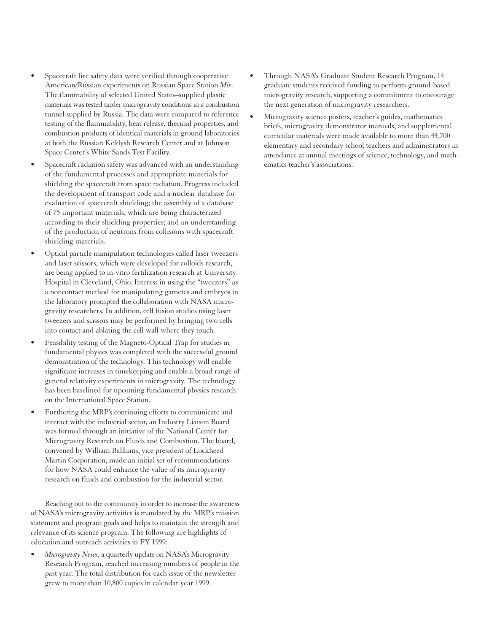- Spacecraft fire safety data were verified through cooperative American/Russian experiments on Russian Space Station *Mir*. The flammability of selected United States–supplied plastic materials was tested under microgravity conditions in a combustion tunnel supplied by Russia. The data were compared to reference testing of the flammability, heat release, thermal properties, and combustion products of identical materials in ground laboratories at both the Russian Keldysh Research Center and at Johnson Space Center's White Sands Test Facility.
- Spacecraft radiation safety was advanced with an understanding of the fundamental processes and appropriate materials for shielding the spacecraft from space radiation. Progress included the development of transport code and a nuclear database for evaluation of spacecraft shielding; the assembly of a database of 75 important materials, which are being characterized according to their shielding properties; and an understanding of the production of neutrons from collisions with spacecraft shielding materials.
- Optical particle manipulation technologies called laser tweezers and laser scissors, which were developed for colloids research, are being applied to in-vitro fertilization research at University Hospital in Cleveland, Ohio. Interest in using the "tweezers" as a noncontact method for manipulating gametes and embryos in the laboratory prompted the collaboration with NASA microgravity researchers. In addition, cell fusion studies using laser tweezers and scissors may be performed by bringing two cells into contact and ablating the cell wall where they touch.
- Feasibility testing of the Magneto-Optical Trap for studies in fundamental physics was completed with the successful ground demonstration of the technology. This technology will enable significant increases in timekeeping and enable a broad range of general relativity experiments in microgravity. The technology has been baselined for upcoming fundamental physics research on the International Space Station.
- Furthering the MRP's continuing efforts to communicate and interact with the industrial sector, an Industry Liaison Board was formed through an initiative of the National Center for Microgravity Research on Fluids and Combustion. The board, convened by William Ballhaus, vice president of Lockheed Martin Corporation, made an initial set of recommendations for how NASA could enhance the value of its microgravity research on fluids and combustion for the industrial sector.

Reaching out to the community in order to increase the awareness of NASA's microgravity activities is mandated by the MRP's mission statement and program goals and helps to maintain the strength and relevance of its science program. The following are highlights of education and outreach activities in FY 1999:

• *Microgravity News*, a quarterly update on NASA's Microgravity Research Program, reached increasing numbers of people in the past year. The total distribution for each issue of the newsletter grew to more than 10,800 copies in calendar year 1999.

- Through NASA's Graduate Student Research Program, 14 graduate students received funding to perform ground-based microgravity research, supporting a commitment to encourage the next generation of microgravity researchers.
- Microgravity science posters, teacher's guides, mathematics briefs, microgravity demonstrator manuals, and supplemental curricular materials were made available to more than 44,700 elementary and secondary school teachers and administrators in attendance at annual meetings of science, technology, and mathematics teacher's associations.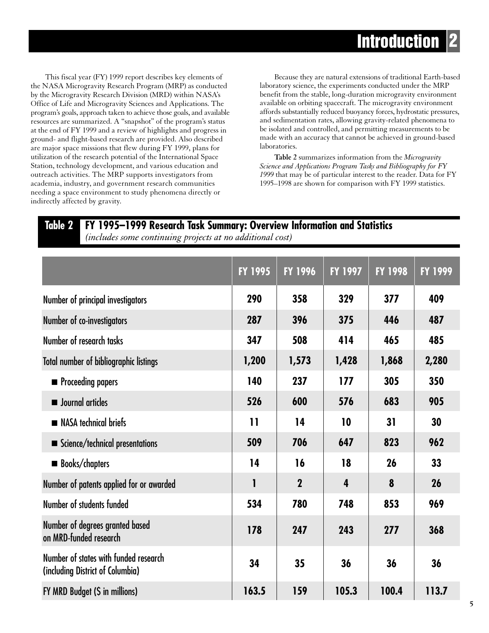This fiscal year (FY) 1999 report describes key elements of the NASA Microgravity Research Program (MRP) as conducted by the Microgravity Research Division (MRD) within NASA's Office of Life and Microgravity Sciences and Applications. The program's goals, approach taken to achieve those goals, and available resources are summarized. A "snapshot" of the program's status at the end of FY 1999 and a review of highlights and progress in ground- and flight-based research are provided. Also described are major space missions that flew during FY 1999, plans for utilization of the research potential of the International Space Station, technology development, and various education and outreach activities. The MRP supports investigators from academia, industry, and government research communities needing a space environment to study phenomena directly or indirectly affected by gravity.

Because they are natural extensions of traditional Earth-based laboratory science, the experiments conducted under the MRP benefit from the stable, long-duration microgravity environment available on orbiting spacecraft. The microgravity environment affords substantially reduced buoyancy forces, hydrostatic pressures, and sedimentation rates, allowing gravity-related phenomena to be isolated and controlled, and permitting measurements to be made with an accuracy that cannot be achieved in ground-based laboratories.

**Table 2** summarizes information from the *Microgravity Science and Applications Program Tasks and Bibliography for FY 1999* that may be of particular interest to the reader. Data for FY 1995–1998 are shown for comparison with FY 1999 statistics.

## **Table 2 FY 1995–1999 Research Task Summary: Overview Information and Statistics**

*(includes some continuing projects at no additional cost)*

|                                                                           | <b>FY 1995</b> | <b>FY 1996</b> | <b>FY 1997</b> | <b>FY 1998</b> | <b>FY 1999</b> |
|---------------------------------------------------------------------------|----------------|----------------|----------------|----------------|----------------|
| Number of principal investigators                                         | 290            | 358            | 329            | 377            | 409            |
| Number of co-investigators                                                | 287            | 396            | 375            | 446            | 487            |
| Number of research tasks                                                  | 347            | 508            | 414            | 465            | 485            |
| <b>Total number of bibliographic listings</b>                             | 1,200          | 1,573          | 1,428          | 1,868          | 2,280          |
| • Proceeding papers                                                       | 140            | 237            | 177            | 305            | 350            |
| <b>Journal articles</b>                                                   | 526            | 600            | 576            | 683            | 905            |
| NASA technical briefs                                                     | $\mathbf{11}$  | 14             | 10             | 31             | 30             |
| Science/technical presentations                                           | 509            | 706            | 647            | 823            | 962            |
| <b>Books/chapters</b><br>п                                                | 14             | 16             | 18             | 26             | 33             |
| Number of patents applied for or awarded                                  | 1              | $\mathbf 2$    | 4              | 8              | 26             |
| Number of students funded                                                 | 534            | 780            | 748            | 853            | 969            |
| Number of degrees granted based<br>on MRD-funded research                 | 178            | 247            | 243            | 277            | 368            |
| Number of states with funded research<br>(including District of Columbia) | 34             | 35             | 36             | 36             | 36             |
| FY MRD Budget (\$ in millions)                                            | 163.5          | 159            | 105.3          | 100.4          | 113.7          |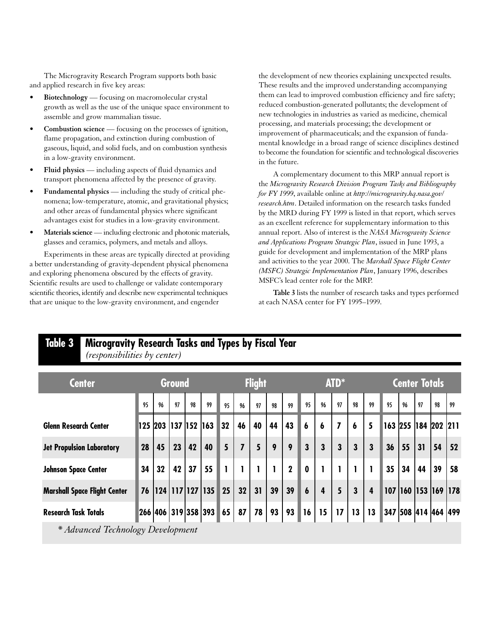The Microgravity Research Program supports both basic and applied research in five key areas:

- **Biotechnology** focusing on macromolecular crystal growth as well as the use of the unique space environment to assemble and grow mammalian tissue.
- **Combustion science** focusing on the processes of ignition, flame propagation, and extinction during combustion of gaseous, liquid, and solid fuels, and on combustion synthesis in a low-gravity environment.
- **Fluid physics** including aspects of fluid dynamics and transport phenomena affected by the presence of gravity.
- **Fundamental physics** including the study of critical phenomena; low-temperature, atomic, and gravitational physics; and other areas of fundamental physics where significant advantages exist for studies in a low-gravity environment.
- Materials science including electronic and photonic materials, glasses and ceramics, polymers, and metals and alloys.

Experiments in these areas are typically directed at providing a better understanding of gravity-dependent physical phenomena and exploring phenomena obscured by the effects of gravity. Scientific results are used to challenge or validate contemporary scientific theories, identify and describe new experimental techniques that are unique to the low-gravity environment, and engender

the development of new theories explaining unexpected results. These results and the improved understanding accompanying them can lead to improved combustion efficiency and fire safety; reduced combustion-generated pollutants; the development of new technologies in industries as varied as medicine, chemical processing, and materials processing; the development or improvement of pharmaceuticals; and the expansion of fundamental knowledge in a broad range of science disciplines destined to become the foundation for scientific and technological discoveries in the future.

A complementary document to this MRP annual report is the *Microgravity Research Division Program Tasks and Bibliography for FY 1999*, available online at *http://microgravity.hq.nasa.gov/ research.htm*. Detailed information on the research tasks funded by the MRD during FY 1999 is listed in that report, which serves as an excellent reference for supplementary information to this annual report. Also of interest is the *NASA Microgravity Science and Applications Program Strategic Plan*, issued in June 1993, a guide for development and implementation of the MRP plans and activities to the year 2000. The *Marshall Space Flight Center (MSFC) Strategic Implementation Plan*, January 1996, describes MSFC's lead center role for the MRP.

**Table 3** lists the number of research tasks and types performed at each NASA center for FY 1995–1999.

| <b>Center</b>                       |    |                 | <b>Ground</b> |    | <b>Flight</b>              |    |                |    |    | ATD*        |                  |                         |                |                  | <b>Center Totals</b>    |     |                         |    |    |    |
|-------------------------------------|----|-----------------|---------------|----|----------------------------|----|----------------|----|----|-------------|------------------|-------------------------|----------------|------------------|-------------------------|-----|-------------------------|----|----|----|
|                                     |    | 96              | 97            | 98 | 99                         | 95 | 96             | 97 | 98 | 99          | 95               | 96                      | 97             | 98               | 99                      | 95  | 96                      | 97 | 98 | 99 |
| <b>Glenn Research Center</b>        |    | 125 203         | 137   152     |    | 163                        | 32 | 46             | 40 | 44 | 43          | $\boldsymbol{6}$ | 6                       | $\overline{I}$ | $\boldsymbol{6}$ | 5                       |     | 163 255 184 202 211     |    |    |    |
| <b>Jet Propulsion Laboratory</b>    | 28 | 45              | 23            | 42 | 40                         | 5  | $\overline{I}$ | 5  | 9  | 9           | 3                | 3                       | 3              | 3                | $\overline{\mathbf{3}}$ | 36  | 55                      | 31 | 54 | 52 |
| <b>Johnson Space Center</b>         | 34 | 32              | 42            | 37 | 55                         |    |                |    |    | $\mathbf 2$ | $\mathbf 0$      |                         |                |                  |                         | 35  | 34                      | 44 | 39 | 58 |
| <b>Marshall Space Flight Center</b> | 76 | 124 117 127 135 |               |    |                            | 25 | 32             | 31 | 39 | 39          | $\boldsymbol{6}$ | $\overline{\mathbf{4}}$ | 5              | 3                | $\overline{4}$          | 107 | 160  153  169  178      |    |    |    |
| <b>Research Task Totals</b>         |    |                 |               |    | 266  406   319   358   393 | 65 | 87             | 78 | 93 | 93          | 16               | 15                      | 17             | 13               | 13                      |     | 347  508  414  464  499 |    |    |    |

## **Table 3 Microgravity Research Tasks and Types by Fiscal Year** *(responsibilities by center)*

*\* Advanced Technology Development*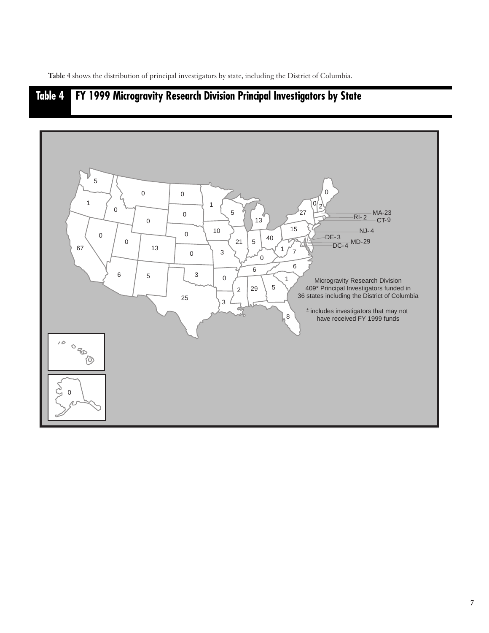**Table 4** shows the distribution of principal investigators by state, including the District of Columbia.

## **Table 4 FY 1999 Microgravity Research Division Principal Investigators by State**

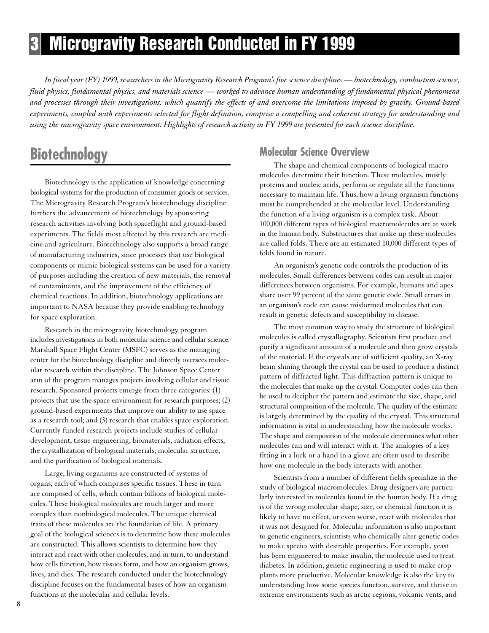# **3 Microgravity Research Conducted in FY 1999**

*In fiscal year (FY) 1999, researchers in the Microgravity Research Program's five science disciplines — biotechnology, combustion science, fluid physics, fundamental physics, and materials science — worked to advance human understanding of fundamental physical phenomena and processes through their investigations, which quantify the effects of and overcome the limitations imposed by gravity. Ground-based experiments, coupled with experiments selected for flight definition, comprise a compelling and coherent strategy for understanding and using the microgravity space environment. Highlights of research activity in FY 1999 are presented for each science discipline.*

# **Biotechnology**

Biotechnology is the application of knowledge concerning biological systems for the production of consumer goods or services. The Microgravity Research Program's biotechnology discipline furthers the advancement of biotechnology by sponsoring research activities involving both spaceflight and ground-based experiments. The fields most affected by this research are medicine and agriculture. Biotechnology also supports a broad range of manufacturing industries, since processes that use biological components or mimic biological systems can be used for a variety of purposes including the creation of new materials, the removal of contaminants, and the improvement of the efficiency of chemical reactions. In addition, biotechnology applications are important to NASA because they provide enabling technology for space exploration.

Research in the microgravity biotechnology program includes investigations in both molecular science and cellular science. Marshall Space Flight Center (MSFC) serves as the managing center for the biotechnology discipline and directly oversees molecular research within the discipline. The Johnson Space Center arm of the program manages projects involving cellular and tissue research. Sponsored projects emerge from three categories: (1) projects that use the space environment for research purposes; (2) ground-based experiments that improve our ability to use space as a research tool; and (3) research that enables space exploration. Currently funded research projects include studies of cellular development, tissue engineering, biomaterials, radiation effects, the crystallization of biological materials, molecular structure, and the purification of biological materials.

Large, living organisms are constructed of systems of organs, each of which comprises specific tissues. These in turn are composed of cells, which contain billions of biological molecules. These biological molecules are much larger and more complex than nonbiological molecules. The unique chemical traits of these molecules are the foundation of life. A primary goal of the biological sciences is to determine how these molecules are constructed. This allows scientists to determine how they interact and react with other molecules, and in turn, to understand how cells function, how tissues form, and how an organism grows, lives, and dies. The research conducted under the biotechnology discipline focuses on the fundamental bases of how an organism functions at the molecular and cellular levels.

## **Molecular Science Overview**

The shape and chemical components of biological macromolecules determine their function. These molecules, mostly proteins and nucleic acids, perform or regulate all the functions necessary to maintain life. Thus, how a living organism functions must be comprehended at the molecular level. Understanding the function of a living organism is a complex task. About 100,000 different types of biological macromolecules are at work in the human body. Substructures that make up these molecules are called folds. There are an estimated 10,000 different types of folds found in nature.

An organism's genetic code controls the production of its molecules. Small differences between codes can result in major differences between organisms. For example, humans and apes share over 99 percent of the same genetic code. Small errors in an organism's code can cause misformed molecules that can result in genetic defects and susceptibility to disease.

The most common way to study the structure of biological molecules is called crystallography. Scientists first produce and purify a significant amount of a molecule and then grow crystals of the material. If the crystals are of sufficient quality, an X-ray beam shining through the crystal can be used to produce a distinct pattern of diffracted light. This diffraction pattern is unique to the molecules that make up the crystal. Computer codes can then be used to decipher the pattern and estimate the size, shape, and structural composition of the molecule. The quality of the estimate is largely determined by the quality of the crystal. This structural information is vital in understanding how the molecule works. The shape and composition of the molecule determines what other molecules can and will interact with it. The analogies of a key fitting in a lock or a hand in a glove are often used to describe how one molecule in the body interacts with another.

Scientists from a number of different fields specialize in the study of biological macromolecules. Drug designers are particularly interested in molecules found in the human body. If a drug is of the wrong molecular shape, size, or chemical function it is likely to have no effect, or even worse, react with molecules that it was not designed for. Molecular information is also important to genetic engineers, scientists who chemically alter genetic codes to make species with desirable properties. For example, yeast has been engineered to make insulin, the molecule used to treat diabetes. In addition, genetic engineering is used to make crop plants more productive. Molecular knowledge is also the key to understanding how some species function, survive, and thrive in extreme environments such as arctic regions, volcanic vents, and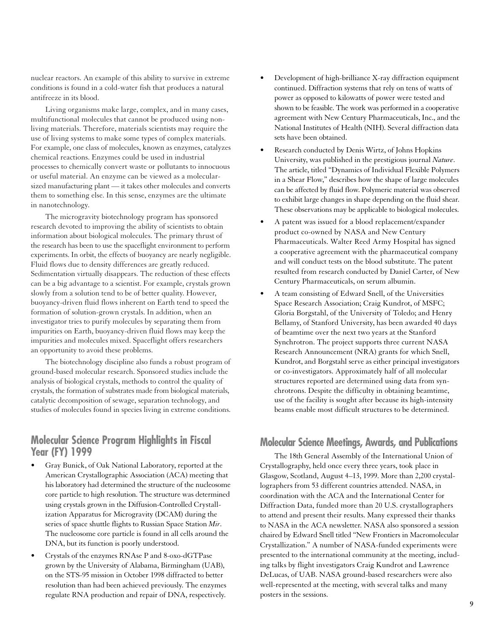nuclear reactors. An example of this ability to survive in extreme conditions is found in a cold-water fish that produces a natural antifreeze in its blood.

Living organisms make large, complex, and in many cases, multifunctional molecules that cannot be produced using nonliving materials. Therefore, materials scientists may require the use of living systems to make some types of complex materials. For example, one class of molecules, known as enzymes, catalyzes chemical reactions. Enzymes could be used in industrial processes to chemically convert waste or pollutants to innocuous or useful material. An enzyme can be viewed as a molecularsized manufacturing plant — it takes other molecules and converts them to something else. In this sense, enzymes are the ultimate in nanotechnology.

The microgravity biotechnology program has sponsored research devoted to improving the ability of scientists to obtain information about biological molecules. The primary thrust of the research has been to use the spaceflight environment to perform experiments. In orbit, the effects of buoyancy are nearly negligible. Fluid flows due to density differences are greatly reduced. Sedimentation virtually disappears. The reduction of these effects can be a big advantage to a scientist. For example, crystals grown slowly from a solution tend to be of better quality. However, buoyancy-driven fluid flows inherent on Earth tend to speed the formation of solution-grown crystals. In addition, when an investigator tries to purify molecules by separating them from impurities on Earth, buoyancy-driven fluid flows may keep the impurities and molecules mixed. Spaceflight offers researchers an opportunity to avoid these problems.

The biotechnology discipline also funds a robust program of ground-based molecular research. Sponsored studies include the analysis of biological crystals, methods to control the quality of crystals, the formation of substrates made from biological materials, catalytic decomposition of sewage, separation technology, and studies of molecules found in species living in extreme conditions.

## **Molecular Science Program Highlights in Fiscal Year (FY) 1999**

- Gray Bunick, of Oak National Laboratory, reported at the American Crystallographic Association (ACA) meeting that his laboratory had determined the structure of the nucleosome core particle to high resolution. The structure was determined using crystals grown in the Diffusion-Controlled Crystallization Apparatus for Microgravity (DCAM) during the series of space shuttle flights to Russian Space Station *Mir*. The nucleosome core particle is found in all cells around the DNA, but its function is poorly understood.
- Crystals of the enzymes RNAse P and 8-oxo-dGTPase grown by the University of Alabama, Birmingham (UAB), on the STS-95 mission in October 1998 diffracted to better resolution than had been achieved previously. The enzymes regulate RNA production and repair of DNA, respectively.
- Development of high-brilliance X-ray diffraction equipment continued. Diffraction systems that rely on tens of watts of power as opposed to kilowatts of power were tested and shown to be feasible. The work was performed in a cooperative agreement with New Century Pharmaceuticals, Inc., and the National Institutes of Health (NIH). Several diffraction data sets have been obtained.
- Research conducted by Denis Wirtz, of Johns Hopkins University, was published in the prestigious journal *Nature*. The article, titled "Dynamics of Individual Flexible Polymers in a Shear Flow," describes how the shape of large molecules can be affected by fluid flow. Polymeric material was observed to exhibit large changes in shape depending on the fluid shear. These observations may be applicable to biological molecules.
- A patent was issued for a blood replacement/expander product co-owned by NASA and New Century Pharmaceuticals. Walter Reed Army Hospital has signed a cooperative agreement with the pharmaceutical company and will conduct tests on the blood substitute. The patent resulted from research conducted by Daniel Carter, of New Century Pharmaceuticals, on serum albumin.
- A team consisting of Edward Snell, of the Universities Space Research Association; Craig Kundrot, of MSFC; Gloria Borgstahl, of the University of Toledo; and Henry Bellamy, of Stanford University, has been awarded 40 days of beamtime over the next two years at the Stanford Synchrotron. The project supports three current NASA Research Announcement (NRA) grants for which Snell, Kundrot, and Borgstahl serve as either principal investigators or co-investigators. Approximately half of all molecular structures reported are determined using data from synchrotrons. Despite the difficulty in obtaining beamtime, use of the facility is sought after because its high-intensity beams enable most difficult structures to be determined.

## **Molecular Science Meetings, Awards, and Publications**

The 18th General Assembly of the International Union of Crystallography, held once every three years, took place in Glasgow, Scotland, August 4–13, 1999. More than 2,200 crystallographers from 53 different countries attended. NASA, in coordination with the ACA and the International Center for Diffraction Data, funded more than 20 U.S. crystallographers to attend and present their results. Many expressed their thanks to NASA in the ACA newsletter. NASA also sponsored a session chaired by Edward Snell titled "New Frontiers in Macromolecular Crystallization." A number of NASA-funded experiments were presented to the international community at the meeting, including talks by flight investigators Craig Kundrot and Lawrence DeLucas, of UAB. NASA ground-based researchers were also well-represented at the meeting, with several talks and many posters in the sessions.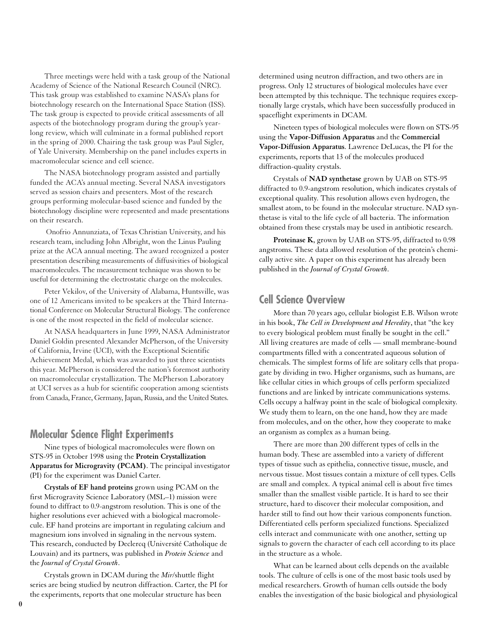Three meetings were held with a task group of the National Academy of Science of the National Research Council (NRC). This task group was established to examine NASA's plans for biotechnology research on the International Space Station (ISS). The task group is expected to provide critical assessments of all aspects of the biotechnology program during the group's yearlong review, which will culminate in a formal published report in the spring of 2000. Chairing the task group was Paul Sigler, of Yale University. Membership on the panel includes experts in macromolecular science and cell science.

The NASA biotechnology program assisted and partially funded the ACA's annual meeting. Several NASA investigators served as session chairs and presenters. Most of the research groups performing molecular-based science and funded by the biotechnology discipline were represented and made presentations on their research.

Onofrio Annunziata, of Texas Christian University, and his research team, including John Albright, won the Linus Pauling prize at the ACA annual meeting. The award recognized a poster presentation describing measurements of diffusivities of biological macromolecules. The measurement technique was shown to be useful for determining the electrostatic charge on the molecules.

Peter Vekilov, of the University of Alabama, Huntsville, was one of 12 Americans invited to be speakers at the Third International Conference on Molecular Structural Biology. The conference is one of the most respected in the field of molecular science.

At NASA headquarters in June 1999, NASA Administrator Daniel Goldin presented Alexander McPherson, of the University of California, Irvine (UCI), with the Exceptional Scientific Achievement Medal, which was awarded to just three scientists this year. McPherson is considered the nation's foremost authority on macromolecular crystallization. The McPherson Laboratory at UCI serves as a hub for scientific cooperation among scientists from Canada, France, Germany, Japan, Russia, and the United States.

## **Molecular Science Flight Experiments**

Nine types of biological macromolecules were flown on STS-95 in October 1998 using the **Protein Crystallization Apparatus for Microgravity (PCAM)**. The principal investigator (PI) for the experiment was Daniel Carter.

**Crystals of EF hand proteins** grown using PCAM on the first Microgravity Science Laboratory (MSL–1) mission were found to diffract to 0.9-angstrom resolution. This is one of the higher resolutions ever achieved with a biological macromolecule. EF hand proteins are important in regulating calcium and magnesium ions involved in signaling in the nervous system. This research, conducted by Declercq (Université Catholique de Louvain) and its partners, was published in *Protein Science* and the *Journal of Crystal Growth*.

Crystals grown in DCAM during the *Mir*/shuttle flight series are being studied by neutron diffraction. Carter, the PI for the experiments, reports that one molecular structure has been

determined using neutron diffraction, and two others are in progress. Only 12 structures of biological molecules have ever been attempted by this technique. The technique requires exceptionally large crystals, which have been successfully produced in spaceflight experiments in DCAM.

Nineteen types of biological molecules were flown on STS-95 using the **Vapor-Diffusion Apparatus** and the **Commercial Vapor-Diffusion Apparatus**. Lawrence DeLucas, the PI for the experiments, reports that 13 of the molecules produced diffraction-quality crystals.

Crystals of **NAD synthetase** grown by UAB on STS-95 diffracted to 0.9-angstrom resolution, which indicates crystals of exceptional quality. This resolution allows even hydrogen, the smallest atom, to be found in the molecular structure. NAD synthetase is vital to the life cycle of all bacteria. The information obtained from these crystals may be used in antibiotic research.

**Proteinase K**, grown by UAB on STS-95, diffracted to 0.98 angstroms. These data allowed resolution of the protein's chemically active site. A paper on this experiment has already been published in the *Journal of Crystal Growth*.

## **Cell Science Overview**

More than 70 years ago, cellular biologist E.B. Wilson wrote in his book, *The Cell in Development and Heredity*, that "the key to every biological problem must finally be sought in the cell." All living creatures are made of cells — small membrane-bound compartments filled with a concentrated aqueous solution of chemicals. The simplest forms of life are solitary cells that propagate by dividing in two. Higher organisms, such as humans, are like cellular cities in which groups of cells perform specialized functions and are linked by intricate communications systems. Cells occupy a halfway point in the scale of biological complexity. We study them to learn, on the one hand, how they are made from molecules, and on the other, how they cooperate to make an organism as complex as a human being.

There are more than 200 different types of cells in the human body. These are assembled into a variety of different types of tissue such as epithelia, connective tissue, muscle, and nervous tissue. Most tissues contain a mixture of cell types. Cells are small and complex. A typical animal cell is about five times smaller than the smallest visible particle. It is hard to see their structure, hard to discover their molecular composition, and harder still to find out how their various components function. Differentiated cells perform specialized functions. Specialized cells interact and communicate with one another, setting up signals to govern the character of each cell according to its place in the structure as a whole.

What can be learned about cells depends on the available tools. The culture of cells is one of the most basic tools used by medical researchers. Growth of human cells outside the body enables the investigation of the basic biological and physiological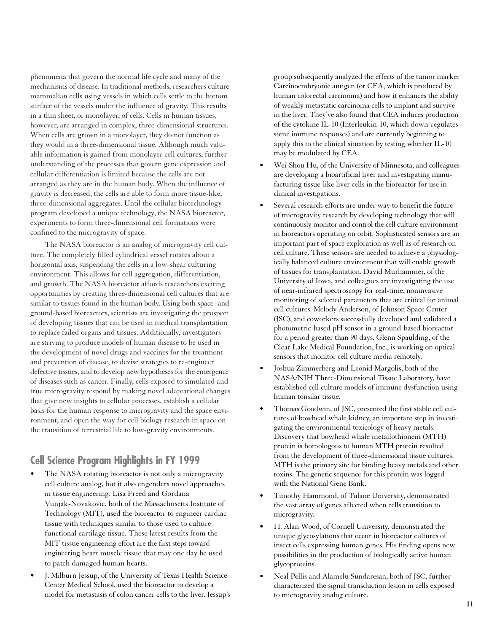phenomena that govern the normal life cycle and many of the mechanisms of disease. In traditional methods, researchers culture mammalian cells using vessels in which cells settle to the bottom surface of the vessels under the influence of gravity. This results in a thin sheet, or monolayer, of cells. Cells in human tissues, however, are arranged in complex, three-dimensional structures. When cells are grown in a monolayer, they do not function as they would in a three-dimensional tissue. Although much valuable information is gained from monolayer cell cultures, further understanding of the processes that govern gene expression and cellular differentiation is limited because the cells are not arranged as they are in the human body. When the influence of gravity is decreased, the cells are able to form more tissue-like, three-dimensional aggregates. Until the cellular biotechnology program developed a unique technology, the NASA bioreactor, experiments to form three-dimensional cell formations were confined to the microgravity of space.

The NASA bioreactor is an analog of microgravity cell culture. The completely filled cylindrical vessel rotates about a horizontal axis, suspending the cells in a low-shear culturing environment. This allows for cell aggregation, differentiation, and growth. The NASA bioreactor affords researchers exciting opportunities by creating three-dimensional cell cultures that are similar to tissues found in the human body. Using both space- and ground-based bioreactors, scientists are investigating the prospect of developing tissues that can be used in medical transplantation to replace failed organs and tissues. Additionally, investigators are striving to produce models of human disease to be used in the development of novel drugs and vaccines for the treatment and prevention of disease, to devise strategies to re-engineer defective tissues, and to develop new hypotheses for the emergence of diseases such as cancer. Finally, cells exposed to simulated and true microgravity respond by making novel adaptational changes that give new insights to cellular processes, establish a cellular basis for the human response to microgravity and the space environment, and open the way for cell biology research in space on the transition of terrestrial life to low-gravity environments.

## **Cell Science Program Highlights in FY 1999**

- The NASA rotating bioreactor is not only a microgravity cell culture analog, but it also engenders novel approaches in tissue engineering. Lisa Freed and Gordana Vunjak-Novakovic, both of the Massachusetts Institute of Technology (MIT), used the bioreactor to engineer cardiac tissue with techniques similar to those used to culture functional cartilage tissue. These latest results from the MIT tissue engineering effort are the first steps toward engineering heart muscle tissue that may one day be used to patch damaged human hearts.
- J. Milburn Jessup, of the University of Texas Health Science Center Medical School, used the bioreactor to develop a model for metastasis of colon cancer cells to the liver. Jessup's

group subsequently analyzed the effects of the tumor marker Carcinoembryonic antigen (or CEA, which is produced by human colorectal carcinoma) and how it enhances the ability of weakly metastatic carcinoma cells to implant and survive in the liver. They've also found that CEA induces production of the cytokine IL-10 (Interleukin-10, which down-regulates some immune responses) and are currently beginning to apply this to the clinical situation by testing whether IL-10 may be modulated by CEA.

- Wei-Shou Hu, of the University of Minnesota, and colleagues are developing a bioartificial liver and investigating manufacturing tissue-like liver cells in the bioreactor for use in clinical investigations.
- Several research efforts are under way to benefit the future of microgravity research by developing technology that will continuously monitor and control the cell culture environment in bioreactors operating on orbit. Sophisticated sensors are an important part of space exploration as well as of research on cell culture. These sensors are needed to achieve a physiologically balanced culture environment that will enable growth of tissues for transplantation. David Murhammer, of the University of Iowa, and colleagues are investigating the use of near-infrared spectroscopy for real-time, noninvasive monitoring of selected parameters that are critical for animal cell cultures. Melody Anderson, of Johnson Space Center (JSC), and coworkers successfully developed and validated a photometric-based pH sensor in a ground-based bioreactor for a period greater than 90 days. Glenn Spaulding, of the Clear Lake Medical Foundation, Inc., is working on optical sensors that monitor cell culture media remotely.
- Joshua Zimmerberg and Leonid Margolis, both of the NASA/NIH Three-Dimensional Tissue Laboratory, have established cell culture models of immune dysfunction using human tonsilar tissue.
- Thomas Goodwin, of JSC, presented the first stable cell cultures of bowhead whale kidney, an important step in investigating the environmental toxicology of heavy metals. Discovery that bowhead whale metallothionein (MTH) protein is homologous to human MTH protein resulted from the development of three-dimensional tissue cultures. MTH is the primary site for binding heavy metals and other toxins. The genetic sequence for this protein was logged with the National Gene Bank.
- Timothy Hammond, of Tulane University, demonstrated the vast array of genes affected when cells transition to microgravity.
- H. Alan Wood, of Cornell University, demonstrated the unique glycosylations that occur in bioreactor cultures of insect cells expressing human genes. His finding opens new possibilities in the production of biologically active human glycoproteins.
- Neal Pellis and Alamelu Sundaresan, both of JSC, further characterized the signal transduction lesion in cells exposed to microgravity analog culture.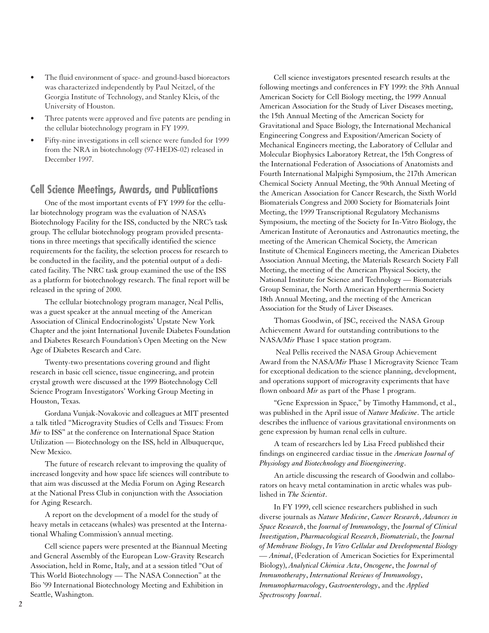- The fluid environment of space- and ground-based bioreactors was characterized independently by Paul Neitzel, of the Georgia Institute of Technology, and Stanley Kleis, of the University of Houston.
- Three patents were approved and five patents are pending in the cellular biotechnology program in FY 1999.
- Fifty-nine investigations in cell science were funded for 1999 from the NRA in biotechnology (97-HEDS-02) released in December 1997.

## **Cell Science Meetings, Awards, and Publications**

One of the most important events of FY 1999 for the cellular biotechnology program was the evaluation of NASA's Biotechnology Facility for the ISS, conducted by the NRC's task group. The cellular biotechnology program provided presentations in three meetings that specifically identified the science requirements for the facility, the selection process for research to be conducted in the facility, and the potential output of a dedicated facility. The NRC task group examined the use of the ISS as a platform for biotechnology research. The final report will be released in the spring of 2000.

The cellular biotechnology program manager, Neal Pellis, was a guest speaker at the annual meeting of the American Association of Clinical Endocrinologists' Upstate New York Chapter and the joint International Juvenile Diabetes Foundation and Diabetes Research Foundation's Open Meeting on the New Age of Diabetes Research and Care.

Twenty-two presentations covering ground and flight research in basic cell science, tissue engineering, and protein crystal growth were discussed at the 1999 Biotechnology Cell Science Program Investigators' Working Group Meeting in Houston, Texas.

Gordana Vunjak-Novakovic and colleagues at MIT presented a talk titled "Microgravity Studies of Cells and Tissues: From *Mir* to ISS" at the conference on International Space Station Utilization — Biotechnology on the ISS, held in Albuquerque, New Mexico.

The future of research relevant to improving the quality of increased longevity and how space life sciences will contribute to that aim was discussed at the Media Forum on Aging Research at the National Press Club in conjunction with the Association for Aging Research.

A report on the development of a model for the study of heavy metals in cetaceans (whales) was presented at the International Whaling Commission's annual meeting.

Cell science papers were presented at the Biannual Meeting and General Assembly of the European Low-Gravity Research Association, held in Rome, Italy, and at a session titled "Out of This World Biotechnology — The NASA Connection" at the Bio '99 International Biotechnology Meeting and Exhibition in Seattle, Washington.

Cell science investigators presented research results at the following meetings and conferences in FY 1999: the 39th Annual American Society for Cell Biology meeting, the 1999 Annual American Association for the Study of Liver Diseases meeting, the 15th Annual Meeting of the American Society for Gravitational and Space Biology, the International Mechanical Engineering Congress and Exposition/American Society of Mechanical Engineers meeting, the Laboratory of Cellular and Molecular Biophysics Laboratory Retreat, the 15th Congress of the International Federation of Associations of Anatomists and Fourth International Malpighi Symposium, the 217th American Chemical Society Annual Meeting, the 90th Annual Meeting of the American Association for Cancer Research, the Sixth World Biomaterials Congress and 2000 Society for Biomaterials Joint Meeting, the 1999 Transcriptional Regulatory Mechanisms Symposium, the meeting of the Society for In-Vitro Biology, the American Institute of Aeronautics and Astronautics meeting, the meeting of the American Chemical Society, the American Institute of Chemical Engineers meeting, the American Diabetes Association Annual Meeting, the Materials Research Society Fall Meeting, the meeting of the American Physical Society, the National Institute for Science and Technology — Biomaterials Group Seminar, the North American Hyperthermia Society 18th Annual Meeting, and the meeting of the American Association for the Study of Liver Diseases.

Thomas Goodwin, of JSC, received the NASA Group Achievement Award for outstanding contributions to the NASA/*Mir* Phase 1 space station program.

Neal Pellis received the NASA Group Achievement Award from the NASA/*Mir* Phase 1 Microgravity Science Team for exceptional dedication to the science planning, development, and operations support of microgravity experiments that have flown onboard *Mir* as part of the Phase 1 program.

"Gene Expression in Space," by Timothy Hammond, et al., was published in the April issue of *Nature Medicine*. The article describes the influence of various gravitational environments on gene expression by human renal cells in culture.

A team of researchers led by Lisa Freed published their findings on engineered cardiac tissue in the *American Journal of Physiology and Biotechnology and Bioengineering*.

An article discussing the research of Goodwin and collaborators on heavy metal contamination in arctic whales was published in *The Scientist*.

In FY 1999, cell science researchers published in such diverse journals as *Nature Medicine*, *Cancer Research*, *Advances in Space Research*, the *Journal of Immunology*, the *Journal of Clinical Investigation*, *Pharmacological Research*, *Biomaterials*, the *Journal of Membrane Biology*, *In Vitro Cellular and Developmental Biology — Animal*, (Federation of American Societies for Experimental Biology), *Analytical Chimica Acta*, *Oncogene*, the *Journal of Immunotherapy*, *International Reviews of Immunology*, *Immunopharmacology*, *Gastroenterology*, and the *Applied Spectroscopy Journal*.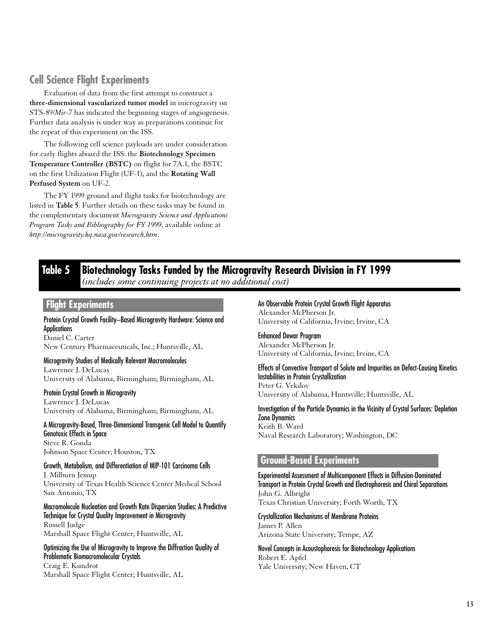## **Cell Science Flight Experiments**

Evaluation of data from the first attempt to construct a **three-dimensional vascularized tumor model** in microgravity on STS-89/*Mir*-7 has indicated the beginning stages of angiogenesis. Further data analysis is under way as preparations continue for the repeat of this experiment on the ISS.

The following cell science payloads are under consideration for early flights aboard the ISS: the **Biotechnology Specimen Temperature Controller (BSTC)** on flight for 7A.1, the BSTC on the first Utilization Flight (UF-1), and the **Rotating Wall Perfused System** on UF-2.

The FY 1999 ground and flight tasks for biotechnology are listed in **Table 5**. Further details on these tasks may be found in the complementary document *Microgravity Science and Applications Program Tasks and Bibliography for FY 1999*, available online at *http://microgravity.hq.nasa.gov/research.htm*.

## **Table 5 Biotechnology Tasks Funded by the Microgravity Research Division in FY 1999** *(includes some continuing projects at no additional cost)*

### **Flight Experiments**

Protein Crystal Growth Facility–Based Microgravity Hardware: Science and **Applications** Daniel C. Carter

New Century Pharmaceuticals, Inc.; Huntsville, AL

#### Microgravity Studies of Medically Relevant Macromolecules

Lawrence J. DeLucas University of Alabama, Birmingham; Birmingham, AL

Protein Crystal Growth in Microgravity

Lawrence J. DeLucas University of Alabama, Birmingham; Birmingham, AL

A Microgravity-Based, Three-Dimensional Transgenic Cell Model to Quantify Genotoxic Effects in Space Steve R. Gonda Johnson Space Center; Houston, TX

Growth, Metabolism, and Differentiation of MIP-101 Carcinoma Cells J. Milburn Jessup University of Texas Health Science Center Medical School San Antonio, TX

### Macromolecule Nucleation and Growth Rate Dispersion Studies: A Predictive Technique for Crystal Quality Improvement in Microgravity Russell Judge

Marshall Space Flight Center; Huntsville, AL

Optimizing the Use of Microgravity to Improve the Diffraction Quality of Problematic Biomacromolecular Crystals

Craig E. Kundrot Marshall Space Flight Center; Huntsville, AL

### An Observable Protein Crystal Growth Flight Apparatus Alexander McPherson Jr.

University of California, Irvine; Irvine, CA

Enhanced Dewar Program Alexander McPherson Jr. University of California, Irvine; Irvine, CA

#### Effects of Convective Transport of Solute and Impurities on Defect-Causing Kinetics Instabilities in Protein Crystallization Peter G. Vekilov

University of Alabama, Huntsville; Huntsville, AL

Investigation of the Particle Dynamics in the Vicinity of Crystal Surfaces: Depletion Zone Dynamics Keith B. Ward Naval Research Laboratory; Washington, DC

## **Ground-Based Experiments**

Experimental Assessment of Multicomponent Effects in Diffusion-Dominated Transport in Protein Crystal Growth and Electrophoresis and Chiral Separations John G. Albright Texas Christian University; Forth Worth, TX

#### Crystallization Mechanisms of Membrane Proteins James P. Allen

Arizona State University; Tempe, AZ

Novel Concepts in Acoustophoresis for Biotechnology Applications Robert E. Apfel Yale University; New Haven, CT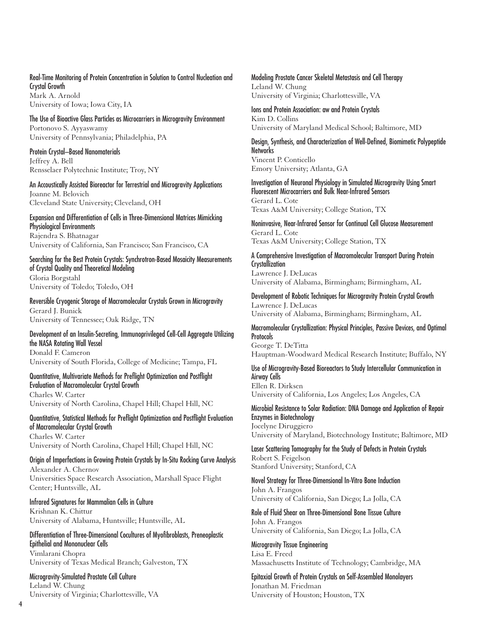### Real-Time Monitoring of Protein Concentration in Solution to Control Nucleation and Crystal Growth

Mark A. Arnold University of Iowa; Iowa City, IA

#### The Use of Bioactive Glass Particles as Microcarriers in Microgravity Environment Portonovo S. Ayyaswamy University of Pennsylvania; Philadelphia, PA

Protein Crystal–Based Nanomaterials Jeffrey A. Bell Rensselaer Polytechnic Institute; Troy, NY

An Accoustically Assisted Bioreactor for Terrestrial and Microgravity Applications Joanne M. Belovich Cleveland State University; Cleveland, OH

#### Expansion and Differentiation of Cells in Three-Dimensional Matrices Mimicking Physiological Environments Rajendra S. Bhatnagar University of California, San Francisco; San Francisco, CA

#### Searching for the Best Protein Crystals: Synchrotron-Based Mosaicity Measurements of Crystal Quality and Theoretical Modeling Gloria Borgstahl

University of Toledo; Toledo, OH

#### Reversible Cryogenic Storage of Macromolecular Crystals Grown in Microgravity Gerard J. Bunick University of Tennessee; Oak Ridge, TN

#### Development of an Insulin-Secreting, Immunoprivileged Cell-Cell Aggregate Utilizing the NASA Rotating Wall Vessel Donald F. Cameron

University of South Florida, College of Medicine; Tampa, FL

#### Quantitative, Multivariate Methods for Preflight Optimization and Postflight Evaluation of Macromolecular Crystal Growth Charles W. Carter

University of North Carolina, Chapel Hill; Chapel Hill, NC

## Quantitative, Statistical Methods for Preflight Optimization and Postflight Evaluation of Macromolecular Crystal Growth

Charles W. Carter University of North Carolina, Chapel Hill; Chapel Hill, NC

#### Origin of Imperfections in Growing Protein Crystals by In-Situ Rocking Curve Analysis Alexander A. Chernov Universities Space Research Association, Marshall Space Flight

Center; Huntsville, AL Infrared Signatures for Mammalian Cells in Culture

### Krishnan K. Chittur University of Alabama, Huntsville; Huntsville, AL

Differentiation of Three-Dimensional Cocultures of Myofibroblasts, Preneoplastic Epithelial and Mononuclear Cells Vimlarani Chopra

University of Texas Medical Branch; Galveston, TX

### Microgravity-Simulated Prostate Cell Culture Leland W. Chung

University of Virginia; Charlottesville, VA

### Modeling Prostate Cancer Skeletal Metastasis and Cell Therapy

Leland W. Chung University of Virginia; Charlottesville, VA

Ions and Protein Association: aw and Protein Crystals Kim D. Collins University of Maryland Medical School; Baltimore, MD

Design, Synthesis, and Characterization of Well-Defined, Biomimetic Polypeptide **Networks** Vincent P. Conticello Emory University; Atlanta, GA

Investigation of Neuronal Physiology in Simulated Microgravity Using Smart Fluorescent Microcarriers and Bulk Near-Infrared Sensors Gerard L. Cote Texas A&M University; College Station, TX

Noninvasive, Near-Infrared Sensor for Continual Cell Glucose Measurement Gerard L. Cote Texas A&M University; College Station, TX

## A Comprehensive Investigation of Macromolecular Transport During Protein **Crystallization**

Lawrence J. DeLucas University of Alabama, Birmingham; Birmingham, AL

#### Development of Robotic Techniques for Microgravity Protein Crystal Growth Lawrence J. DeLucas

University of Alabama, Birmingham; Birmingham, AL

#### Macromolecular Crystallization: Physical Principles, Passive Devices, and Optimal **Protocols**

George T. DeTitta Hauptman-Woodward Medical Research Institute; Buffalo, NY

### Use of Microgravity-Based Bioreactors to Study Intercellular Communication in Airway Cells

Ellen R. Dirksen University of California, Los Angeles; Los Angeles, CA

#### Microbial Resistance to Solar Radiation: DNA Damage and Application of Repair Enzymes in Biotechnology Jocelyne Diruggiero

University of Maryland, Biotechnology Institute; Baltimore, MD

#### Laser Scattering Tomography for the Study of Defects in Protein Crystals Robert S. Feigelson Stanford University; Stanford, CA

## Novel Strategy for Three-Dimensional In-Vitro Bone Induction

#### John A. Frangos University of California, San Diego; La Jolla, CA

## Role of Fluid Shear on Three-Dimensional Bone Tissue Culture John A. Frangos

University of California, San Diego; La Jolla, CA

## Microgravity Tissue Engineering

Lisa E. Freed Massachusetts Institute of Technology; Cambridge, MA

#### Epitaxial Growth of Protein Crystals on Self-Assembled Monolayers Jonathan M. Friedman

University of Houston; Houston, TX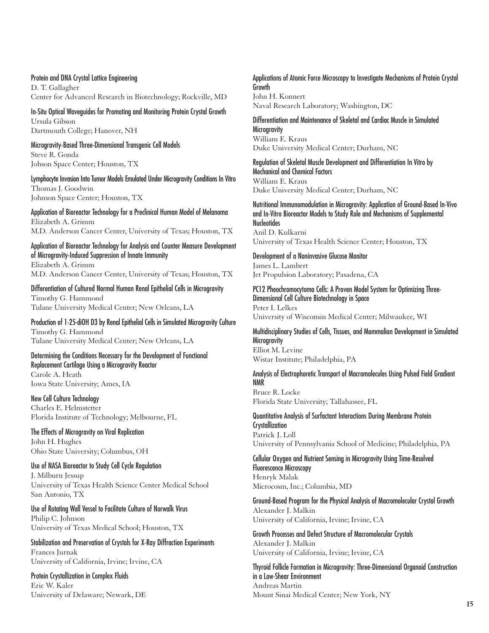#### Protein and DNA Crystal Lattice Engineering

D. T. Gallagher Center for Advanced Research in Biotechnology; Rockville, MD

#### In-Situ Optical Waveguides for Promoting and Monitoring Protein Crystal Growth Ursula Gibson Dartmouth College; Hanover, NH

Microgravity-Based Three-Dimensional Transgenic Cell Models Steve R. Gonda Johson Space Center; Houston, TX

#### Lymphocyte Invasion Into Tumor Models Emulated Under Microgravity Conditions In Vitro Thomas J. Goodwin Johnson Space Center; Houston, TX

Application of Bioreactor Technology for a Preclinical Human Model of Melanoma Elizabeth A. Grimm M.D. Anderson Cancer Center, University of Texas; Houston, TX

Application of Bioreactor Technology for Analysis and Counter Measure Development of Microgravity-Induced Suppression of Innate Immunity Elizabeth A. Grimm M.D. Anderson Cancer Center, University of Texas; Houston, TX

Differentiation of Cultured Normal Human Renal Epithelial Cells in Microgravity Timothy G. Hammond Tulane University Medical Center; New Orleans, LA

Production of 1-25-diOH D3 by Renal Epithelial Cells in Simulated Microgravity Culture Timothy G. Hammond Tulane University Medical Center; New Orleans, LA

Determining the Conditions Necessary for the Development of Functional Replacement Cartilage Using a Microgravity Reactor Carole A. Heath Iowa State University; Ames, IA

New Cell Culture Technology Charles E. Helmstetter Florida Institute of Technology; Melbourne, FL

The Effects of Microgravity on Viral Replication John H. Hughes Ohio State University; Columbus, OH

## Use of NASA Bioreactor to Study Cell Cycle Regulation

J. Milburn Jessup University of Texas Health Science Center Medical School San Antonio, TX

Use of Rotating Wall Vessel to Facilitate Culture of Norwalk Virus Philip C. Johnson University of Texas Medical School; Houston, TX

Stabilization and Preservation of Crystals for X-Ray Diffraction Experiments Frances Jurnak University of California, Irvine; Irvine, CA

### Protein Crystallization in Complex Fluids

Eric W. Kaler University of Delaware; Newark, DE

#### Applications of Atomic Force Microscopy to Investigate Mechanisms of Protein Crystal Growth John H. Konnert

Naval Research Laboratory; Washington, DC

Differentiation and Maintenance of Skeletal and Cardiac Muscle in Simulated **Microgravity** William E. Kraus Duke University Medical Center; Durham, NC

Regulation of Skeletal Muscle Development and Differentiation In Vitro by Mechanical and Chemical Factors William E. Kraus Duke University Medical Center; Durham, NC

Nutritional Immunomodulation in Microgravity: Application of Ground-Based In-Vivo and In-Vitro Bioreactor Models to Study Role and Mechanisms of Supplemental **Nucleotides** Anil D. Kulkarni

University of Texas Health Science Center; Houston, TX

Development of a Noninvasive Glucose Monitor James L. Lambert Jet Propulsion Laboratory; Pasadena, CA

PC12 Pheochromocytoma Cells: A Proven Model System for Optimizing Three-Dimensional Cell Culture Biotechnology in Space Peter I. Lelkes

University of Wisconsin Medical Center; Milwaukee, WI

Multidisciplinary Studies of Cells, Tissues, and Mammalian Development in Simulated **Microgravity** Elliot M. Levine

Wistar Institute; Philadelphia, PA

### Analysis of Electrophoretic Transport of Macromolecules Using Pulsed Field Gradient NMR

Bruce R. Locke Florida State University; Tallahassee, FL

Quantitative Analysis of Surfactant Interactions During Membrane Protein **Crystallization** Patrick J. Loll University of Pennsylvania School of Medicine; Philadelphia, PA

Cellular Oxygen and Nutrient Sensing in Microgravity Using Time-Resolved Fluorescence Microscopy Henryk Malak Microcosm, Inc.; Columbia, MD

#### Ground-Based Program for the Physical Analysis of Macromolecular Crystal Growth Alexander J. Malkin University of California, Irvine; Irvine, CA

Growth Processes and Defect Structure of Macromolecular Crystals Alexander J. Malkin University of California, Irvine; Irvine, CA

Thyroid Follicle Formation in Microgravity: Three-Dimensional Organoid Construction in a Low-Shear Environment Andreas Martin Mount Sinai Medical Center; New York, NY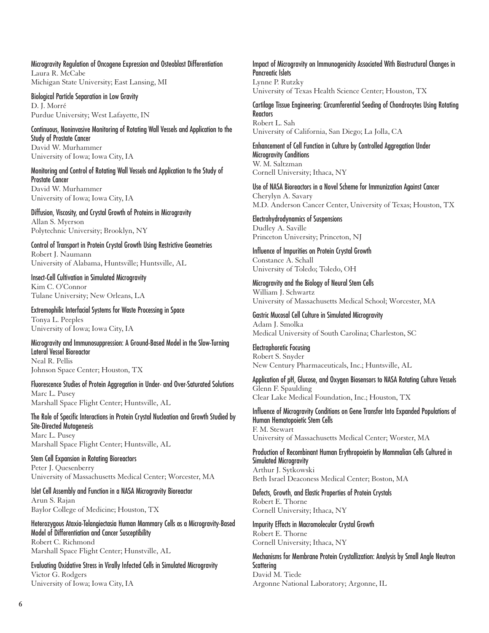Microgravity Regulation of Oncogene Expression and Osteoblast Differentiation Laura R. McCabe Michigan State University; East Lansing, MI

Biological Particle Separation in Low Gravity D. J. Morré Purdue University; West Lafayette, IN

Continuous, Noninvasive Monitoring of Rotating Wall Vessels and Application to the Study of Prostate Cancer David W. Murhammer University of Iowa; Iowa City, IA

Monitoring and Control of Rotating Wall Vessels and Application to the Study of Prostate Cancer David W. Murhammer University of Iowa; Iowa City, IA

Diffusion, Viscosity, and Crystal Growth of Proteins in Microgravity Allan S. Myerson Polytechnic University; Brooklyn, NY

Control of Transport in Protein Crystal Growth Using Restrictive Geometries Robert J. Naumann University of Alabama, Huntsville; Huntsville, AL

Insect-Cell Cultivation in Simulated Microgravity Kim C. O'Connor Tulane University; New Orleans, LA

Extremophilic Interfacial Systems for Waste Processing in Space Tonya L. Peeples University of Iowa; Iowa City, IA

Microgravity and Immunosuppression: A Ground-Based Model in the Slow-Turning Lateral Vessel Bioreactor Neal R. Pellis Johnson Space Center; Houston, TX

Fluorescence Studies of Protein Aggregation in Under- and Over-Saturated Solutions Marc L. Pusey Marshall Space Flight Center; Huntsville, AL

The Role of Specific Interactions in Protein Crystal Nucleation and Growth Studied by Site-Directed Mutagenesis Marc L. Pusey

Marshall Space Flight Center; Huntsville, AL

Stem Cell Expansion in Rotating Bioreactors Peter J. Quesenberry University of Massachusetts Medical Center; Worcester, MA

Islet Cell Assembly and Function in a NASA Microgravity Bioreactor Arun S. Rajan Baylor College of Medicine; Houston, TX

Heterozygous Ataxia-Telangiectasia Human Mammary Cells as a Microgravity-Based Model of Differentiation and Cancer Susceptibility

Robert C. Richmond Marshall Space Flight Center; Hunstville, AL

Evaluating Oxidative Stress in Virally Infected Cells in Simulated Microgravity Victor G. Rodgers University of Iowa; Iowa City, IA

Impact of Microgravity on Immunogenicity Associated With Biostructural Changes in Pancreatic Islets Lynne P. Rutzky University of Texas Health Science Center; Houston, TX

Cartilage Tissue Engineering: Circumferential Seeding of Chondrocytes Using Rotating **Reactors** Robert L. Sah University of California, San Diego; La Jolla, CA

Enhancement of Cell Function in Culture by Controlled Aggregation Under Microgravity Conditions W. M. Saltzman Cornell University; Ithaca, NY

Use of NASA Bioreactors in a Novel Scheme for Immunization Against Cancer Cherylyn A. Savary M.D. Anderson Cancer Center, University of Texas; Houston, TX

Electrohydrodynamics of Suspensions Dudley A. Saville Princeton University; Princeton, NJ

Influence of Impurities on Protein Crystal Growth Constance A. Schall University of Toledo; Toledo, OH

Microgravity and the Biology of Neural Stem Cells William J. Schwartz University of Massachusetts Medical School; Worcester, MA

Gastric Mucosal Cell Culture in Simulated Microgravity Adam J. Smolka Medical University of South Carolina; Charleston, SC

Electrophoretic Focusing Robert S. Snyder New Century Pharmaceuticals, Inc.; Huntsville, AL

Application of pH, Glucose, and Oxygen Biosensors to NASA Rotating Culture Vessels Glenn F. Spaulding Clear Lake Medical Foundation, Inc.; Houston, TX

Influence of Microgravity Conditions on Gene Transfer Into Expanded Populations of Human Hematopoietic Stem Cells F. M. Stewart University of Massachusetts Medical Center; Worster, MA

Production of Recombinant Human Erythropoietin by Mammalian Cells Cultured in Simulated Microgravity Arthur J. Sytkowski

Beth Israel Deaconess Medical Center; Boston, MA

Defects, Growth, and Elastic Properties of Protein Crystals Robert E. Thorne Cornell University; Ithaca, NY

Impurity Effects in Macromolecular Crystal Growth Robert E. Thorne Cornell University; Ithaca, NY

Mechanisms for Membrane Protein Crystallization: Analysis by Small Angle Neutron **Scattering** David M. Tiede Argonne National Laboratory; Argonne, IL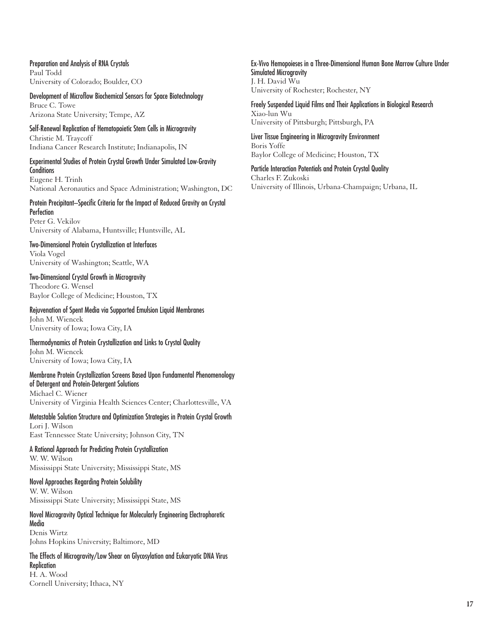Preparation and Analysis of RNA Crystals Paul Todd University of Colorado; Boulder, CO

Development of Microflow Biochemical Sensors for Space Biotechnology

Bruce C. Towe Arizona State University; Tempe, AZ

Self-Renewal Replication of Hematopoietic Stem Cells in Microgravity Christie M. Traycoff Indiana Cancer Research Institute; Indianapolis, IN

#### Experimental Studies of Protein Crystal Growth Under Simulated Low-Gravity **Conditions**

Eugene H. Trinh National Aeronautics and Space Administration; Washington, DC

#### Protein Precipitant–Specific Criteria for the Impact of Reduced Gravity on Crystal **Perfection** Peter G. Vekilov

University of Alabama, Huntsville; Huntsville, AL

#### Two-Dimensional Protein Crystallization at Interfaces Viola Vogel

University of Washington; Seattle, WA

#### Two-Dimensional Crystal Growth in Microgravity Theodore G. Wensel

Baylor College of Medicine; Houston, TX

#### Rejuvenation of Spent Media via Supported Emulsion Liquid Membranes John M. Wiencek

University of Iowa; Iowa City, IA

#### Thermodynamics of Protein Crystallization and Links to Crystal Quality John M. Wiencek University of Iowa; Iowa City, IA

#### Membrane Protein Crystallization Screens Based Upon Fundamental Phenomenology of Detergent and Protein-Detergent Solutions Michael C. Wiener

University of Virginia Health Sciences Center; Charlottesville, VA

#### Metastable Solution Structure and Optimization Strategies in Protein Crystal Growth Lori J. Wilson East Tennessee State University; Johnson City, TN

A Rational Approach for Predicting Protein Crystallization

### W. W. Wilson Mississippi State University; Mississippi State, MS

#### Novel Approaches Regarding Protein Solubility W. W. Wilson Mississippi State University; Mississippi State, MS

#### Novel Microgravity Optical Technique for Molecularly Engineering Electrophoretic Media Denis Wirtz

Johns Hopkins University; Baltimore, MD

## The Effects of Microgravity/Low Shear on Glycosylation and Eukaryotic DNA Virus Replication

H. A. Wood Cornell University; Ithaca, NY Ex-Vivo Hemopoieses in a Three-Dimensional Human Bone Marrow Culture Under Simulated Microgravity J. H. David Wu University of Rochester; Rochester, NY

Freely Suspended Liquid Films and Their Applications in Biological Research Xiao-lun Wu University of Pittsburgh; Pittsburgh, PA

Liver Tissue Engineering in Microgravity Environment Boris Yoffe Baylor College of Medicine; Houston, TX

Particle Interaction Potentials and Protein Crystal Quality Charles F. Zukoski University of Illinois, Urbana-Champaign; Urbana, IL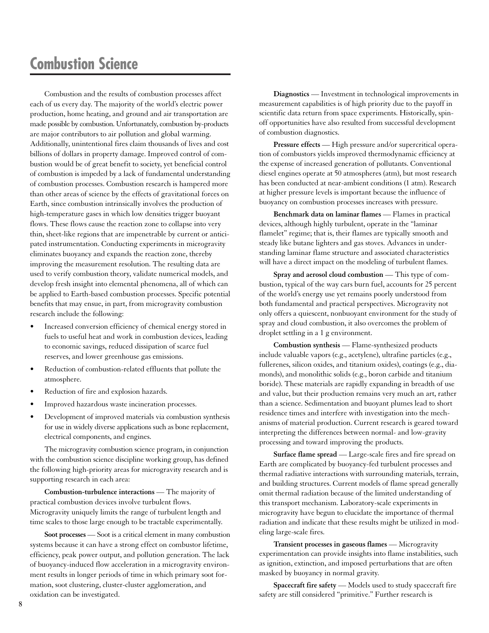# **Combustion Science**

Combustion and the results of combustion processes affect each of us every day. The majority of the world's electric power production, home heating, and ground and air transportation are made possible by combustion. Unfortunately, combustion by-products are major contributors to air pollution and global warming. Additionally, unintentional fires claim thousands of lives and cost billions of dollars in property damage. Improved control of combustion would be of great benefit to society, yet beneficial control of combustion is impeded by a lack of fundamental understanding of combustion processes. Combustion research is hampered more than other areas of science by the effects of gravitational forces on Earth, since combustion intrinsically involves the production of high-temperature gases in which low densities trigger buoyant flows. These flows cause the reaction zone to collapse into very thin, sheet-like regions that are impenetrable by current or anticipated instrumentation. Conducting experiments in microgravity eliminates buoyancy and expands the reaction zone, thereby improving the measurement resolution. The resulting data are used to verify combustion theory, validate numerical models, and develop fresh insight into elemental phenomena, all of which can be applied to Earth-based combustion processes. Specific potential benefits that may ensue, in part, from microgravity combustion research include the following:

- Increased conversion efficiency of chemical energy stored in fuels to useful heat and work in combustion devices, leading to economic savings, reduced dissipation of scarce fuel reserves, and lower greenhouse gas emissions.
- Reduction of combustion-related effluents that pollute the atmosphere.
- Reduction of fire and explosion hazards.
- Improved hazardous waste incineration processes.
- Development of improved materials via combustion synthesis for use in widely diverse applications such as bone replacement, electrical components, and engines.

The microgravity combustion science program, in conjunction with the combustion science discipline working group, has defined the following high-priority areas for microgravity research and is supporting research in each area:

**Combustion-turbulence interactions** — The majority of practical combustion devices involve turbulent flows. Microgravity uniquely limits the range of turbulent length and time scales to those large enough to be tractable experimentally.

**Soot processes** — Soot is a critical element in many combustion systems because it can have a strong effect on combustor lifetime, efficiency, peak power output, and pollution generation. The lack of buoyancy-induced flow acceleration in a microgravity environment results in longer periods of time in which primary soot formation, soot clustering, cluster-cluster agglomeration, and oxidation can be investigated.

**Diagnostics** — Investment in technological improvements in measurement capabilities is of high priority due to the payoff in scientific data return from space experiments. Historically, spinoff opportunities have also resulted from successful development of combustion diagnostics.

**Pressure effects** — High pressure and/or supercritical operation of combustors yields improved thermodynamic efficiency at the expense of increased generation of pollutants. Conventional diesel engines operate at 50 atmospheres (atm), but most research has been conducted at near-ambient conditions (1 atm). Research at higher pressure levels is important because the influence of buoyancy on combustion processes increases with pressure.

**Benchmark data on laminar flames** — Flames in practical devices, although highly turbulent, operate in the "laminar flamelet" regime; that is, their flames are typically smooth and steady like butane lighters and gas stoves. Advances in understanding laminar flame structure and associated characteristics will have a direct impact on the modeling of turbulent flames.

**Spray and aerosol cloud combustion** — This type of combustion, typical of the way cars burn fuel, accounts for 25 percent of the world's energy use yet remains poorly understood from both fundamental and practical perspectives. Microgravity not only offers a quiescent, nonbuoyant environment for the study of spray and cloud combustion, it also overcomes the problem of droplet settling in a 1 g environment.

**Combustion synthesis** — Flame-synthesized products include valuable vapors (e.g., acetylene), ultrafine particles (e.g., fullerenes, silicon oxides, and titanium oxides), coatings (e.g., diamonds), and monolithic solids (e.g., boron carbide and titanium boride). These materials are rapidly expanding in breadth of use and value, but their production remains very much an art, rather than a science. Sedimentation and buoyant plumes lead to short residence times and interfere with investigation into the mechanisms of material production. Current research is geared toward interpreting the differences between normal- and low-gravity processing and toward improving the products.

**Surface flame spread** — Large-scale fires and fire spread on Earth are complicated by buoyancy-fed turbulent processes and thermal radiative interactions with surrounding materials, terrain, and building structures. Current models of flame spread generally omit thermal radiation because of the limited understanding of this transport mechanism. Laboratory-scale experiments in microgravity have begun to elucidate the importance of thermal radiation and indicate that these results might be utilized in modeling large-scale fires.

**Transient processes in gaseous flames** — Microgravity experimentation can provide insights into flame instabilities, such as ignition, extinction, and imposed perturbations that are often masked by buoyancy in normal gravity.

**Spacecraft fire safety** — Models used to study spacecraft fire safety are still considered "primitive." Further research is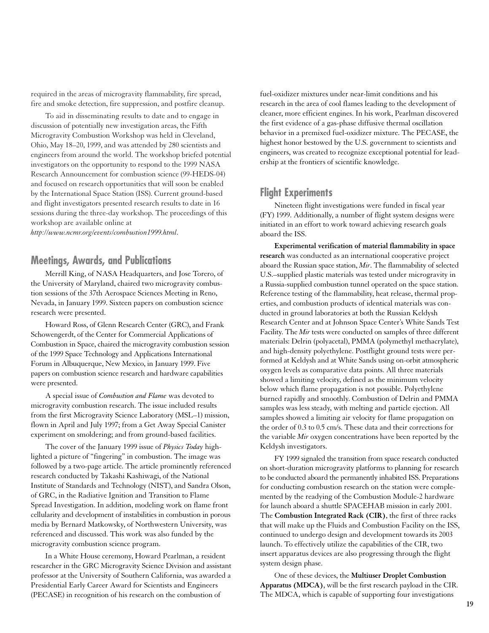required in the areas of microgravity flammability, fire spread, fire and smoke detection, fire suppression, and postfire cleanup.

To aid in disseminating results to date and to engage in discussion of potentially new investigation areas, the Fifth Microgravity Combustion Workshop was held in Cleveland, Ohio, May 18–20, 1999, and was attended by 280 scientists and engineers from around the world. The workshop briefed potential investigators on the opportunity to respond to the 1999 NASA Research Announcement for combustion science (99-HEDS-04) and focused on research opportunities that will soon be enabled by the International Space Station (ISS). Current ground-based and flight investigators presented research results to date in 16 sessions during the three-day workshop. The proceedings of this workshop are available online at

*http://www.ncmr.org/events/combustion1999.html*.

## **Meetings, Awards, and Publications**

Merrill King, of NASA Headquarters, and Jose Torero, of the University of Maryland, chaired two microgravity combustion sessions of the 37th Aerospace Sciences Meeting in Reno, Nevada, in January 1999. Sixteen papers on combustion science research were presented.

Howard Ross, of Glenn Research Center (GRC), and Frank Schowengerdt, of the Center for Commercial Applications of Combustion in Space, chaired the microgravity combustion session of the 1999 Space Technology and Applications International Forum in Albuquerque, New Mexico, in January 1999. Five papers on combustion science research and hardware capabilities were presented.

A special issue of *Combustion and Flame* was devoted to microgravity combustion research. The issue included results from the first Microgravity Science Laboratory (MSL–1) mission, flown in April and July 1997; from a Get Away Special Canister experiment on smoldering; and from ground-based facilities.

The cover of the January 1999 issue of *Physics Today* highlighted a picture of "fingering" in combustion. The image was followed by a two-page article. The article prominently referenced research conducted by Takashi Kashiwagi, of the National Institute of Standards and Technology (NIST), and Sandra Olson, of GRC, in the Radiative Ignition and Transition to Flame Spread Investigation. In addition, modeling work on flame front cellularity and development of instabilities in combustion in porous media by Bernard Matkowsky, of Northwestern University, was referenced and discussed. This work was also funded by the microgravity combustion science program.

In a White House ceremony, Howard Pearlman, a resident researcher in the GRC Microgravity Science Division and assistant professor at the University of Southern California, was awarded a Presidential Early Career Award for Scientists and Engineers (PECASE) in recognition of his research on the combustion of

fuel-oxidizer mixtures under near-limit conditions and his research in the area of cool flames leading to the development of cleaner, more efficient engines. In his work, Pearlman discovered the first evidence of a gas-phase diffusive thermal oscillation behavior in a premixed fuel-oxidizer mixture. The PECASE, the highest honor bestowed by the U.S. government to scientists and engineers, was created to recognize exceptional potential for leadership at the frontiers of scientific knowledge.

## **Flight Experiments**

Nineteen flight investigations were funded in fiscal year (FY) 1999. Additionally, a number of flight system designs were initiated in an effort to work toward achieving research goals aboard the ISS.

**Experimental verification of material flammability in space research** was conducted as an international cooperative project aboard the Russian space station, *Mir*. The flammability of selected U.S.–supplied plastic materials was tested under microgravity in a Russia-supplied combustion tunnel operated on the space station. Reference testing of the flammability, heat release, thermal properties, and combustion products of identical materials was conducted in ground laboratories at both the Russian Keldysh Research Center and at Johnson Space Center's White Sands Test Facility. The *Mir* tests were conducted on samples of three different materials: Delrin (polyacetal), PMMA (polymethyl methacrylate), and high-density polyethylene. Postflight ground tests were performed at Keldysh and at White Sands using on-orbit atmospheric oxygen levels as comparative data points. All three materials showed a limiting velocity, defined as the minimum velocity below which flame propagation is not possible. Polyethylene burned rapidly and smoothly. Combustion of Delrin and PMMA samples was less steady, with melting and particle ejection. All samples showed a limiting air velocity for flame propagation on the order of 0.3 to 0.5 cm/s. These data and their corrections for the variable *Mir* oxygen concentrations have been reported by the Keldysh investigators.

FY 1999 signaled the transition from space research conducted on short-duration microgravity platforms to planning for research to be conducted aboard the permanently inhabited ISS. Preparations for conducting combustion research on the station were complemented by the readying of the Combustion Module-2 hardware for launch aboard a shuttle SPACEHAB mission in early 2001. The **Combustion Integrated Rack (CIR)**, the first of three racks that will make up the Fluids and Combustion Facility on the ISS, continued to undergo design and development towards its 2003 launch. To effectively utilize the capabilities of the CIR, two insert apparatus devices are also progressing through the flight system design phase.

One of these devices, the **Multiuser Droplet Combustion Apparatus (MDCA)**, will be the first research payload in the CIR. The MDCA, which is capable of supporting four investigations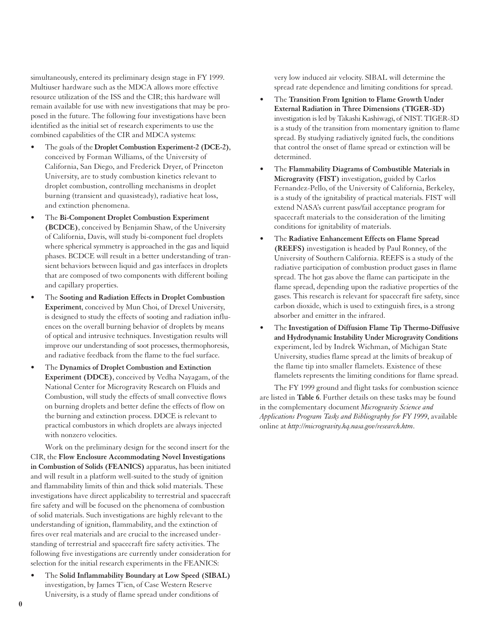simultaneously, entered its preliminary design stage in FY 1999. Multiuser hardware such as the MDCA allows more effective resource utilization of the ISS and the CIR; this hardware will remain available for use with new investigations that may be proposed in the future. The following four investigations have been identified as the initial set of research experiments to use the combined capabilities of the CIR and MDCA systems:

- The goals of the **Droplet Combustion Experiment-2 (DCE-2)**, conceived by Forman Williams, of the University of California, San Diego, and Frederick Dryer, of Princeton University, are to study combustion kinetics relevant to droplet combustion, controlling mechanisms in droplet burning (transient and quasisteady), radiative heat loss, and extinction phenomena.
- The **Bi-Component Droplet Combustion Experiment (BCDCE)**, conceived by Benjamin Shaw, of the University of California, Davis, will study bi-component fuel droplets where spherical symmetry is approached in the gas and liquid phases. BCDCE will result in a better understanding of transient behaviors between liquid and gas interfaces in droplets that are composed of two components with different boiling and capillary properties.
- The **Sooting and Radiation Effects in Droplet Combustion Experiment**, conceived by Mun Choi, of Drexel University, is designed to study the effects of sooting and radiation influences on the overall burning behavior of droplets by means of optical and intrusive techniques. Investigation results will improve our understanding of soot processes, thermophoresis, and radiative feedback from the flame to the fuel surface.
- The **Dynamics of Droplet Combustion and Extinction Experiment (DDCE)**, conceived by Vedha Nayagam, of the National Center for Microgravity Research on Fluids and Combustion, will study the effects of small convective flows on burning droplets and better define the effects of flow on the burning and extinction process. DDCE is relevant to practical combustors in which droplets are always injected with nonzero velocities.

Work on the preliminary design for the second insert for the CIR, the **Flow Enclosure Accommodating Novel Investigations in Combustion of Solids (FEANICS)** apparatus, has been initiated and will result in a platform well-suited to the study of ignition and flammability limits of thin and thick solid materials. These investigations have direct applicability to terrestrial and spacecraft fire safety and will be focused on the phenomena of combustion of solid materials. Such investigations are highly relevant to the understanding of ignition, flammability, and the extinction of fires over real materials and are crucial to the increased understanding of terrestrial and spacecraft fire safety activities. The following five investigations are currently under consideration for selection for the initial research experiments in the FEANICS:

• The **Solid Inflammability Boundary at Low Speed (SIBAL)** investigation, by James T'ien, of Case Western Reserve University, is a study of flame spread under conditions of

very low induced air velocity. SIBAL will determine the spread rate dependence and limiting conditions for spread.

- The **Transition From Ignition to Flame Growth Under External Radiation in Three Dimensions (TIGER-3D)** investigation is led by Takashi Kashiwagi, of NIST. TIGER-3D is a study of the transition from momentary ignition to flame spread. By studying radiatively ignited fuels, the conditions that control the onset of flame spread or extinction will be determined.
- The **Flammability Diagrams of Combustible Materials in Microgravity (FIST)** investigation, guided by Carlos Fernandez-Pello, of the University of California, Berkeley, is a study of the ignitability of practical materials. FIST will extend NASA's current pass/fail acceptance program for spacecraft materials to the consideration of the limiting conditions for ignitability of materials.
- The **Radiative Enhancement Effects on Flame Spread (REEFS)** investigation is headed by Paul Ronney, of the University of Southern California. REEFS is a study of the radiative participation of combustion product gases in flame spread. The hot gas above the flame can participate in the flame spread, depending upon the radiative properties of the gases. This research is relevant for spacecraft fire safety, since carbon dioxide, which is used to extinguish fires, is a strong absorber and emitter in the infrared.
- The **Investigation of Diffusion Flame Tip Thermo-Diffusive and Hydrodynamic Instability Under Microgravity Conditions** experiment, led by Indrek Wichman, of Michigan State University, studies flame spread at the limits of breakup of the flame tip into smaller flamelets. Existence of these flamelets represents the limiting conditions for flame spread.

The FY 1999 ground and flight tasks for combustion science are listed in **Table 6**. Further details on these tasks may be found in the complementary document *Microgravity Science and Applications Program Tasks and Bibliography for FY 1999*, available online at *http://microgravity.hq.nasa.gov/research.htm*.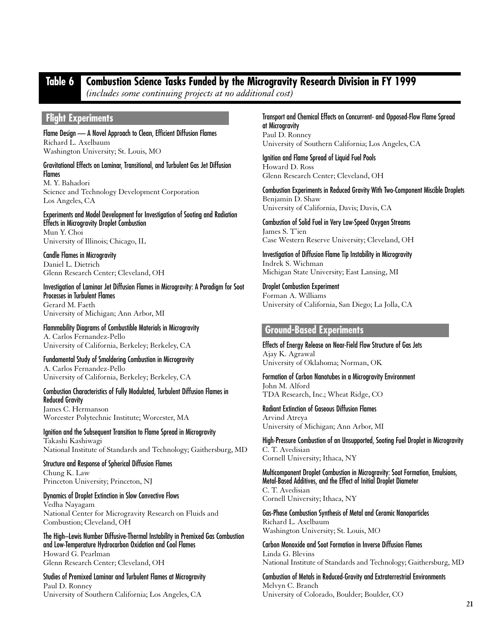## **Table 6 Combustion Science Tasks Funded by the Microgravity Research Division in FY 1999**

*(includes some continuing projects at no additional cost)*

## **Flight Experiments**

Flame Design — A Novel Approach to Clean, Efficient Diffusion Flames Richard L. Axelbaum Washington University; St. Louis, MO

Gravitational Effects on Laminar, Transitional, and Turbulent Gas Jet Diffusion **Flames** 

M. Y. Bahadori Science and Technology Development Corporation Los Angeles, CA

Experiments and Model Development for Investigation of Sooting and Radiation Effects in Microgravity Droplet Combustion Mun Y. Choi University of Illinois; Chicago, IL

Candle Flames in Microgravity Daniel L. Dietrich Glenn Research Center; Cleveland, OH

Investigation of Laminar Jet Diffusion Flames in Microgravity: A Paradigm for Soot Processes in Turbulent Flames Gerard M. Faeth

University of Michigan; Ann Arbor, MI

Flammability Diagrams of Combustible Materials in Microgravity A. Carlos Fernandez-Pello University of California, Berkeley; Berkeley, CA

Fundamental Study of Smoldering Combustion in Microgravity A. Carlos Fernandez-Pello University of California, Berkeley; Berkeley, CA

Combustion Characteristics of Fully Modulated, Turbulent Diffusion Flames in Reduced Gravity James C. Hermanson

Worcester Polytechnic Institute; Worcester, MA

Ignition and the Subsequent Transition to Flame Spread in Microgravity Takashi Kashiwagi National Institute of Standards and Technology; Gaithersburg, MD

Structure and Response of Spherical Diffusion Flames Chung K. Law Princeton University; Princeton, NJ

Dynamics of Droplet Extinction in Slow Convective Flows Vedha Nayagam National Center for Microgravity Research on Fluids and Combustion; Cleveland, OH

The High–Lewis Number Diffusive-Thermal Instability in Premixed Gas Combustion and Low-Temperature Hydrocarbon Oxidation and Cool Flames Howard G. Pearlman Glenn Research Center; Cleveland, OH

Studies of Premixed Laminar and Turbulent Flames at Microgravity Paul D. Ronney University of Southern California; Los Angeles, CA

#### Transport and Chemical Effects on Concurrent- and Opposed-Flow Flame Spread at Microgravity

Paul D. Ronney University of Southern California; Los Angeles, CA

Ignition and Flame Spread of Liquid Fuel Pools Howard D. Ross Glenn Research Center; Cleveland, OH

Combustion Experiments in Reduced Gravity With Two-Component Miscible Droplets Benjamin D. Shaw University of California, Davis; Davis, CA

Combustion of Solid Fuel in Very Low-Speed Oxygen Streams James S. T'ien Case Western Reserve University; Cleveland, OH

Investigation of Diffusion Flame Tip Instability in Microgravity Indrek S. Wichman Michigan State University; East Lansing, MI

Droplet Combustion Experiment Forman A. Williams University of California, San Diego; La Jolla, CA

## **Ground-Based Experiments**

Effects of Energy Release on Near-Field Flow Structure of Gas Jets Ajay K. Agrawal University of Oklahoma; Norman, OK

Formation of Carbon Nanotubes in a Microgravity Environment John M. Alford TDA Research, Inc.; Wheat Ridge, CO

Radiant Extinction of Gaseous Diffusion Flames Arvind Atreya University of Michigan; Ann Arbor, MI

High-Pressure Combustion of an Unsupported, Sooting Fuel Droplet in Microgravity C. T. Avedisian Cornell University; Ithaca, NY

Multicomponent Droplet Combustion in Microgravity: Soot Formation, Emulsions, Metal-Based Additives, and the Effect of Initial Droplet Diameter

C. T. Avedisian Cornell University; Ithaca, NY

Gas-Phase Combustion Synthesis of Metal and Ceramic Nanoparticles Richard L. Axelbaum Washington University; St. Louis, MO

Carbon Monoxide and Soot Formation in Inverse Diffusion Flames Linda G. Blevins National Institute of Standards and Technology; Gaithersburg, MD

Combustion of Metals in Reduced-Gravity and Extraterrestrial Environments Melvyn C. Branch University of Colorado, Boulder; Boulder, CO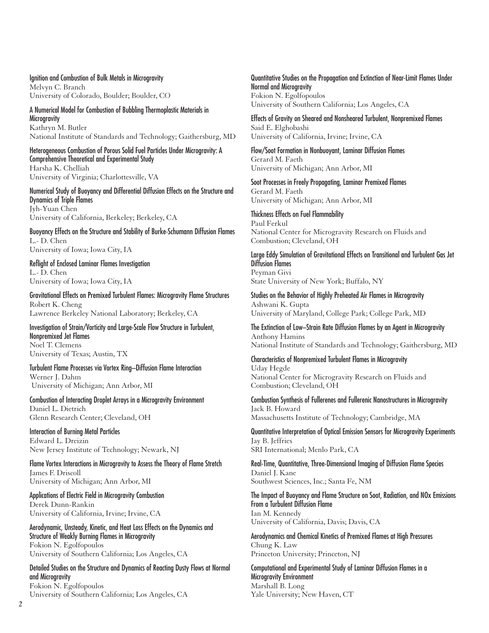#### Ignition and Combustion of Bulk Metals in Microgravity

Melvyn C. Branch University of Colorado, Boulder; Boulder, CO

A Numerical Model for Combustion of Bubbling Thermoplastic Materials in **Microgravity** Kathryn M. Butler National Institute of Standards and Technology; Gaithersburg, MD

Heterogeneous Combustion of Porous Solid Fuel Particles Under Microgravity: A Comprehensive Theoretical and Experimental Study

Harsha K. Chelliah University of Virginia; Charlottesville, VA

Numerical Study of Buoyancy and Differential Diffusion Effects on the Structure and Dynamics of Triple Flames Jyh-Yuan Chen University of California, Berkeley; Berkeley, CA

Buoyancy Effects on the Structure and Stability of Burke-Schumann Diffusion Flames L.- D. Chen University of Iowa; Iowa City, IA

Reflight of Enclosed Laminar Flames Investigation L.- D. Chen University of Iowa; Iowa City, IA

Gravitational Effects on Premixed Turbulent Flames: Microgravity Flame Structures Robert K. Cheng Lawrence Berkeley National Laboratory; Berkeley, CA

Investigation of Strain/Vorticity and Large-Scale Flow Structure in Turbulent, Nonpremixed Jet Flames Noel T. Clemens University of Texas; Austin, TX

Turbulent Flame Processes via Vortex Ring–Diffusion Flame Interaction Werner J. Dahm University of Michigan; Ann Arbor, MI

Combustion of Interacting Droplet Arrays in a Microgravity Environment Daniel L. Dietrich Glenn Research Center; Cleveland, OH

Interaction of Burning Metal Particles Edward L. Dreizin New Jersey Institute of Technology; Newark, NJ

Flame Vortex Interactions in Microgravity to Assess the Theory of Flame Stretch James F. Driscoll University of Michigan; Ann Arbor, MI

Applications of Electric Field in Microgravity Combustion Derek Dunn-Rankin University of California, Irvine; Irvine, CA

Aerodynamic, Unsteady, Kinetic, and Heat Loss Effects on the Dynamics and Structure of Weakly Burning Flames in Microgravity Fokion N. Egolfopoulos University of Southern California; Los Angeles, CA

Detailed Studies on the Structure and Dynamics of Reacting Dusty Flows at Normal and Microgravity Fokion N. Egolfopoulos

University of Southern California; Los Angeles, CA

Quantitative Studies on the Propagation and Extinction of Near-Limit Flames Under Normal and Microgravity Fokion N. Egolfopoulos University of Southern California; Los Angeles, CA

Effects of Gravity on Sheared and Nonsheared Turbulent, Nonpremixed Flames Said E. Elghobashi University of California, Irvine; Irvine, CA

Flow/Soot Formation in Nonbuoyant, Laminar Diffusion Flames Gerard M. Faeth University of Michigan; Ann Arbor, MI

Soot Processes in Freely Propagating, Laminar Premixed Flames Gerard M. Faeth University of Michigan; Ann Arbor, MI

Thickness Effects on Fuel Flammability Paul Ferkul National Center for Microgravity Research on Fluids and Combustion; Cleveland, OH

Large Eddy Simulation of Gravitational Effects on Transitional and Turbulent Gas Jet Diffusion Flames Peyman Givi

State University of New York; Buffalo, NY

Studies on the Behavior of Highly Preheated Air Flames in Microgravity Ashwani K. Gupta University of Maryland, College Park; College Park, MD

The Extinction of Low–Strain Rate Diffusion Flames by an Agent in Microgravity Anthony Hamins National Institute of Standards and Technology; Gaithersburg, MD

Characteristics of Nonpremixed Turbulent Flames in Microgravity Uday Hegde National Center for Microgravity Research on Fluids and Combustion; Cleveland, OH

Combustion Synthesis of Fullerenes and Fullerenic Nanostructures in Microgravity Jack B. Howard Massachusetts Institute of Technology; Cambridge, MA

Quantitative Interpretation of Optical Emission Sensors for Microgravity Experiments Jay B. Jeffries SRI International; Menlo Park, CA

Real-Time, Quantitative, Three-Dimensional Imaging of Diffusion Flame Species Daniel J. Kane Southwest Sciences, Inc.; Santa Fe, NM

The Impact of Buoyancy and Flame Structure on Soot, Radiation, and NOx Emissions From a Turbulent Diffusion Flame Ian M. Kennedy University of California, Davis; Davis, CA

Aerodynamics and Chemical Kinetics of Premixed Flames at High Pressures Chung K. Law Princeton University; Princeton, NJ

Computational and Experimental Study of Laminar Diffusion Flames in a Microgravity Environment Marshall B. Long Yale University; New Haven, CT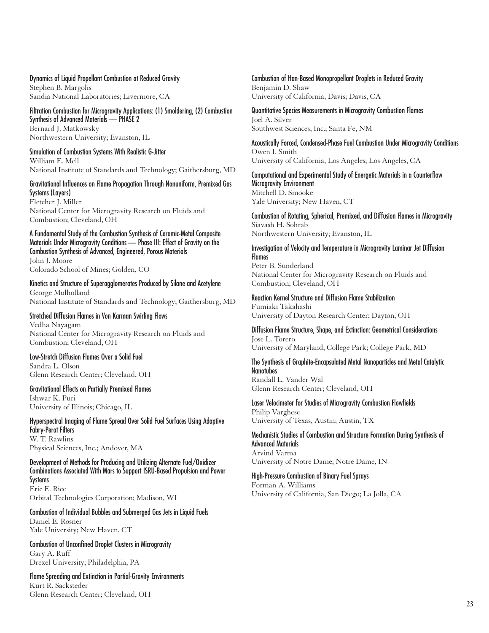Dynamics of Liquid Propellant Combustion at Reduced Gravity Stephen B. Margolis Sandia National Laboratories; Livermore, CA

Filtration Combustion for Microgravity Applications: (1) Smoldering, (2) Combustion Synthesis of Advanced Materials — PHASE 2 Bernard J. Matkowsky Northwestern University; Evanston, IL

Simulation of Combustion Systems With Realistic G-Jitter William E. Mell National Institute of Standards and Technology; Gaithersburg, MD

#### Gravitational Influences on Flame Propagation Through Nonuniform, Premixed Gas Systems (Layers)

Fletcher J. Miller National Center for Microgravity Research on Fluids and Combustion; Cleveland, OH

A Fundamental Study of the Combustion Synthesis of Ceramic-Metal Composite Materials Under Microgravity Conditions — Phase III: Effect of Gravity on the Combustion Synthesis of Advanced, Engineered, Porous Materials John J. Moore

Colorado School of Mines; Golden, CO

Kinetics and Structure of Superagglomerates Produced by Silane and Acetylene George Mulholland National Institute of Standards and Technology; Gaithersburg, MD

## Stretched Diffusion Flames in Von Karman Swirling Flows

Vedha Nayagam National Center for Microgravity Research on Fluids and Combustion; Cleveland, OH

Low-Stretch Diffusion Flames Over a Solid Fuel Sandra L. Olson Glenn Research Center; Cleveland, OH

Gravitational Effects on Partially Premixed Flames Ishwar K. Puri University of Illinois; Chicago, IL

#### Hyperspectral Imaging of Flame Spread Over Solid Fuel Surfaces Using Adaptive Fabry-Perot Filters

W. T. Rawlins Physical Sciences, Inc.; Andover, MA

Development of Methods for Producing and Utilizing Alternate Fuel/Oxidizer Combinations Associated With Mars to Support ISRU-Based Propulsion and Power Systems Eric E. Rice

Orbital Technologies Corporation; Madison, WI

Combustion of Individual Bubbles and Submerged Gas Jets in Liquid Fuels Daniel E. Rosner Yale University; New Haven, CT

Combustion of Unconfined Droplet Clusters in Microgravity Gary A. Ruff Drexel University; Philadelphia, PA

Flame Spreading and Extinction in Partial-Gravity Environments Kurt R. Sacksteder Glenn Research Center; Cleveland, OH

Combustion of Han-Based Monopropellant Droplets in Reduced Gravity Benjamin D. Shaw University of California, Davis; Davis, CA

Quantitative Species Measurements in Microgravity Combustion Flames Joel A. Silver Southwest Sciences, Inc.; Santa Fe, NM

Acoustically Forced, Condensed-Phase Fuel Combustion Under Microgravity Conditions Owen I. Smith University of California, Los Angeles; Los Angeles, CA

Computational and Experimental Study of Energetic Materials in a Counterflow Microgravity Environment Mitchell D. Smooke Yale University; New Haven, CT

Combustion of Rotating, Spherical, Premixed, and Diffusion Flames in Microgravity Siavash H. Sohrab Northwestern University; Evanston, IL

Investigation of Velocity and Temperature in Microgravity Laminar Jet Diffusion **Flames** Peter B. Sunderland National Center for Microgravity Research on Fluids and Combustion; Cleveland, OH

#### Reaction Kernel Structure and Diffusion Flame Stabilization

Fumiaki Takahashi University of Dayton Research Center; Dayton, OH

Diffusion Flame Structure, Shape, and Extinction: Geometrical Considerations Jose L. Torero University of Maryland, College Park; College Park, MD

#### The Synthesis of Graphite-Encapsulated Metal Nanoparticles and Metal Catalytic Nanotubes

Randall L. Vander Wal Glenn Research Center; Cleveland, OH

Laser Velocimeter for Studies of Microgravity Combustion Flowfields Philip Varghese University of Texas, Austin; Austin, TX

Mechanistic Studies of Combustion and Structure Formation During Synthesis of Advanced Materials Arvind Varma

University of Notre Dame; Notre Dame, IN

#### High-Pressure Combustion of Binary Fuel Sprays

Forman A. Williams University of California, San Diego; La Jolla, CA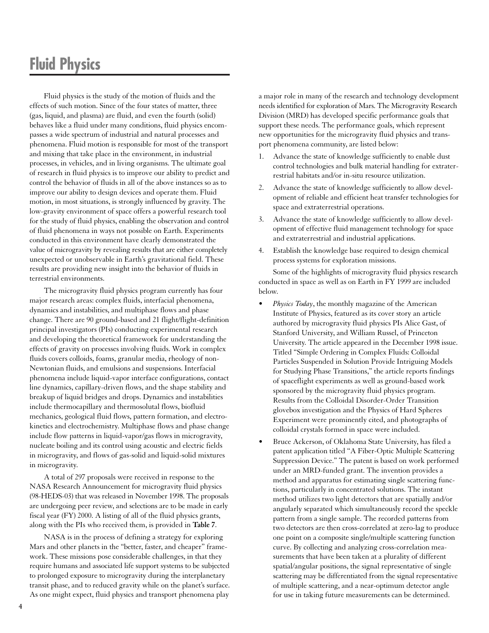# **Fluid Physics**

Fluid physics is the study of the motion of fluids and the effects of such motion. Since of the four states of matter, three (gas, liquid, and plasma) are fluid, and even the fourth (solid) behaves like a fluid under many conditions, fluid physics encompasses a wide spectrum of industrial and natural processes and phenomena. Fluid motion is responsible for most of the transport and mixing that take place in the environment, in industrial processes, in vehicles, and in living organisms. The ultimate goal of research in fluid physics is to improve our ability to predict and control the behavior of fluids in all of the above instances so as to improve our ability to design devices and operate them. Fluid motion, in most situations, is strongly influenced by gravity. The low-gravity environment of space offers a powerful research tool for the study of fluid physics, enabling the observation and control of fluid phenomena in ways not possible on Earth. Experiments conducted in this environment have clearly demonstrated the value of microgravity by revealing results that are either completely unexpected or unobservable in Earth's gravitational field. These results are providing new insight into the behavior of fluids in terrestrial environments.

The microgravity fluid physics program currently has four major research areas: complex fluids, interfacial phenomena, dynamics and instabilities, and multiphase flows and phase change. There are 90 ground-based and 21 flight/flight-definition principal investigators (PIs) conducting experimental research and developing the theoretical framework for understanding the effects of gravity on processes involving fluids. Work in complex fluids covers colloids, foams, granular media, rheology of non-Newtonian fluids, and emulsions and suspensions. Interfacial phenomena include liquid-vapor interface configurations, contact line dynamics, capillary-driven flows, and the shape stability and breakup of liquid bridges and drops. Dynamics and instabilities include thermocapillary and thermosolutal flows, biofluid mechanics, geological fluid flows, pattern formation, and electrokinetics and electrochemistry. Multiphase flows and phase change include flow patterns in liquid-vapor/gas flows in microgravity, nucleate boiling and its control using acoustic and electric fields in microgravity, and flows of gas-solid and liquid-solid mixtures in microgravity.

A total of 297 proposals were received in response to the NASA Research Announcement for microgravity fluid physics (98-HEDS-03) that was released in November 1998. The proposals are undergoing peer review, and selections are to be made in early fiscal year (FY) 2000. A listing of all of the fluid physics grants, along with the PIs who received them, is provided in **Table 7**.

NASA is in the process of defining a strategy for exploring Mars and other planets in the "better, faster, and cheaper" framework. These missions pose considerable challenges, in that they require humans and associated life support systems to be subjected to prolonged exposure to microgravity during the interplanetary transit phase, and to reduced gravity while on the planet's surface. As one might expect, fluid physics and transport phenomena play

a major role in many of the research and technology development needs identified for exploration of Mars. The Microgravity Research Division (MRD) has developed specific performance goals that support these needs. The performance goals, which represent new opportunities for the microgravity fluid physics and transport phenomena community, are listed below:

- 1. Advance the state of knowledge sufficiently to enable dust control technologies and bulk material handling for extraterrestrial habitats and/or in-situ resource utilization.
- 2. Advance the state of knowledge sufficiently to allow development of reliable and efficient heat transfer technologies for space and extraterrestrial operations.
- 3. Advance the state of knowledge sufficiently to allow development of effective fluid management technology for space and extraterrestrial and industrial applications.
- 4. Establish the knowledge base required to design chemical process systems for exploration missions.

Some of the highlights of microgravity fluid physics research conducted in space as well as on Earth in FY 1999 are included below.

- *Physics Today*, the monthly magazine of the American Institute of Physics, featured as its cover story an article authored by microgravity fluid physics PIs Alice Gast, of Stanford University, and William Russel, of Princeton University. The article appeared in the December 1998 issue. Titled "Simple Ordering in Complex Fluids: Colloidal Particles Suspended in Solution Provide Intriguing Models for Studying Phase Transitions," the article reports findings of spaceflight experiments as well as ground-based work sponsored by the microgravity fluid physics program. Results from the Colloidal Disorder-Order Transition glovebox investigation and the Physics of Hard Spheres Experiment were prominently cited, and photographs of colloidal crystals formed in space were included.
- Bruce Ackerson, of Oklahoma State University, has filed a patent application titled "A Fiber-Optic Multiple Scattering Suppression Device." The patent is based on work performed under an MRD-funded grant. The invention provides a method and apparatus for estimating single scattering functions, particularly in concentrated solutions. The instant method utilizes two light detectors that are spatially and/or angularly separated which simultaneously record the speckle pattern from a single sample. The recorded patterns from two detectors are then cross-correlated at zero-lag to produce one point on a composite single/multiple scattering function curve. By collecting and analyzing cross-correlation measurements that have been taken at a plurality of different spatial/angular positions, the signal representative of single scattering may be differentiated from the signal representative of multiple scattering, and a near-optimum detector angle for use in taking future measurements can be determined.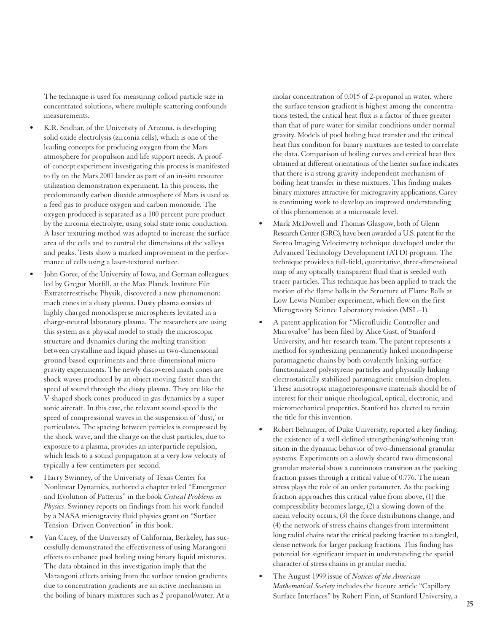The technique is used for measuring colloid particle size in concentrated solutions, where multiple scattering confounds measurements.

- K.R. Sridhar, of the University of Arizona, is developing solid oxide electrolysis (zirconia cells), which is one of the leading concepts for producing oxygen from the Mars atmosphere for propulsion and life support needs. A proofof-concept experiment investigating this process is manifested to fly on the Mars 2001 lander as part of an in-situ resource utilization demonstration experiment. In this process, the predominantly carbon dioxide atmosphere of Mars is used as a feed gas to produce oxygen and carbon monoxide. The oxygen produced is separated as a 100 percent pure product by the zirconia electrolyte, using solid state ionic conduction. A laser texturing method was adopted to increase the surface area of the cells and to control the dimensions of the valleys and peaks. Tests show a marked improvement in the performance of cells using a laser-textured surface.
- John Goree, of the University of Iowa, and German colleagues led by Gregor Morfill, at the Max Planck Institute Für Extraterrestrische Physik, discovered a new phenomenon: mach cones in a dusty plasma. Dusty plasma consists of highly charged monodisperse microspheres levitated in a charge-neutral laboratory plasma. The researchers are using this system as a physical model to study the microscopic structure and dynamics during the melting transition between crystalline and liquid phases in two-dimensional ground-based experiments and three-dimensional microgravity experiments. The newly discovered mach cones are shock waves produced by an object moving faster than the speed of sound through the dusty plasma. They are like the V-shaped shock cones produced in gas dynamics by a supersonic aircraft. In this case, the relevant sound speed is the speed of compressional waves in the suspension of 'dust,' or particulates. The spacing between particles is compressed by the shock wave, and the charge on the dust particles, due to exposure to a plasma, provides an interparticle repulsion, which leads to a sound propagation at a very low velocity of typically a few centimeters per second.
- Harry Swinney, of the University of Texas Center for Nonlinear Dynamics, authored a chapter titled "Emergence and Evolution of Patterns" in the book *Critical Problems in Physics*. Swinney reports on findings from his work funded by a NASA microgravity fluid physics grant on "Surface Tension–Driven Convection" in this book.
- Van Carey, of the University of California, Berkeley, has successfully demonstrated the effectiveness of using Marangoni effects to enhance pool boiling using binary liquid mixtures. The data obtained in this investigation imply that the Marangoni effects arising from the surface tension gradients due to concentration gradients are an active mechanism in the boiling of binary mixtures such as 2-propanol/water. At a

molar concentration of 0.015 of 2-propanol in water, where the surface tension gradient is highest among the concentrations tested, the critical heat flux is a factor of three greater than that of pure water for similar conditions under normal gravity. Models of pool boiling heat transfer and the critical heat flux condition for binary mixtures are tested to correlate the data. Comparison of boiling curves and critical heat flux obtained at different orientations of the heater surface indicates that there is a strong gravity-independent mechanism of boiling heat transfer in these mixtures. This finding makes binary mixtures attractive for microgravity applications. Carey is continuing work to develop an improved understanding of this phenomenon at a microscale level.

- Mark McDowell and Thomas Glasgow, both of Glenn Research Center (GRC), have been awarded a U.S. patent for the Stereo Imaging Velocimetry technique developed under the Advanced Technology Development (ATD) program. The technique provides a full-field, quantitative, three-dimensional map of any optically transparent fluid that is seeded with tracer particles. This technique has been applied to track the motion of the flame balls in the Structure of Flame Balls at Low Lewis Number experiment, which flew on the first Microgravity Science Laboratory mission (MSL–1).
- A patent application for "Microfluidic Controller and Microvalve" has been filed by Alice Gast, of Stanford University, and her research team. The patent represents a method for synthesizing permanently linked monodisperse paramagnetic chains by both covalently linking surfacefunctionalized polystyrene particles and physically linking electrostatically stabilized paramagnetic emulsion droplets. These anisotropic magnetoresponsive materials should be of interest for their unique rheological, optical, electronic, and micromechanical properties. Stanford has elected to retain the title for this invention.
- Robert Behringer, of Duke University, reported a key finding: the existence of a well-defined strengthening/softening transition in the dynamic behavior of two-dimensional granular systems. Experiments on a slowly sheared two-dimensional granular material show a continuous transition as the packing fraction passes through a critical value of 0.776. The mean stress plays the role of an order parameter. As the packing fraction approaches this critical value from above, (1) the compressibility becomes large, (2) a slowing down of the mean velocity occurs, (3) the force distributions change, and (4) the network of stress chains changes from intermittent long radial chains near the critical packing fraction to a tangled, dense network for larger packing fractions. This finding has potential for significant impact in understanding the spatial character of stress chains in granular media.
- The August 1999 issue of *Notices of the American Mathematical Society* includes the feature article "Capillary Surface Interfaces" by Robert Finn, of Stanford University, a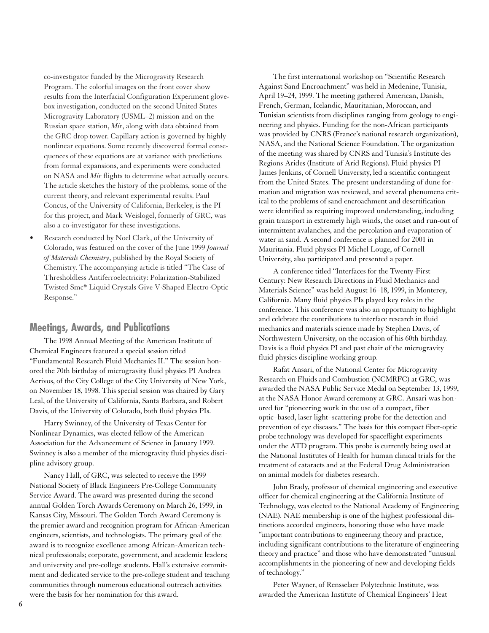co-investigator funded by the Microgravity Research Program. The colorful images on the front cover show results from the Interfacial Configuration Experiment glovebox investigation, conducted on the second United States Microgravity Laboratory (USML–2) mission and on the Russian space station, *Mir*, along with data obtained from the GRC drop tower. Capillary action is governed by highly nonlinear equations. Some recently discovered formal consequences of these equations are at variance with predictions from formal expansions, and experiments were conducted on NASA and *Mir* flights to determine what actually occurs. The article sketches the history of the problems, some of the current theory, and relevant experimental results. Paul Concus, of the University of California, Berkeley, is the PI for this project, and Mark Weislogel, formerly of GRC, was also a co-investigator for these investigations.

Research conducted by Noel Clark, of the University of Colorado, was featured on the cover of the June 1999 *Journal of Materials Chemistry*, published by the Royal Society of Chemistry. The accompanying article is titled "The Case of Thresholdless Antiferroelectricity: Polarization-Stabilized Twisted Smc\* Liquid Crystals Give V-Shaped Electro-Optic Response."

## **Meetings, Awards, and Publications**

The 1998 Annual Meeting of the American Institute of Chemical Engineers featured a special session titled "Fundamental Research Fluid Mechanics II." The session honored the 70th birthday of microgravity fluid physics PI Andrea Acrivos, of the City College of the City University of New York, on November 18, 1998. This special session was chaired by Gary Leal, of the University of California, Santa Barbara, and Robert Davis, of the University of Colorado, both fluid physics PIs.

Harry Swinney, of the University of Texas Center for Nonlinear Dynamics, was elected fellow of the American Association for the Advancement of Science in January 1999. Swinney is also a member of the microgravity fluid physics discipline advisory group.

Nancy Hall, of GRC, was selected to receive the 1999 National Society of Black Engineers Pre-College Community Service Award. The award was presented during the second annual Golden Torch Awards Ceremony on March 26, 1999, in Kansas City, Missouri. The Golden Torch Award Ceremony is the premier award and recognition program for African-American engineers, scientists, and technologists. The primary goal of the award is to recognize excellence among African-American technical professionals; corporate, government, and academic leaders; and university and pre-college students. Hall's extensive commitment and dedicated service to the pre-college student and teaching communities through numerous educational outreach activities were the basis for her nomination for this award.

The first international workshop on "Scientific Research Against Sand Encroachment" was held in Medenine, Tunisia, April 19–24, 1999. The meeting gathered American, Danish, French, German, Icelandic, Mauritanian, Moroccan, and Tunisian scientists from disciplines ranging from geology to engineering and physics. Funding for the non-African participants was provided by CNRS (France's national research organization), NASA, and the National Science Foundation. The organization of the meeting was shared by CNRS and Tunisia's Institute des Regions Arides (Institute of Arid Regions). Fluid physics PI James Jenkins, of Cornell University, led a scientific contingent from the United States. The present understanding of dune formation and migration was reviewed, and several phenomena critical to the problems of sand encroachment and desertification were identified as requiring improved understanding, including grain transport in extremely high winds, the onset and run-out of intermittent avalanches, and the percolation and evaporation of water in sand. A second conference is planned for 2001 in Mauritania. Fluid physics PI Michel Louge, of Cornell University, also participated and presented a paper.

A conference titled "Interfaces for the Twenty-First Century: New Research Directions in Fluid Mechanics and Materials Science" was held August 16–18, 1999, in Monterey, California. Many fluid physics PIs played key roles in the conference. This conference was also an opportunity to highlight and celebrate the contributions to interface research in fluid mechanics and materials science made by Stephen Davis, of Northwestern University, on the occasion of his 60th birthday. Davis is a fluid physics PI and past chair of the microgravity fluid physics discipline working group.

Rafat Ansari, of the National Center for Microgravity Research on Fluids and Combustion (NCMRFC) at GRC, was awarded the NASA Public Service Medal on September 13, 1999, at the NASA Honor Award ceremony at GRC. Ansari was honored for "pioneering work in the use of a compact, fiber optic–based, laser light–scattering probe for the detection and prevention of eye diseases." The basis for this compact fiber-optic probe technology was developed for spaceflight experiments under the ATD program. This probe is currently being used at the National Institutes of Health for human clinical trials for the treatment of cataracts and at the Federal Drug Administration on animal models for diabetes research.

John Brady, professor of chemical engineering and executive officer for chemical engineering at the California Institute of Technology, was elected to the National Academy of Engineering (NAE). NAE membership is one of the highest professional distinctions accorded engineers, honoring those who have made "important contributions to engineering theory and practice, including significant contributions to the literature of engineering theory and practice" and those who have demonstrated "unusual accomplishments in the pioneering of new and developing fields of technology."

Peter Wayner, of Rensselaer Polytechnic Institute, was awarded the American Institute of Chemical Engineers' Heat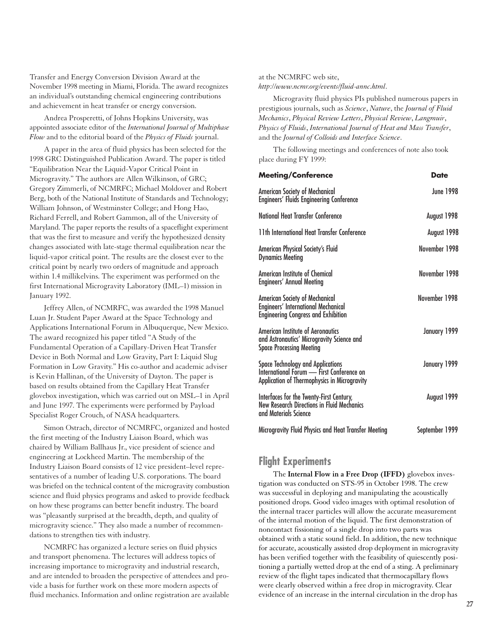Transfer and Energy Conversion Division Award at the November 1998 meeting in Miami, Florida. The award recognizes an individual's outstanding chemical engineering contributions and achievement in heat transfer or energy conversion.

Andrea Prosperetti, of Johns Hopkins University, was appointed associate editor of the *International Journal of Multiphase Flow* and to the editorial board of the *Physics of Fluids* journal.

A paper in the area of fluid physics has been selected for the 1998 GRC Distinguished Publication Award. The paper is titled "Equilibration Near the Liquid-Vapor Critical Point in Microgravity." The authors are Allen Wilkinson, of GRC; Gregory Zimmerli, of NCMRFC; Michael Moldover and Robert Berg, both of the National Institute of Standards and Technology; William Johnson, of Westminster College; and Hong Hao, Richard Ferrell, and Robert Gammon, all of the University of Maryland. The paper reports the results of a spaceflight experiment that was the first to measure and verify the hypothesized density changes associated with late-stage thermal equilibration near the liquid-vapor critical point. The results are the closest ever to the critical point by nearly two orders of magnitude and approach within 1.4 millikelvins. The experiment was performed on the first International Microgravity Laboratory (IML–1) mission in January 1992.

Jeffrey Allen, of NCMRFC, was awarded the 1998 Manuel Luan Jr. Student Paper Award at the Space Technology and Applications International Forum in Albuquerque, New Mexico. The award recognized his paper titled "A Study of the Fundamental Operation of a Capillary-Driven Heat Transfer Device in Both Normal and Low Gravity, Part I: Liquid Slug Formation in Low Gravity." His co-author and academic adviser is Kevin Hallinan, of the University of Dayton. The paper is based on results obtained from the Capillary Heat Transfer glovebox investigation, which was carried out on MSL–1 in April and June 1997. The experiments were performed by Payload Specialist Roger Crouch, of NASA headquarters.

Simon Ostrach, director of NCMRFC, organized and hosted the first meeting of the Industry Liaison Board, which was chaired by William Ballhaus Jr., vice president of science and engineering at Lockheed Martin. The membership of the Industry Liaison Board consists of 12 vice president–level representatives of a number of leading U.S. corporations. The board was briefed on the technical content of the microgravity combustion science and fluid physics programs and asked to provide feedback on how these programs can better benefit industry. The board was "pleasantly surprised at the breadth, depth, and quality of microgravity science." They also made a number of recommendations to strengthen ties with industry.

NCMRFC has organized a lecture series on fluid physics and transport phenomena. The lectures will address topics of increasing importance to microgravity and industrial research, and are intended to broaden the perspective of attendees and provide a basis for further work on these more modern aspects of fluid mechanics. Information and online registration are available

at the NCMRFC web site, *http://www.ncmr.org/events/fluid-annc.html*.

Microgravity fluid physics PIs published numerous papers in prestigious journals, such as *Science*, *Nature*, the *Journal of Fluid Mechanics*, *Physical Review Letters*, *Physical Review*, *Langmuir*, *Physics of Fluids*, *International Journal of Heat and Mass Transfer*, and the *Journal of Colloids and Interface Science*.

The following meetings and conferences of note also took place during FY 1999:

| <b>Meeting/Conference</b>                                                                                                      | Date             |
|--------------------------------------------------------------------------------------------------------------------------------|------------------|
| American Society of Mechanical<br><b>Engineers' Fluids Engineering Conference</b>                                              | <b>June 1998</b> |
| <b>National Heat Transfer Conference</b>                                                                                       | August 1998      |
| 11th International Heat Transfer Conference                                                                                    | August 1998      |
| American Physical Society's Fluid<br><b>Dynamics Meeting</b>                                                                   | November 1998    |
| American Institute of Chemical<br><b>Engineers' Annual Meeting</b>                                                             | November 1998    |
| American Society of Mechanical<br>Engineers' International Mechanical<br><b>Engineering Congress and Exhibition</b>            | November 1998    |
| <b>American Institute of Aeronautics</b><br>and Astronautics' Microgravity Science and<br><b>Space Processing Meeting</b>      | January 1999     |
| Space Technology and Applications<br>International Forum - First Conference on<br>Application of Thermophysics in Microgravity | January 1999     |
| Interfaces for the Twenty-First Century,<br><b>New Research Directions in Fluid Mechanics</b><br>and Materials Science         | August 1999      |
| Microgravity Fluid Physics and Heat Transfer Meeting                                                                           | September 1999   |

## **Flight Experiments**

The **Internal Flow in a Free Drop (IFFD)** glovebox investigation was conducted on STS-95 in October 1998. The crew was successful in deploying and manipulating the acoustically positioned drops. Good video images with optimal resolution of the internal tracer particles will allow the accurate measurement of the internal motion of the liquid. The first demonstration of noncontact fissioning of a single drop into two parts was obtained with a static sound field. In addition, the new technique for accurate, acoustically assisted drop deployment in microgravity has been verified together with the feasibility of quiescently positioning a partially wetted drop at the end of a sting. A preliminary review of the flight tapes indicated that thermocapillary flows were clearly observed within a free drop in microgravity. Clear evidence of an increase in the internal circulation in the drop has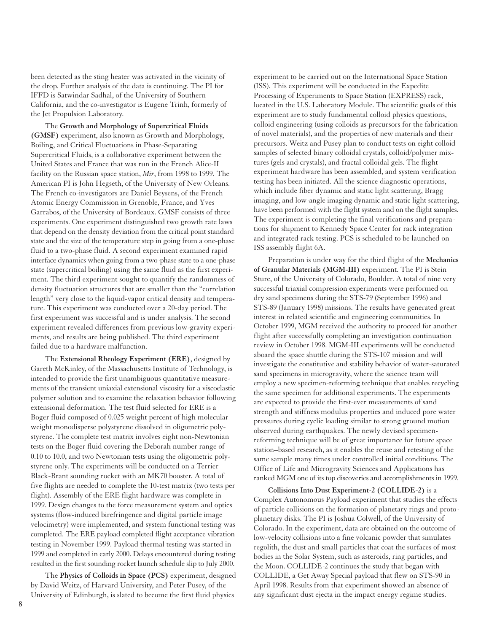been detected as the sting heater was activated in the vicinity of the drop. Further analysis of the data is continuing. The PI for IFFD is Satwindar Sadhal, of the University of Southern California, and the co-investigator is Eugene Trinh, formerly of the Jet Propulsion Laboratory.

The **Growth and Morphology of Supercritical Fluids (GMSF)** experiment, also known as Growth and Morphology, Boiling, and Critical Fluctuations in Phase-Separating Supercritical Fluids, is a collaborative experiment between the United States and France that was run in the French Alice-II facility on the Russian space station, *Mir*, from 1998 to 1999. The American PI is John Hegseth, of the University of New Orleans. The French co-investigators are Daniel Beysens, of the French Atomic Energy Commission in Grenoble, France, and Yves Garrabos, of the University of Bordeaux. GMSF consists of three experiments. One experiment distinguished two growth rate laws that depend on the density deviation from the critical point standard state and the size of the temperature step in going from a one-phase fluid to a two-phase fluid. A second experiment examined rapid interface dynamics when going from a two-phase state to a one-phase state (supercritical boiling) using the same fluid as the first experiment. The third experiment sought to quantify the randomness of density fluctuation structures that are smaller than the "correlation length" very close to the liquid-vapor critical density and temperature. This experiment was conducted over a 20-day period. The first experiment was successful and is under analysis. The second experiment revealed differences from previous low-gravity experiments, and results are being published. The third experiment failed due to a hardware malfunction.

The **Extensional Rheology Experiment (ERE)**, designed by Gareth McKinley, of the Massachusetts Institute of Technology, is intended to provide the first unambiguous quantitative measurements of the transient uniaxial extensional viscosity for a viscoelastic polymer solution and to examine the relaxation behavior following extensional deformation. The test fluid selected for ERE is a Boger fluid composed of 0.025 weight percent of high molecular weight monodisperse polystyrene dissolved in oligometric polystyrene. The complete test matrix involves eight non-Newtonian tests on the Boger fluid covering the Deborah number range of 0.10 to 10.0, and two Newtonian tests using the oligometric polystyrene only. The experiments will be conducted on a Terrier Black-Brant sounding rocket with an MK70 booster. A total of five flights are needed to complete the 10-test matrix (two tests per flight). Assembly of the ERE flight hardware was complete in 1999. Design changes to the force measurement system and optics systems (flow-induced birefringence and digital particle image velocimetry) were implemented, and system functional testing was completed. The ERE payload completed flight acceptance vibration testing in November 1999. Payload thermal testing was started in 1999 and completed in early 2000. Delays encountered during testing resulted in the first sounding rocket launch schedule slip to July 2000.

The **Physics of Colloids in Space (PCS)** experiment, designed by David Weitz, of Harvard University, and Peter Pusey, of the University of Edinburgh, is slated to become the first fluid physics

experiment to be carried out on the International Space Station (ISS). This experiment will be conducted in the Expedite Processing of Experiments to Space Station (EXPRESS) rack, located in the U.S. Laboratory Module. The scientific goals of this experiment are to study fundamental colloid physics questions, colloid engineering (using colloids as precursors for the fabrication of novel materials), and the properties of new materials and their precursors. Weitz and Pusey plan to conduct tests on eight colloid samples of selected binary colloidal crystals, colloid/polymer mixtures (gels and crystals), and fractal colloidal gels. The flight experiment hardware has been assembled, and system verification testing has been initiated. All the science diagnostic operations, which include fiber dynamic and static light scattering, Bragg imaging, and low-angle imaging dynamic and static light scattering, have been performed with the flight system and on the flight samples. The experiment is completing the final verifications and preparations for shipment to Kennedy Space Center for rack integration and integrated rack testing. PCS is scheduled to be launched on ISS assembly flight 6A.

Preparation is under way for the third flight of the **Mechanics of Granular Materials (MGM-III)** experiment. The PI is Stein Sture, of the University of Colorado, Boulder. A total of nine very successful triaxial compression experiments were performed on dry sand specimens during the STS-79 (September 1996) and STS-89 (January 1998) missions. The results have generated great interest in related scientific and engineering communities. In October 1999, MGM received the authority to proceed for another flight after successfully completing an investigation continuation review in October 1998. MGM-III experiments will be conducted aboard the space shuttle during the STS-107 mission and will investigate the constitutive and stability behavior of water-saturated sand specimens in microgravity, where the science team will employ a new specimen-reforming technique that enables recycling the same specimen for additional experiments. The experiments are expected to provide the first-ever measurements of sand strength and stiffness modulus properties and induced pore water pressures during cyclic loading similar to strong ground motion observed during earthquakes. The newly devised specimenreforming technique will be of great importance for future space station–based research, as it enables the reuse and retesting of the same sample many times under controlled initial conditions. The Office of Life and Microgravity Sciences and Applications has ranked MGM one of its top discoveries and accomplishments in 1999.

**Collisions Into Dust Experiment-2 (COLLIDE-2)** is a Complex Autonomous Payload experiment that studies the effects of particle collisions on the formation of planetary rings and protoplanetary disks. The PI is Joshua Colwell, of the University of Colorado. In the experiment, data are obtained on the outcome of low-velocity collisions into a fine volcanic powder that simulates regolith, the dust and small particles that coat the surfaces of most bodies in the Solar System, such as asteroids, ring particles, and the Moon. COLLIDE-2 continues the study that began with COLLIDE, a Get Away Special payload that flew on STS-90 in April 1998. Results from that experiment showed an absence of any significant dust ejecta in the impact energy regime studies.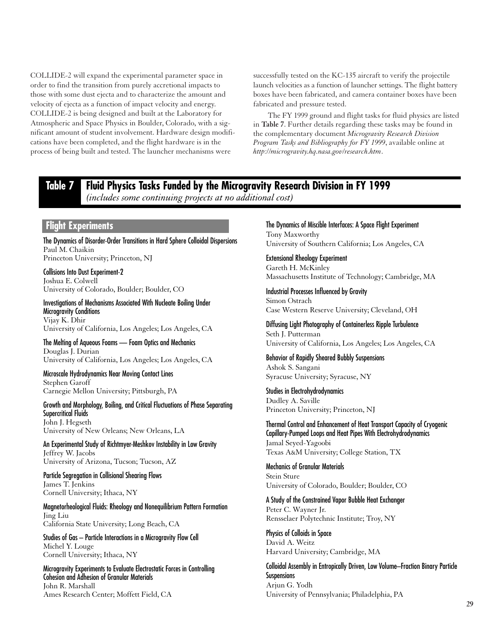COLLIDE-2 will expand the experimental parameter space in order to find the transition from purely accretional impacts to those with some dust ejecta and to characterize the amount and velocity of ejecta as a function of impact velocity and energy. COLLIDE-2 is being designed and built at the Laboratory for Atmospheric and Space Physics in Boulder, Colorado, with a significant amount of student involvement. Hardware design modifications have been completed, and the flight hardware is in the process of being built and tested. The launcher mechanisms were

successfully tested on the KC-135 aircraft to verify the projectile launch velocities as a function of launcher settings. The flight battery boxes have been fabricated, and camera container boxes have been fabricated and pressure tested.

The FY 1999 ground and flight tasks for fluid physics are listed in **Table 7**. Further details regarding these tasks may be found in the complementary document *Microgravity Research Division Program Tasks and Bibliography for FY 1999*, available online at *http://microgravity.hq.nasa.gov/research.htm*.

## **Table 7 Fluid Physics Tasks Funded by the Microgravity Research Division in FY 1999**

*(includes some continuing projects at no additional cost)*

## **Flight Experiments**

The Dynamics of Disorder-Order Transitions in Hard Sphere Colloidal Dispersions Paul M. Chaikin Princeton University; Princeton, NJ

Collisions Into Dust Experiment-2 Joshua E. Colwell University of Colorado, Boulder; Boulder, CO

Investigations of Mechanisms Associated With Nucleate Boiling Under Microgravity Conditions Vijay K. Dhir University of California, Los Angeles; Los Angeles, CA

The Melting of Aqueous Foams — Foam Optics and Mechanics Douglas J. Durian University of California, Los Angeles; Los Angeles, CA

Microscale Hydrodynamics Near Moving Contact Lines Stephen Garoff Carnegie Mellon University; Pittsburgh, PA

Growth and Morphology, Boiling, and Critical Fluctuations of Phase Separating Supercritical Fluids John J. Hegseth University of New Orleans; New Orleans, LA

An Experimental Study of Richtmyer-Meshkov Instability in Low Gravity Jeffrey W. Jacobs University of Arizona, Tucson; Tucson, AZ

Particle Segregation in Collisional Shearing Flows James T. Jenkins Cornell University; Ithaca, NY

Magnetorheological Fluids: Rheology and Nonequilibrium Pattern Formation Jing Liu California State University; Long Beach, CA

Studies of Gas – Particle Interactions in a Microgravity Flow Cell Michel Y. Louge Cornell University; Ithaca, NY

Microgravity Experiments to Evaluate Electrostatic Forces in Controlling Cohesion and Adhesion of Granular Materials John R. Marshall Ames Research Center; Moffett Field, CA

The Dynamics of Miscible Interfaces: A Space Flight Experiment Tony Maxworthy University of Southern California; Los Angeles, CA

Extensional Rheology Experiment Gareth H. McKinley Massachusetts Institute of Technology; Cambridge, MA

Industrial Processes Influenced by Gravity Simon Ostrach Case Western Reserve University; Cleveland, OH

Diffusing Light Photography of Containerless Ripple Turbulence Seth J. Putterman University of California, Los Angeles; Los Angeles, CA

Behavior of Rapidly Sheared Bubbly Suspensions Ashok S. Sangani Syracuse University; Syracuse, NY

Studies in Electrohydrodynamics Dudley A. Saville Princeton University; Princeton, NJ

Thermal Control and Enhancement of Heat Transport Capacity of Cryogenic Capillary-Pumped Loops and Heat Pipes With Electrohydrodynamics Jamal Seyed-Yagoobi Texas A&M University; College Station, TX

Mechanics of Granular Materials Stein Sture University of Colorado, Boulder; Boulder, CO

A Study of the Constrained Vapor Bubble Heat Exchanger Peter C. Wayner Jr. Rensselaer Polytechnic Institute; Troy, NY

Physics of Colloids in Space David A. Weitz Harvard University; Cambridge, MA

Colloidal Assembly in Entropically Driven, Low Volume–Fraction Binary Particle **Suspensions** Arjun G. Yodh University of Pennsylvania; Philadelphia, PA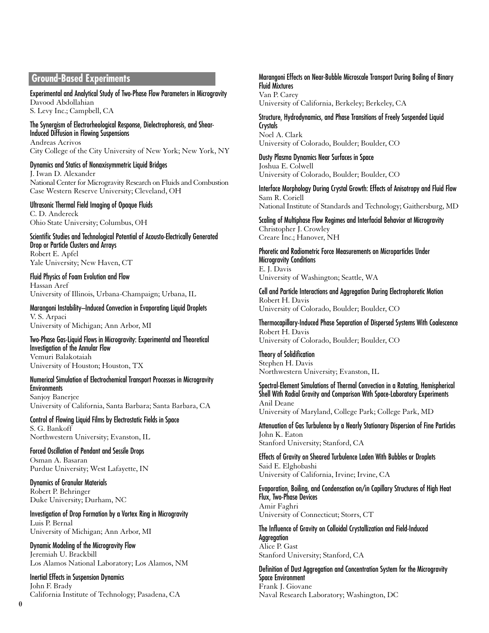## **Ground-Based Experiments**

#### Experimental and Analytical Study of Two-Phase Flow Parameters in Microgravity Davood Abdollahian

S. Levy Inc.; Campbell, CA

#### The Synergism of Electrorheological Response, Dielectrophoresis, and Shear-Induced Diffusion in Flowing Suspensions

Andreas Acrivos City College of the City University of New York; New York, NY

#### Dynamics and Statics of Nonaxisymmetric Liquid Bridges J. Iwan D. Alexander National Center for Microgravity Research on Fluids and Combustion Case Western Reserve University; Cleveland, OH

#### Ultrasonic Thermal Field Imaging of Opaque Fluids

C. D. Andereck Ohio State University; Columbus, OH

Scientific Studies and Technological Potential of Acousto-Electrically Generated Drop or Particle Clusters and Arrays Robert E. Apfel Yale University; New Haven, CT

Fluid Physics of Foam Evolution and Flow Hassan Aref University of Illinois, Urbana-Champaign; Urbana, IL

Marangoni Instability–Induced Convection in Evaporating Liquid Droplets V. S. Arpaci University of Michigan; Ann Arbor, MI

Two-Phase Gas-Liquid Flows in Microgravity: Experimental and Theoretical Investigation of the Annular Flow Vemuri Balakotaiah

University of Houston; Houston, TX

#### Numerical Simulation of Electrochemical Transport Processes in Microgravity **Environments**

Sanjoy Banerjee University of California, Santa Barbara; Santa Barbara, CA

Control of Flowing Liquid Films by Electrostatic Fields in Space S. G. Bankoff Northwestern University; Evanston, IL

Forced Oscillation of Pendant and Sessile Drops Osman A. Basaran Purdue University; West Lafayette, IN

Dynamics of Granular Materials Robert P. Behringer Duke University; Durham, NC

Investigation of Drop Formation by a Vortex Ring in Microgravity Luis P. Bernal University of Michigan; Ann Arbor, MI

Dynamic Modeling of the Microgravity Flow Jeremiah U. Brackbill Los Alamos National Laboratory; Los Alamos, NM

Inertial Effects in Suspension Dynamics John F. Brady California Institute of Technology; Pasadena, CA

#### Marangoni Effects on Near-Bubble Microscale Transport During Boiling of Binary Fluid Mixtures Van P. Carey

University of California, Berkeley; Berkeley, CA

#### Structure, Hydrodynamics, and Phase Transitions of Freely Suspended Liquid **Crystals** Noel A. Clark University of Colorado, Boulder; Boulder, CO

Dusty Plasma Dynamics Near Surfaces in Space Joshua E. Colwell University of Colorado, Boulder; Boulder, CO

Interface Morphology During Crystal Growth: Effects of Anisotropy and Fluid Flow Sam R. Coriell National Institute of Standards and Technology; Gaithersburg, MD

Scaling of Multiphase Flow Regimes and Interfacial Behavior at Microgravity Christopher J. Crowley Creare Inc.; Hanover, NH

Phoretic and Radiometric Force Measurements on Microparticles Under Microgravity Conditions E. J. Davis University of Washington; Seattle, WA

Cell and Particle Interactions and Aggregation During Electrophoretic Motion Robert H. Davis University of Colorado, Boulder; Boulder, CO

Thermocapillary-Induced Phase Separation of Dispersed Systems With Coalescence Robert H. Davis University of Colorado, Boulder; Boulder, CO

Theory of Solidification Stephen H. Davis Northwestern University; Evanston, IL

Spectral-Element Simulations of Thermal Convection in a Rotating, Hemispherical Shell With Radial Gravity and Comparison With Space-Laboratory Experiments Anil Deane University of Maryland, College Park; College Park, MD

Attenuation of Gas Turbulence by a Nearly Stationary Dispersion of Fine Particles John K. Eaton Stanford University; Stanford, CA

Effects of Gravity on Sheared Turbulence Laden With Bubbles or Droplets Said E. Elghobashi University of California, Irvine; Irvine, CA

Evaporation, Boiling, and Condensation on/in Capillary Structures of High Heat Flux, Two-Phase Devices Amir Faghri University of Connecticut; Storrs, CT

The Influence of Gravity on Colloidal Crystallization and Field-Induced Aggregation Alice P. Gast Stanford University; Stanford, CA

Definition of Dust Aggregation and Concentration System for the Microgravity Space Environment Frank J. Giovane Naval Research Laboratory; Washington, DC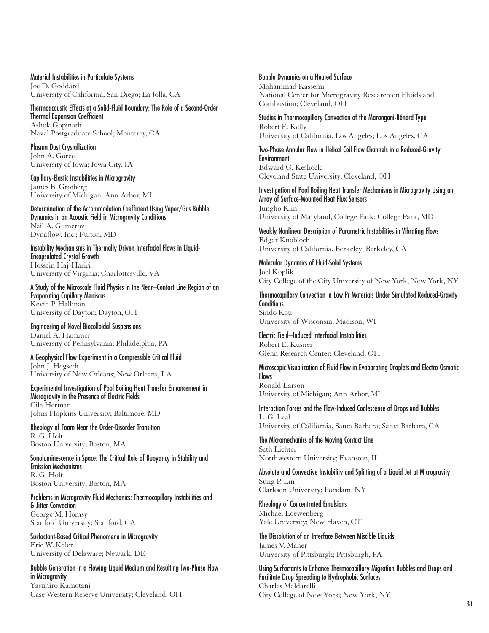Material Instabilities in Particulate Systems Joe D. Goddard University of California, San Diego; La Jolla, CA

Thermoacoustic Effects at a Solid-Fluid Boundary: The Role of a Second-Order Thermal Expansion Coefficient Ashok Gopinath Naval Postgraduate School; Monterey, CA

Plasma Dust Crystallization John A. Goree University of Iowa; Iowa City, IA

Capillary-Elastic Instabilities in Microgravity James B. Grotberg University of Michigan; Ann Arbor, MI

Determination of the Accommodation Coefficient Using Vapor/Gas Bubble Dynamics in an Acoustic Field in Microgravity Conditions Nail A. Gumerov Dynaflow, Inc.; Fulton, MD

Instability Mechanisms in Thermally Driven Interfacial Flows in Liquid-Encapsulated Crystal Growth Hossein Haj-Hariri University of Virginia; Charlottesville, VA

A Study of the Microscale Fluid Physics in the Near–Contact Line Region of an Evaporating Capillary Meniscus Kevin P. Hallinan University of Dayton; Dayton, OH

Engineering of Novel Biocolloidal Suspensions Daniel A. Hammer University of Pennsylvania; Philadelphia, PA

A Geophysical Flow Experiment in a Compressible Critical Fluid John J. Hegseth University of New Orleans; New Orleans, LA

Experimental Investigation of Pool Boiling Heat Transfer Enhancement in Microgravity in the Presence of Electric Fields Cila Herman Johns Hopkins University; Baltimore, MD

Rheology of Foam Near the Order-Disorder Transition R. G. Holt Boston University; Boston, MA

Sonoluminescence in Space: The Critical Role of Buoyancy in Stability and Emission Mechanisms R. G. Holt Boston University; Boston, MA

Problems in Microgravity Fluid Mechanics: Thermocapillary Instabilities and G-Jitter Convection George M. Homsy Stanford University; Stanford, CA

Surfactant-Based Critical Phenomena in Microgravity Eric W. Kaler University of Delaware; Newark, DE

Bubble Generation in a Flowing Liquid Medium and Resulting Two-Phase Flow in Microgravity Yasuhiro Kamotani Case Western Reserve University; Cleveland, OH

Bubble Dynamics on a Heated Surface

Mohammad Kassemi National Center for Microgravity Research on Fluids and Combustion; Cleveland, OH

Studies in Thermocapillary Convection of the Marangoni-Bénard Type Robert E. Kelly University of California, Los Angeles; Los Angeles, CA

Two-Phase Annular Flow in Helical Coil Flow Channels in a Reduced-Gravity Environment Edward G. Keshock Cleveland State University; Cleveland, OH

Investigation of Pool Boiling Heat Transfer Mechanisms in Microgravity Using an Array of Surface-Mounted Heat Flux Sensors Jungho Kim University of Maryland, College Park; College Park, MD

Weakly Nonlinear Description of Parametric Instabilities in Vibrating Flows Edgar Knobloch University of California, Berkeley; Berkeley, CA

Molecular Dynamics of Fluid-Solid Systems Joel Koplik City College of the City University of New York; New York, NY

Thermocapillary Convection in Low Pr Materials Under Simulated Reduced-Gravity **Conditions** Sindo Kou University of Wisconsin; Madison, WI

Electric Field–Induced Interfacial Instabilities Robert E. Kusner Glenn Research Center; Cleveland, OH

Microscopic Visualization of Fluid Flow in Evaporating Droplets and Electro-Osmotic **Flows** Ronald Larson University of Michigan; Ann Arbor, MI

Interaction Forces and the Flow-Induced Coalescence of Drops and Bubbles L. G. Leal University of California, Santa Barbara; Santa Barbara, CA

The Micromechanics of the Moving Contact Line Seth Lichter Northwestern University; Evanston, IL

Absolute and Convective Instability and Splitting of a Liquid Jet at Microgravity Sung P. Lin Clarkson University; Potsdam, NY

Rheology of Concentrated Emulsions Michael Loewenberg Yale University; New Haven, CT

The Dissolution of an Interface Between Miscible Liquids James V. Maher University of Pittsburgh; Pittsburgh, PA

Using Surfactants to Enhance Thermocapillary Migration Bubbles and Drops and Facilitate Drop Spreading to Hydrophobic Surfaces Charles Maldarelli City College of New York; New York, NY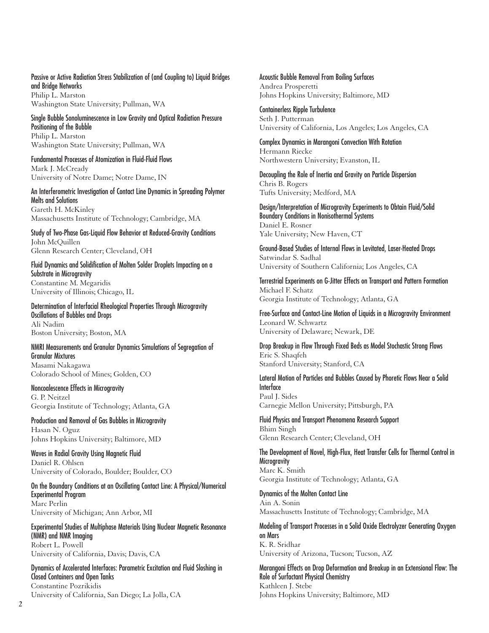Passive or Active Radiation Stress Stabilization of (and Coupling to) Liquid Bridges and Bridge Networks

Philip L. Marston Washington State University; Pullman, WA

Single Bubble Sonoluminescence in Low Gravity and Optical Radiation Pressure Positioning of the Bubble Philip L. Marston Washington State University; Pullman, WA

Fundamental Processes of Atomization in Fluid-Fluid Flows Mark J. McCready University of Notre Dame; Notre Dame, IN

An Interferometric Investigation of Contact Line Dynamics in Spreading Polymer Melts and Solutions Gareth H. McKinley Massachusetts Institute of Technology; Cambridge, MA

Study of Two-Phase Gas-Liquid Flow Behavior at Reduced-Gravity Conditions John McQuillen Glenn Research Center; Cleveland, OH

Fluid Dynamics and Solidification of Molten Solder Droplets Impacting on a Substrate in Microgravity Constantine M. Megaridis

University of Illinois; Chicago, IL Determination of Interfacial Rheological Properties Through Microgravity Oscillations of Bubbles and Drops

Ali Nadim Boston University; Boston, MA

NMRI Measurements and Granular Dynamics Simulations of Segregation of Granular Mixtures Masami Nakagawa Colorado School of Mines; Golden, CO

Noncoalescence Effects in Microgravity G. P. Neitzel Georgia Institute of Technology; Atlanta, GA

Production and Removal of Gas Bubbles in Microgravity Hasan N. Oguz Johns Hopkins University; Baltimore, MD

Waves in Radial Gravity Using Magnetic Fluid Daniel R. Ohlsen University of Colorado, Boulder; Boulder, CO

On the Boundary Conditions at an Oscillating Contact Line: A Physical/Numerical Experimental Program Marc Perlin University of Michigan; Ann Arbor, MI

Experimental Studies of Multiphase Materials Using Nuclear Magnetic Resonance (NMR) and NMR Imaging Robert L. Powell University of California, Davis; Davis, CA

Dynamics of Accelerated Interfaces: Parametric Excitation and Fluid Sloshing in Closed Containers and Open Tanks Constantine Pozrikidis University of California, San Diego; La Jolla, CA

Acoustic Bubble Removal From Boiling Surfaces Andrea Prosperetti Johns Hopkins University; Baltimore, MD

Containerless Ripple Turbulence Seth J. Putterman University of California, Los Angeles; Los Angeles, CA

Complex Dynamics in Marangoni Convection With Rotation Hermann Riecke Northwestern University; Evanston, IL

Decoupling the Role of Inertia and Gravity on Particle Dispersion Chris B. Rogers Tufts University; Medford, MA

Design/Interpretation of Microgravity Experiments to Obtain Fluid/Solid Boundary Conditions in Nonisothermal Systems Daniel E. Rosner Yale University; New Haven, CT

Ground-Based Studies of Internal Flows in Levitated, Laser-Heated Drops Satwindar S. Sadhal University of Southern California; Los Angeles, CA

Terrestrial Experiments on G-Jitter Effects on Transport and Pattern Formation Michael F. Schatz Georgia Institute of Technology; Atlanta, GA

Free-Surface and Contact-Line Motion of Liquids in a Microgravity Environment Leonard W. Schwartz University of Delaware; Newark, DE

Drop Breakup in Flow Through Fixed Beds as Model Stochastic Strong Flows Eric S. Shaqfeh Stanford University; Stanford, CA

Lateral Motion of Particles and Bubbles Caused by Phoretic Flows Near a Solid Interface Paul J. Sides Carnegie Mellon University; Pittsburgh, PA

Fluid Physics and Transport Phenomena Research Support Bhim Singh Glenn Research Center; Cleveland, OH

The Development of Novel, High-Flux, Heat Transfer Cells for Thermal Control in **Microgravity** Marc K. Smith Georgia Institute of Technology; Atlanta, GA

Dynamics of the Molten Contact Line Ain A. Sonin Massachusetts Institute of Technology; Cambridge, MA

Modeling of Transport Processes in a Solid Oxide Electrolyzer Generating Oxygen on Mars K. R. Sridhar University of Arizona, Tucson; Tucson, AZ

Marangoni Effects on Drop Deformation and Breakup in an Extensional Flow: The Role of Surfactant Physical Chemistry Kathleen J. Stebe Johns Hopkins University; Baltimore, MD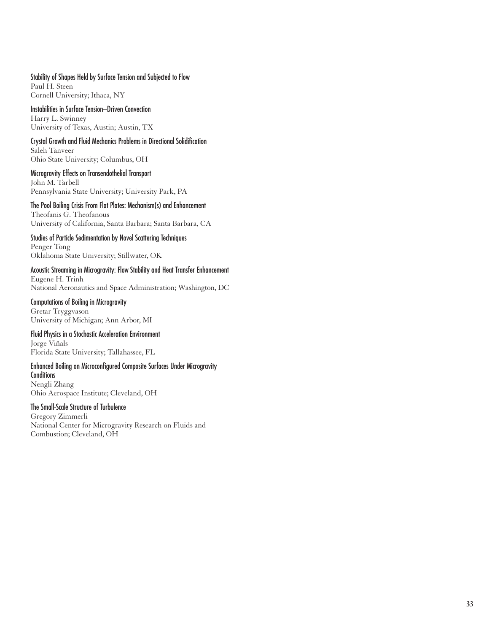### Stability of Shapes Held by Surface Tension and Subjected to Flow

Paul H. Steen Cornell University; Ithaca, NY

#### Instabilities in Surface Tension–Driven Convection Harry L. Swinney University of Texas, Austin; Austin, TX

# Crystal Growth and Fluid Mechanics Problems in Directional Solidification Saleh Tanveer

Ohio State University; Columbus, OH

Microgravity Effects on Transendothelial Transport John M. Tarbell Pennsylvania State University; University Park, PA

The Pool Boiling Crisis From Flat Plates: Mechanism(s) and Enhancement Theofanis G. Theofanous University of California, Santa Barbara; Santa Barbara, CA

Studies of Particle Sedimentation by Novel Scattering Techniques Penger Tong Oklahoma State University; Stillwater, OK

Acoustic Streaming in Microgravity: Flow Stability and Heat Transfer Enhancement Eugene H. Trinh National Aeronautics and Space Administration; Washington, DC

Computations of Boiling in Microgravity Gretar Tryggvason University of Michigan; Ann Arbor, MI

### Fluid Physics in a Stochastic Acceleration Environment

Jorge Viñals Florida State University; Tallahassee, FL

## Enhanced Boiling on Microconfigured Composite Surfaces Under Microgravity **Conditions**

Nengli Zhang Ohio Aerospace Institute; Cleveland, OH

#### The Small-Scale Structure of Turbulence

Gregory Zimmerli National Center for Microgravity Research on Fluids and Combustion; Cleveland, OH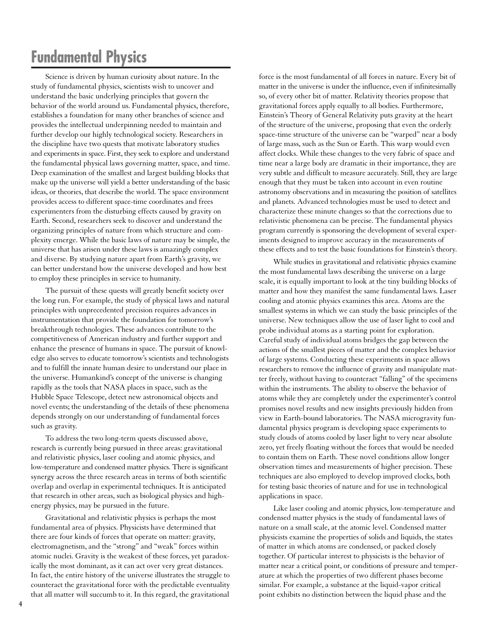# **Fundamental Physics**

Science is driven by human curiosity about nature. In the study of fundamental physics, scientists wish to uncover and understand the basic underlying principles that govern the behavior of the world around us. Fundamental physics, therefore, establishes a foundation for many other branches of science and provides the intellectual underpinning needed to maintain and further develop our highly technological society. Researchers in the discipline have two quests that motivate laboratory studies and experiments in space. First, they seek to explore and understand the fundamental physical laws governing matter, space, and time. Deep examination of the smallest and largest building blocks that make up the universe will yield a better understanding of the basic ideas, or theories, that describe the world. The space environment provides access to different space-time coordinates and frees experimenters from the disturbing effects caused by gravity on Earth. Second, researchers seek to discover and understand the organizing principles of nature from which structure and complexity emerge. While the basic laws of nature may be simple, the universe that has arisen under these laws is amazingly complex and diverse. By studying nature apart from Earth's gravity, we can better understand how the universe developed and how best to employ these principles in service to humanity.

The pursuit of these quests will greatly benefit society over the long run. For example, the study of physical laws and natural principles with unprecedented precision requires advances in instrumentation that provide the foundation for tomorrow's breakthrough technologies. These advances contribute to the competitiveness of American industry and further support and enhance the presence of humans in space. The pursuit of knowledge also serves to educate tomorrow's scientists and technologists and to fulfill the innate human desire to understand our place in the universe. Humankind's concept of the universe is changing rapidly as the tools that NASA places in space, such as the Hubble Space Telescope, detect new astronomical objects and novel events; the understanding of the details of these phenomena depends strongly on our understanding of fundamental forces such as gravity.

To address the two long-term quests discussed above, research is currently being pursued in three areas: gravitational and relativistic physics, laser cooling and atomic physics, and low-temperature and condensed matter physics. There is significant synergy across the three research areas in terms of both scientific overlap and overlap in experimental techniques. It is anticipated that research in other areas, such as biological physics and highenergy physics, may be pursued in the future.

Gravitational and relativistic physics is perhaps the most fundamental area of physics. Physicists have determined that there are four kinds of forces that operate on matter: gravity, electromagnetism, and the "strong" and "weak" forces within atomic nuclei. Gravity is the weakest of these forces, yet paradoxically the most dominant, as it can act over very great distances. In fact, the entire history of the universe illustrates the struggle to counteract the gravitational force with the predictable eventuality that all matter will succumb to it. In this regard, the gravitational force is the most fundamental of all forces in nature. Every bit of matter in the universe is under the influence, even if infinitesimally so, of every other bit of matter. Relativity theories propose that gravitational forces apply equally to all bodies. Furthermore, Einstein's Theory of General Relativity puts gravity at the heart of the structure of the universe, proposing that even the orderly space-time structure of the universe can be "warped" near a body of large mass, such as the Sun or Earth. This warp would even affect clocks. While these changes to the very fabric of space and time near a large body are dramatic in their importance, they are very subtle and difficult to measure accurately. Still, they are large enough that they must be taken into account in even routine astronomy observations and in measuring the position of satellites and planets. Advanced technologies must be used to detect and characterize these minute changes so that the corrections due to relativistic phenomena can be precise. The fundamental physics program currently is sponsoring the development of several experiments designed to improve accuracy in the measurements of these effects and to test the basic foundations for Einstein's theory.

While studies in gravitational and relativistic physics examine the most fundamental laws describing the universe on a large scale, it is equally important to look at the tiny building blocks of matter and how they manifest the same fundamental laws. Laser cooling and atomic physics examines this area. Atoms are the smallest systems in which we can study the basic principles of the universe. New techniques allow the use of laser light to cool and probe individual atoms as a starting point for exploration. Careful study of individual atoms bridges the gap between the actions of the smallest pieces of matter and the complex behavior of large systems. Conducting these experiments in space allows researchers to remove the influence of gravity and manipulate matter freely, without having to counteract "falling" of the specimens within the instruments. The ability to observe the behavior of atoms while they are completely under the experimenter's control promises novel results and new insights previously hidden from view in Earth-bound laboratories. The NASA microgravity fundamental physics program is developing space experiments to study clouds of atoms cooled by laser light to very near absolute zero, yet freely floating without the forces that would be needed to contain them on Earth. These novel conditions allow longer observation times and measurements of higher precision. These techniques are also employed to develop improved clocks, both for testing basic theories of nature and for use in technological applications in space.

Like laser cooling and atomic physics, low-temperature and condensed matter physics is the study of fundamental laws of nature on a small scale, at the atomic level. Condensed matter physicists examine the properties of solids and liquids, the states of matter in which atoms are condensed, or packed closely together. Of particular interest to physicists is the behavior of matter near a critical point, or conditions of pressure and temperature at which the properties of two different phases become similar. For example, a substance at the liquid-vapor critical point exhibits no distinction between the liquid phase and the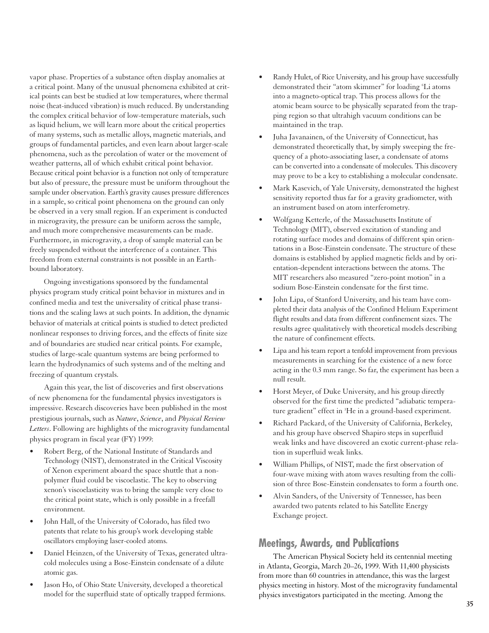vapor phase. Properties of a substance often display anomalies at a critical point. Many of the unusual phenomena exhibited at critical points can best be studied at low temperatures, where thermal noise (heat-induced vibration) is much reduced. By understanding the complex critical behavior of low-temperature materials, such as liquid helium, we will learn more about the critical properties of many systems, such as metallic alloys, magnetic materials, and groups of fundamental particles, and even learn about larger-scale phenomena, such as the percolation of water or the movement of weather patterns, all of which exhibit critical point behavior. Because critical point behavior is a function not only of temperature but also of pressure, the pressure must be uniform throughout the sample under observation. Earth's gravity causes pressure differences in a sample, so critical point phenomena on the ground can only be observed in a very small region. If an experiment is conducted in microgravity, the pressure can be uniform across the sample, and much more comprehensive measurements can be made. Furthermore, in microgravity, a drop of sample material can be freely suspended without the interference of a container. This freedom from external constraints is not possible in an Earthbound laboratory.

Ongoing investigations sponsored by the fundamental physics program study critical point behavior in mixtures and in confined media and test the universality of critical phase transitions and the scaling laws at such points. In addition, the dynamic behavior of materials at critical points is studied to detect predicted nonlinear responses to driving forces, and the effects of finite size and of boundaries are studied near critical points. For example, studies of large-scale quantum systems are being performed to learn the hydrodynamics of such systems and of the melting and freezing of quantum crystals.

Again this year, the list of discoveries and first observations of new phenomena for the fundamental physics investigators is impressive. Research discoveries have been published in the most prestigious journals, such as *Nature*, *Science*, and *Physical Review Letters*. Following are highlights of the microgravity fundamental physics program in fiscal year (FY) 1999:

- Robert Berg, of the National Institute of Standards and Technology (NIST), demonstrated in the Critical Viscosity of Xenon experiment aboard the space shuttle that a nonpolymer fluid could be viscoelastic. The key to observing xenon's viscoelasticity was to bring the sample very close to the critical point state, which is only possible in a freefall environment.
- John Hall, of the University of Colorado, has filed two patents that relate to his group's work developing stable oscillators employing laser-cooled atoms.
- Daniel Heinzen, of the University of Texas, generated ultracold molecules using a Bose-Einstein condensate of a dilute atomic gas.
- Jason Ho, of Ohio State University, developed a theoretical model for the superfluid state of optically trapped fermions.
- Randy Hulet, of Rice University, and his group have successfully demonstrated their "atom skimmer" for loading 'Li atoms into a magneto-optical trap. This process allows for the atomic beam source to be physically separated from the trapping region so that ultrahigh vacuum conditions can be maintained in the trap.
- Juha Javanainen, of the University of Connecticut, has demonstrated theoretically that, by simply sweeping the frequency of a photo-associating laser, a condensate of atoms can be converted into a condensate of molecules. This discovery may prove to be a key to establishing a molecular condensate.
- Mark Kasevich, of Yale University, demonstrated the highest sensitivity reported thus far for a gravity gradiometer, with an instrument based on atom interferometry.
- Wolfgang Ketterle, of the Massachusetts Institute of Technology (MIT), observed excitation of standing and rotating surface modes and domains of different spin orientations in a Bose-Einstein condensate. The structure of these domains is established by applied magnetic fields and by orientation-dependent interactions between the atoms. The MIT researchers also measured "zero-point motion" in a sodium Bose-Einstein condensate for the first time.
- John Lipa, of Stanford University, and his team have completed their data analysis of the Confined Helium Experiment flight results and data from different confinement sizes. The results agree qualitatively with theoretical models describing the nature of confinement effects.
- Lipa and his team report a tenfold improvement from previous measurements in searching for the existence of a new force acting in the 0.3 mm range. So far, the experiment has been a null result.
- Horst Meyer, of Duke University, and his group directly observed for the first time the predicted "adiabatic temperature gradient" effect in <sup>3</sup>He in a ground-based experiment.
- Richard Packard, of the University of California, Berkeley, and his group have observed Shapiro steps in superfluid weak links and have discovered an exotic current-phase relation in superfluid weak links.
- William Phillips, of NIST, made the first observation of four-wave mixing with atom waves resulting from the collision of three Bose-Einstein condensates to form a fourth one.
- Alvin Sanders, of the University of Tennessee, has been awarded two patents related to his Satellite Energy Exchange project.

# **Meetings, Awards, and Publications**

The American Physical Society held its centennial meeting in Atlanta, Georgia, March 20–26, 1999. With 11,400 physicists from more than 60 countries in attendance, this was the largest physics meeting in history. Most of the microgravity fundamental physics investigators participated in the meeting. Among the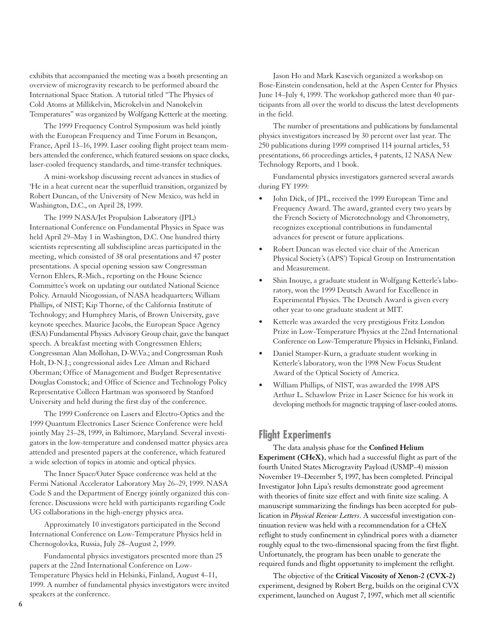exhibits that accompanied the meeting was a booth presenting an overview of microgravity research to be performed aboard the International Space Station. A tutorial titled "The Physics of Cold Atoms at Millikelvin, Microkelvin and Nanokelvin Temperatures" was organized by Wolfgang Ketterle at the meeting.

The 1999 Frequency Control Symposium was held jointly with the European Frequency and Time Forum in Besançon, France, April 13–16, 1999. Laser cooling flight project team members attended the conference, which featured sessions on space clocks, laser-cooled frequency standards, and time-transfer techniques.

A mini-workshop discussing recent advances in studies of 4 He in a heat current near the superfluid transition, organized by Robert Duncan, of the University of New Mexico, was held in Washington, D.C., on April 28, 1999.

The 1999 NASA/Jet Propulsion Laboratory (JPL) International Conference on Fundamental Physics in Space was held April 29–May 1 in Washington, D.C. One hundred thirty scientists representing all subdiscipline areas participated in the meeting, which consisted of 38 oral presentations and 47 poster presentations. A special opening session saw Congressman Vernon Ehlers, R-Mich., reporting on the House Science Committee's work on updating our outdated National Science Policy. Arnauld Nicogossian, of NASA headquarters; William Phillips, of NIST; Kip Thorne, of the California Institute of Technology; and Humphrey Maris, of Brown University, gave keynote speeches. Maurice Jacobs, the European Space Agency (ESA) Fundamental Physics Advisory Group chair, gave the banquet speech. A breakfast meeting with Congressmen Ehlers; Congressman Alan Mollohan, D-W.Va.; and Congressman Rush Holt, D-N.J.; congressional aides Lee Alman and Richard Oberman; Office of Management and Budget Representative Douglas Comstock; and Office of Science and Technology Policy Representative Colleen Hartman was sponsored by Stanford University and held during the first day of the conference.

The 1999 Conference on Lasers and Electro-Optics and the 1999 Quantum Electronics Laser Science Conference were held jointly May 23–28, 1999, in Baltimore, Maryland. Several investigators in the low-temperature and condensed matter physics area attended and presented papers at the conference, which featured a wide selection of topics in atomic and optical physics.

The Inner Space/Outer Space conference was held at the Fermi National Accelerator Laboratory May 26–29, 1999. NASA Code S and the Department of Energy jointly organized this conference. Discussions were held with participants regarding Code UG collaborations in the high-energy physics area.

Approximately 10 investigators participated in the Second International Conference on Low-Temperature Physics held in Chernogolovka, Russia, July 28–August 2, 1999.

Fundamental physics investigators presented more than 25 papers at the 22nd International Conference on Low-Temperature Physics held in Helsinki, Finland, August 4–11, 1999. A number of fundamental physics investigators were invited speakers at the conference.

Jason Ho and Mark Kasevich organized a workshop on Bose-Einstein condensation, held at the Aspen Center for Physics June 14–July 4, 1999. The workshop gathered more than 40 participants from all over the world to discuss the latest developments in the field.

The number of presentations and publications by fundamental physics investigators increased by 30 percent over last year. The 250 publications during 1999 comprised 114 journal articles, 53 presentations, 66 proceedings articles, 4 patents, 12 NASA New Technology Reports, and 1 book.

Fundamental physics investigators garnered several awards during FY 1999:

- John Dick, of JPL, received the 1999 European Time and Frequency Award. The award, granted every two years by the French Society of Microtechnology and Chronometry, recognizes exceptional contributions in fundamental advances for present or future applications.
- Robert Duncan was elected vice chair of the American Physical Society's (APS') Topical Group on Instrumentation and Measurement.
- Shin Inouye, a graduate student in Wolfgang Ketterle's laboratory, won the 1999 Deutsch Award for Excellence in Experimental Physics. The Deutsch Award is given every other year to one graduate student at MIT.
- Ketterle was awarded the very prestigious Fritz London Prize in Low-Temperature Physics at the 22nd International Conference on Low-Temperature Physics in Helsinki, Finland.
- Daniel Stamper-Kurn, a graduate student working in Ketterle's laboratory, won the 1998 New Focus Student Award of the Optical Society of America.
- William Phillips, of NIST, was awarded the 1998 APS Arthur L. Schawlow Prize in Laser Science for his work in developing methods for magnetic trapping of laser-cooled atoms.

# **Flight Experiments**

The data analysis phase for the **Confined Helium Experiment (CHeX)**, which had a successful flight as part of the fourth United States Microgravity Payload (USMP–4) mission November 19–December 5, 1997, has been completed. Principal Investigator John Lipa's results demonstrate good agreement with theories of finite size effect and with finite size scaling. A manuscript summarizing the findings has been accepted for publication in *Physical Review Letters*. A successful investigation continuation review was held with a recommendation for a CHeX reflight to study confinement in cylindrical pores with a diameter roughly equal to the two-dimensional spacing from the first flight. Unfortunately, the program has been unable to generate the required funds and flight opportunity to implement the reflight.

The objective of the **Critical Viscosity of Xenon-2 (CVX-2)** experiment, designed by Robert Berg, builds on the original CVX experiment, launched on August 7, 1997, which met all scientific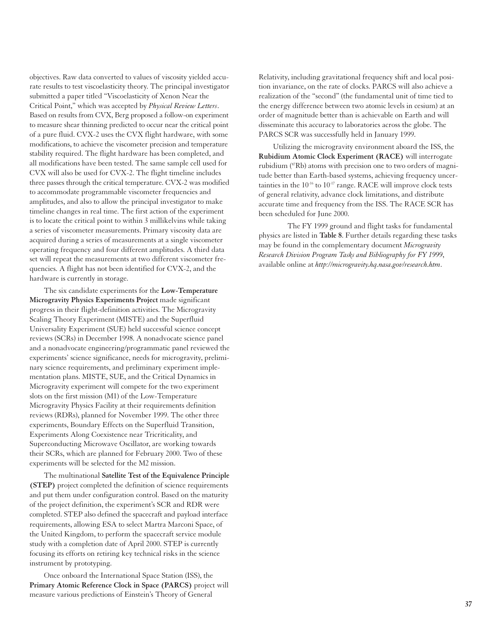objectives. Raw data converted to values of viscosity yielded accurate results to test viscoelasticity theory. The principal investigator submitted a paper titled "Viscoelasticity of Xenon Near the Critical Point," which was accepted by *Physical Review Letters*. Based on results from CVX, Berg proposed a follow-on experiment to measure shear thinning predicted to occur near the critical point of a pure fluid. CVX-2 uses the CVX flight hardware, with some modifications, to achieve the viscometer precision and temperature stability required. The flight hardware has been completed, and all modifications have been tested. The same sample cell used for CVX will also be used for CVX-2. The flight timeline includes three passes through the critical temperature. CVX-2 was modified to accommodate programmable viscometer frequencies and amplitudes, and also to allow the principal investigator to make timeline changes in real time. The first action of the experiment is to locate the critical point to within 3 millikelvins while taking a series of viscometer measurements. Primary viscosity data are acquired during a series of measurements at a single viscometer operating frequency and four different amplitudes. A third data set will repeat the measurements at two different viscometer frequencies. A flight has not been identified for CVX-2, and the hardware is currently in storage.

The six candidate experiments for the **Low-Temperature Microgravity Physics Experiments Project** made significant progress in their flight-definition activities. The Microgravity Scaling Theory Experiment (MISTE) and the Superfluid Universality Experiment (SUE) held successful science concept reviews (SCRs) in December 1998. A nonadvocate science panel and a nonadvocate engineering/programmatic panel reviewed the experiments' science significance, needs for microgravity, preliminary science requirements, and preliminary experiment implementation plans. MISTE, SUE, and the Critical Dynamics in Microgravity experiment will compete for the two experiment slots on the first mission (M1) of the Low-Temperature Microgravity Physics Facility at their requirements definition reviews (RDRs), planned for November 1999. The other three experiments, Boundary Effects on the Superfluid Transition, Experiments Along Coexistence near Tricriticality, and Superconducting Microwave Oscillator, are working towards their SCRs, which are planned for February 2000. Two of these experiments will be selected for the M2 mission.

The multinational **Satellite Test of the Equivalence Principle (STEP)** project completed the definition of science requirements and put them under configuration control. Based on the maturity of the project definition, the experiment's SCR and RDR were completed. STEP also defined the spacecraft and payload interface requirements, allowing ESA to select Martra Marconi Space, of the United Kingdom, to perform the spacecraft service module study with a completion date of April 2000. STEP is currently focusing its efforts on retiring key technical risks in the science instrument by prototyping.

Once onboard the International Space Station (ISS), the **Primary Atomic Reference Clock in Space (PARCS)** project will measure various predictions of Einstein's Theory of General

Relativity, including gravitational frequency shift and local position invariance, on the rate of clocks. PARCS will also achieve a realization of the "second" (the fundamental unit of time tied to the energy difference between two atomic levels in cesium) at an order of magnitude better than is achievable on Earth and will disseminate this accuracy to laboratories across the globe. The PARCS SCR was successfully held in January 1999.

Utilizing the microgravity environment aboard the ISS, the **Rubidium Atomic Clock Experiment (RACE)** will interrogate rubidium (87Rb) atoms with precision one to two orders of magnitude better than Earth-based systems, achieving frequency uncertainties in the 10-16 to 10-17 range. RACE will improve clock tests of general relativity, advance clock limitations, and distribute accurate time and frequency from the ISS. The RACE SCR has been scheduled for June 2000.

The FY 1999 ground and flight tasks for fundamental physics are listed in **Table 8**. Further details regarding these tasks may be found in the complementary document *Microgravity Research Division Program Tasks and Bibliography for FY 1999*, available online at *http://microgravity.hq.nasa.gov/research.htm*.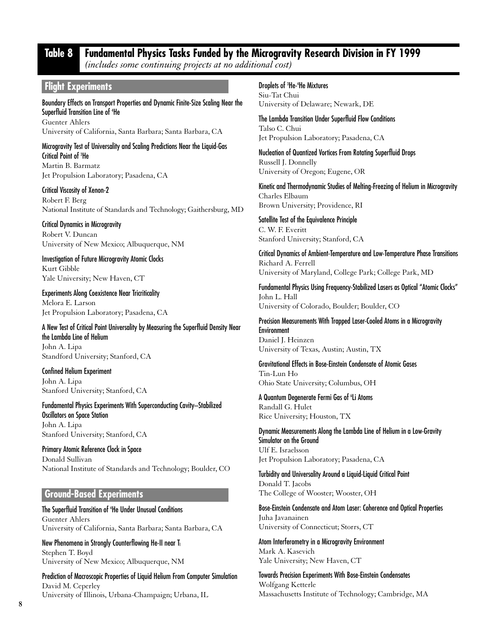# **Table 8 Fundamental Physics Tasks Funded by the Microgravity Research Division in FY 1999**

*(includes some continuing projects at no additional cost)*

### **Flight Experiments**

Boundary Effects on Transport Properties and Dynamic Finite-Size Scaling Near the Superfluid Transition Line of 4 He Guenter Ahlers University of California, Santa Barbara; Santa Barbara, CA

Microgravity Test of Universality and Scaling Predictions Near the Liquid-Gas Critical Point of 3 He Martin B. Barmatz

Jet Propulsion Laboratory; Pasadena, CA

Critical Viscosity of Xenon-2 Robert F. Berg National Institute of Standards and Technology; Gaithersburg, MD

Critical Dynamics in Microgravity Robert V. Duncan University of New Mexico; Albuquerque, NM

Investigation of Future Microgravity Atomic Clocks Kurt Gibble Yale University; New Haven, CT

Experiments Along Coexistence Near Tricriticality Melora E. Larson Jet Propulsion Laboratory; Pasadena, CA

A New Test of Critical Point Universality by Measuring the Superfluid Density Near the Lambda Line of Helium John A. Lipa Standford University; Stanford, CA

Confined Helium Experiment John A. Lipa Stanford University; Stanford, CA

Fundamental Physics Experiments With Superconducting Cavity–Stabilized Oscillators on Space Station John A. Lipa Stanford University; Stanford, CA

Primary Atomic Reference Clock in Space Donald Sullivan National Institute of Standards and Technology; Boulder, CO

### **Ground-Based Experiments**

The Superfluid Transition of 4 He Under Unusual Conditions Guenter Ahlers University of California, Santa Barbara; Santa Barbara, CA

New Phenomena in Strongly Counterflowing He-II near T<sub>1</sub> Stephen T. Boyd University of New Mexico; Albuquerque, NM

Prediction of Macroscopic Properties of Liquid Helium From Computer Simulation David M. Ceperley University of Illinois, Urbana-Champaign; Urbana, IL

Droplets of 3 He-4 He Mixtures Siu-Tat Chui University of Delaware; Newark, DE

The Lambda Transition Under Superfluid Flow Conditions Talso C. Chui Jet Propulsion Laboratory; Pasadena, CA

Nucleation of Quantized Vortices From Rotating Superfluid Drops Russell J. Donnelly University of Oregon; Eugene, OR

Kinetic and Thermodynamic Studies of Melting-Freezing of Helium in Microgravity Charles Elbaum Brown University; Providence, RI

Satellite Test of the Equivalence Principle C. W. F. Everitt Stanford University; Stanford, CA

Critical Dynamics of Ambient-Temperature and Low-Temperature Phase Transitions Richard A. Ferrell University of Maryland, College Park; College Park, MD

Fundamental Physics Using Frequency-Stabilized Lasers as Optical "Atomic Clocks" John L. Hall University of Colorado, Boulder; Boulder, CO

Precision Measurements With Trapped Laser-Cooled Atoms in a Microgravity Environment Daniel J. Heinzen University of Texas, Austin; Austin, TX

Gravitational Effects in Bose-Einstein Condensate of Atomic Gases Tin-Lun Ho Ohio State University; Columbus, OH

A Quantum Degenerate Fermi Gas of 'Li Atoms Randall G. Hulet Rice University; Houston, TX

Dynamic Measurements Along the Lambda Line of Helium in a Low-Gravity Simulator on the Ground Ulf E. Israelsson Jet Propulsion Laboratory; Pasadena, CA

Turbidity and Universality Around a Liquid-Liquid Critical Point Donald T. Jacobs The College of Wooster; Wooster, OH

Bose-Einstein Condensate and Atom Laser: Coherence and Optical Properties Juha Javanainen University of Connecticut; Storrs, CT

Atom Interferometry in a Microgravity Environment Mark A. Kasevich Yale University; New Haven, CT

Towards Precision Experiments With Bose-Einstein Condensates Wolfgang Ketterle Massachusetts Institute of Technology; Cambridge, MA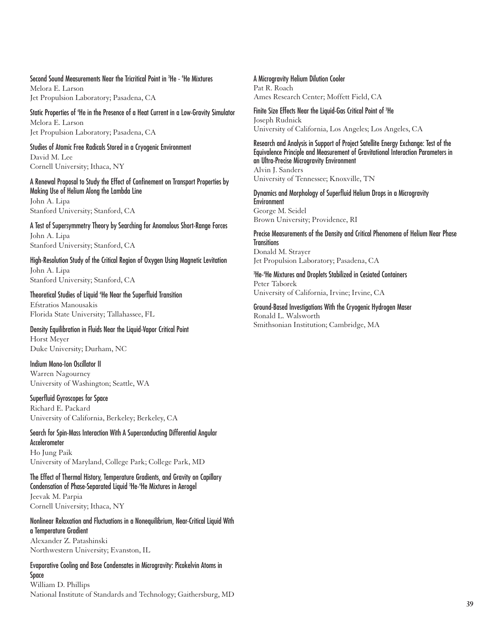Second Sound Measurements Near the Tricritical Point in 3 He - 4 He Mixtures Melora E. Larson

Jet Propulsion Laboratory; Pasadena, CA

Static Properties of 4 He in the Presence of a Heat Current in a Low-Gravity Simulator Melora E. Larson Jet Propulsion Laboratory; Pasadena, CA

Studies of Atomic Free Radicals Stored in a Cryogenic Environment David M. Lee Cornell University; Ithaca, NY

A Renewal Proposal to Study the Effect of Confinement on Transport Properties by Making Use of Helium Along the Lambda Line John A. Lipa Stanford University; Stanford, CA

A Test of Supersymmetry Theory by Searching for Anomalous Short-Range Forces John A. Lipa Stanford University; Stanford, CA

High-Resolution Study of the Critical Region of Oxygen Using Magnetic Levitation John A. Lipa Stanford University; Stanford, CA

Theoretical Studies of Liquid 4 He Near the Superfluid Transition Efstratios Manousakis Florida State University; Tallahassee, FL

Density Equilibration in Fluids Near the Liquid-Vapor Critical Point Horst Meyer Duke University; Durham, NC

Indium Mono-Ion Oscillator II Warren Nagourney University of Washington; Seattle, WA

Superfluid Gyroscopes for Space Richard E. Packard University of California, Berkeley; Berkeley, CA

Search for Spin-Mass Interaction With A Superconducting Differential Angular Accelerometer Ho Jung Paik University of Maryland, College Park; College Park, MD

The Effect of Thermal History, Temperature Gradients, and Gravity on Capillary Condensation of Phase-Separated Liquid 3 He-4 He Mixtures in Aerogel Jeevak M. Parpia Cornell University; Ithaca, NY

Nonlinear Relaxation and Fluctuations in a Nonequilibrium, Near-Critical Liquid With a Temperature Gradient Alexander Z. Patashinski

Northwestern University; Evanston, IL

Evaporative Cooling and Bose Condensates in Microgravity: Picokelvin Atoms in Space William D. Phillips National Institute of Standards and Technology; Gaithersburg, MD A Microgravity Helium Dilution Cooler Pat R. Roach Ames Research Center; Moffett Field, CA

Finite Size Effects Near the Liquid-Gas Critical Point of 3 He Joseph Rudnick University of California, Los Angeles; Los Angeles, CA

Research and Analysis in Support of Project Satellite Energy Exchange: Test of the Equivalence Principle and Measurement of Gravitational Interaction Parameters in an Ultra-Precise Microgravity Environment Alvin J. Sanders University of Tennessee; Knoxville, TN

Dynamics and Morphology of Superfluid Helium Drops in a Microgravity Environment George M. Seidel Brown University; Providence, RI

Precise Measurements of the Density and Critical Phenomena of Helium Near Phase **Transitions** Donald M. Strayer Jet Propulsion Laboratory; Pasadena, CA

3 He-4 He Mixtures and Droplets Stabilized in Cesiated Containers Peter Taborek University of California, Irvine; Irvine, CA

Ground-Based Investigations With the Cryogenic Hydrogen Maser Ronald L. Walsworth Smithsonian Institution; Cambridge, MA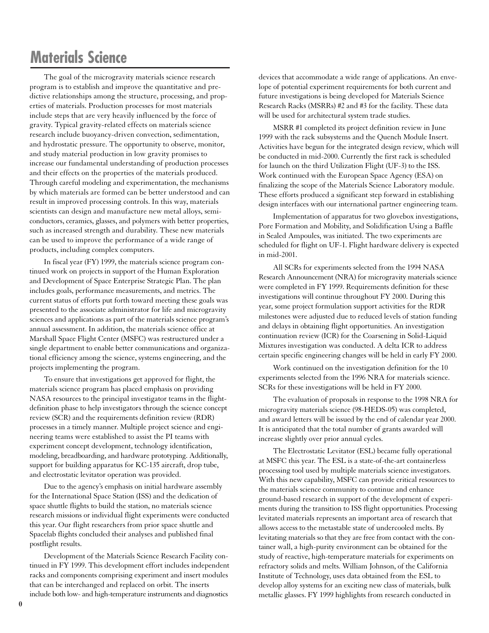# **Materials Science**

The goal of the microgravity materials science research program is to establish and improve the quantitative and predictive relationships among the structure, processing, and properties of materials. Production processes for most materials include steps that are very heavily influenced by the force of gravity. Typical gravity-related effects on materials science research include buoyancy-driven convection, sedimentation, and hydrostatic pressure. The opportunity to observe, monitor, and study material production in low gravity promises to increase our fundamental understanding of production processes and their effects on the properties of the materials produced. Through careful modeling and experimentation, the mechanisms by which materials are formed can be better understood and can result in improved processing controls. In this way, materials scientists can design and manufacture new metal alloys, semiconductors, ceramics, glasses, and polymers with better properties, such as increased strength and durability. These new materials can be used to improve the performance of a wide range of products, including complex computers.

In fiscal year (FY) 1999, the materials science program continued work on projects in support of the Human Exploration and Development of Space Enterprise Strategic Plan. The plan includes goals, performance measurements, and metrics. The current status of efforts put forth toward meeting these goals was presented to the associate administrator for life and microgravity sciences and applications as part of the materials science program's annual assessment. In addition, the materials science office at Marshall Space Flight Center (MSFC) was restructured under a single department to enable better communications and organizational efficiency among the science, systems engineering, and the projects implementing the program.

To ensure that investigations get approved for flight, the materials science program has placed emphasis on providing NASA resources to the principal investigator teams in the flightdefinition phase to help investigators through the science concept review (SCR) and the requirements definition review (RDR) processes in a timely manner. Multiple project science and engineering teams were established to assist the PI teams with experiment concept development, technology identification, modeling, breadboarding, and hardware prototyping. Additionally, support for building apparatus for KC-135 aircraft, drop tube, and electrostatic levitator operation was provided.

Due to the agency's emphasis on initial hardware assembly for the International Space Station (ISS) and the dedication of space shuttle flights to build the station, no materials science research missions or individual flight experiments were conducted this year. Our flight researchers from prior space shuttle and Spacelab flights concluded their analyses and published final postflight results.

Development of the Materials Science Research Facility continued in FY 1999. This development effort includes independent racks and components comprising experiment and insert modules that can be interchanged and replaced on orbit. The inserts include both low- and high-temperature instruments and diagnostics

devices that accommodate a wide range of applications. An envelope of potential experiment requirements for both current and future investigations is being developed for Materials Science Research Racks (MSRRs) #2 and #3 for the facility. These data will be used for architectural system trade studies.

MSRR #1 completed its project definition review in June 1999 with the rack subsystems and the Quench Module Insert. Activities have begun for the integrated design review, which will be conducted in mid-2000. Currently the first rack is scheduled for launch on the third Utilization Flight (UF-3) to the ISS. Work continued with the European Space Agency (ESA) on finalizing the scope of the Materials Science Laboratory module. These efforts produced a significant step forward in establishing design interfaces with our international partner engineering team.

Implementation of apparatus for two glovebox investigations, Pore Formation and Mobility, and Solidification Using a Baffle in Sealed Ampoules, was initiated. The two experiments are scheduled for flight on UF-1. Flight hardware delivery is expected in mid-2001.

All SCRs for experiments selected from the 1994 NASA Research Announcement (NRA) for microgravity materials science were completed in FY 1999. Requirements definition for these investigations will continue throughout FY 2000. During this year, some project formulation support activities for the RDR milestones were adjusted due to reduced levels of station funding and delays in obtaining flight opportunities. An investigation continuation review (ICR) for the Coarsening in Solid-Liquid Mixtures investigation was conducted. A delta ICR to address certain specific engineering changes will be held in early FY 2000.

Work continued on the investigation definition for the 10 experiments selected from the 1996 NRA for materials science. SCRs for these investigations will be held in FY 2000.

The evaluation of proposals in response to the 1998 NRA for microgravity materials science (98-HEDS-05) was completed, and award letters will be issued by the end of calendar year 2000. It is anticipated that the total number of grants awarded will increase slightly over prior annual cycles.

The Electrostatic Levitator (ESL) became fully operational at MSFC this year. The ESL is a state-of-the-art containerless processing tool used by multiple materials science investigators. With this new capability, MSFC can provide critical resources to the materials science community to continue and enhance ground-based research in support of the development of experiments during the transition to ISS flight opportunities. Processing levitated materials represents an important area of research that allows access to the metastable state of undercooled melts. By levitating materials so that they are free from contact with the container wall, a high-purity environment can be obtained for the study of reactive, high-temperature materials for experiments on refractory solids and melts. William Johnson, of the California Institute of Technology, uses data obtained from the ESL to develop alloy systems for an exciting new class of materials, bulk metallic glasses. FY 1999 highlights from research conducted in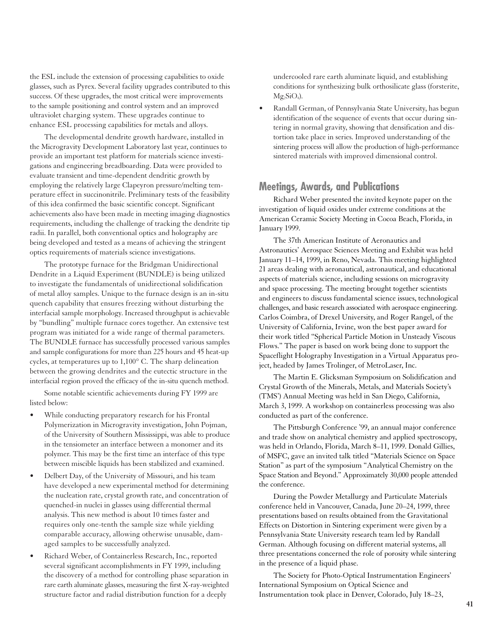the ESL include the extension of processing capabilities to oxide glasses, such as Pyrex. Several facility upgrades contributed to this success. Of these upgrades, the most critical were improvements to the sample positioning and control system and an improved ultraviolet charging system. These upgrades continue to enhance ESL processing capabilities for metals and alloys.

The developmental dendrite growth hardware, installed in the Microgravity Development Laboratory last year, continues to provide an important test platform for materials science investigations and engineering breadboarding. Data were provided to evaluate transient and time-dependent dendritic growth by employing the relatively large Clapeyron pressure/melting temperature effect in succinonitrile. Preliminary tests of the feasibility of this idea confirmed the basic scientific concept. Significant achievements also have been made in meeting imaging diagnostics requirements, including the challenge of tracking the dendrite tip radii. In parallel, both conventional optics and holography are being developed and tested as a means of achieving the stringent optics requirements of materials science investigations.

The prototype furnace for the Bridgman Unidirectional Dendrite in a Liquid Experiment (BUNDLE) is being utilized to investigate the fundamentals of unidirectional solidification of metal alloy samples. Unique to the furnace design is an in-situ quench capability that ensures freezing without disturbing the interfacial sample morphology. Increased throughput is achievable by "bundling" multiple furnace cores together. An extensive test program was initiated for a wide range of thermal parameters. The BUNDLE furnace has successfully processed various samples and sample configurations for more than 225 hours and 45 heat-up cycles, at temperatures up to 1,100° C. The sharp delineation between the growing dendrites and the eutectic structure in the interfacial region proved the efficacy of the in-situ quench method.

Some notable scientific achievements during FY 1999 are listed below:

- While conducting preparatory research for his Frontal Polymerization in Microgravity investigation, John Pojman, of the University of Southern Mississippi, was able to produce in the tensiometer an interface between a monomer and its polymer. This may be the first time an interface of this type between miscible liquids has been stabilized and examined.
- Delbert Day, of the University of Missouri, and his team have developed a new experimental method for determining the nucleation rate, crystal growth rate, and concentration of quenched-in nuclei in glasses using differential thermal analysis. This new method is about 10 times faster and requires only one-tenth the sample size while yielding comparable accuracy, allowing otherwise unusable, damaged samples to be successfully analyzed.
- Richard Weber, of Containerless Research, Inc., reported several significant accomplishments in FY 1999, including the discovery of a method for controlling phase separation in rare earth aluminate glasses, measuring the first X-ray-weighted structure factor and radial distribution function for a deeply

undercooled rare earth aluminate liquid, and establishing conditions for synthesizing bulk orthosilicate glass (forsterite,  $Mg_2SiO_4$ ).

• Randall German, of Pennsylvania State University, has begun identification of the sequence of events that occur during sintering in normal gravity, showing that densification and distortion take place in series. Improved understanding of the sintering process will allow the production of high-performance sintered materials with improved dimensional control.

# **Meetings, Awards, and Publications**

Richard Weber presented the invited keynote paper on the investigation of liquid oxides under extreme conditions at the American Ceramic Society Meeting in Cocoa Beach, Florida, in January 1999.

The 37th American Institute of Aeronautics and Astronautics' Aerospace Sciences Meeting and Exhibit was held January 11–14, 1999, in Reno, Nevada. This meeting highlighted 21 areas dealing with aeronautical, astronautical, and educational aspects of materials science, including sessions on microgravity and space processing. The meeting brought together scientists and engineers to discuss fundamental science issues, technological challenges, and basic research associated with aerospace engineering. Carlos Coimbra, of Drexel University, and Roger Rangel, of the University of California, Irvine, won the best paper award for their work titled "Spherical Particle Motion in Unsteady Viscous Flows." The paper is based on work being done to support the Spaceflight Holography Investigation in a Virtual Apparatus project, headed by James Trolinger, of MetroLaser, Inc.

The Martin E. Glicksman Symposium on Solidification and Crystal Growth of the Minerals, Metals, and Materials Society's (TMS') Annual Meeting was held in San Diego, California, March 3, 1999. A workshop on containerless processing was also conducted as part of the conference.

The Pittsburgh Conference '99, an annual major conference and trade show on analytical chemistry and applied spectroscopy, was held in Orlando, Florida, March 8–11, 1999. Donald Gillies, of MSFC, gave an invited talk titled "Materials Science on Space Station" as part of the symposium "Analytical Chemistry on the Space Station and Beyond." Approximately 30,000 people attended the conference.

During the Powder Metallurgy and Particulate Materials conference held in Vancouver, Canada, June 20–24, 1999, three presentations based on results obtained from the Gravitational Effects on Distortion in Sintering experiment were given by a Pennsylvania State University research team led by Randall German. Although focusing on different material systems, all three presentations concerned the role of porosity while sintering in the presence of a liquid phase.

The Society for Photo-Optical Instrumentation Engineers' International Symposium on Optical Science and Instrumentation took place in Denver, Colorado, July 18–23,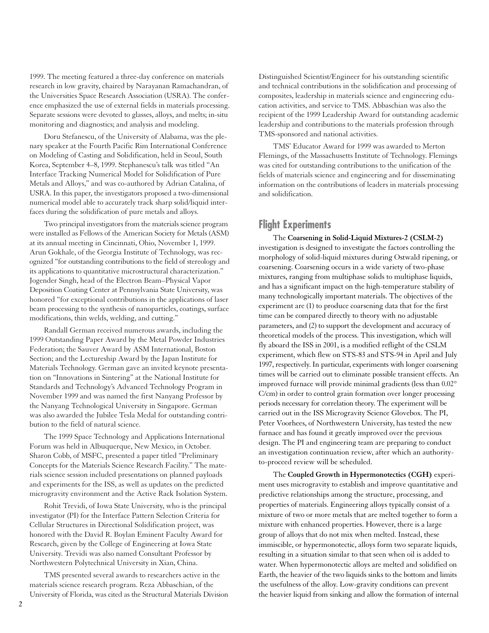1999. The meeting featured a three-day conference on materials research in low gravity, chaired by Narayanan Ramachandran, of the Universities Space Research Association (USRA). The conference emphasized the use of external fields in materials processing. Separate sessions were devoted to glasses, alloys, and melts; in-situ monitoring and diagnostics; and analysis and modeling.

Doru Stefanescu, of the University of Alabama, was the plenary speaker at the Fourth Pacific Rim International Conference on Modeling of Casting and Solidification, held in Seoul, South Korea, September 4–8, 1999. Stephanescu's talk was titled "An Interface Tracking Numerical Model for Solidification of Pure Metals and Alloys," and was co-authored by Adrian Catalina, of USRA. In this paper, the investigators proposed a two-dimensional numerical model able to accurately track sharp solid/liquid interfaces during the solidification of pure metals and alloys.

Two principal investigators from the materials science program were installed as Fellows of the American Society for Metals (ASM) at its annual meeting in Cincinnati, Ohio, November 1, 1999. Arun Gokhale, of the Georgia Institute of Technology, was recognized "for outstanding contributions to the field of stereology and its applications to quantitative microstructural characterization." Jogender Singh, head of the Electron Beam–Physical Vapor Deposition Coating Center at Pennsylvania State University, was honored "for exceptional contributions in the applications of laser beam processing to the synthesis of nanoparticles, coatings, surface modifications, thin welds, welding, and cutting."

Randall German received numerous awards, including the 1999 Outstanding Paper Award by the Metal Powder Industries Federation; the Sauver Award by ASM International, Boston Section; and the Lectureship Award by the Japan Institute for Materials Technology. German gave an invited keynote presentation on "Innovations in Sintering" at the National Institute for Standards and Technology's Advanced Technology Program in November 1999 and was named the first Nanyang Professor by the Nanyang Technological University in Singapore. German was also awarded the Jubilee Tesla Medal for outstanding contribution to the field of natural science.

The 1999 Space Technology and Applications International Forum was held in Albuquerque, New Mexico, in October. Sharon Cobb, of MSFC, presented a paper titled "Preliminary Concepts for the Materials Science Research Facility." The materials science session included presentations on planned payloads and experiments for the ISS, as well as updates on the predicted microgravity environment and the Active Rack Isolation System.

Rohit Trevidi, of Iowa State University, who is the principal investigator (PI) for the Interface Pattern Selection Criteria for Cellular Structures in Directional Solidification project, was honored with the David R. Boylan Eminent Faculty Award for Research, given by the College of Engineering at Iowa State University. Trevidi was also named Consultant Professor by Northwestern Polytechnical University in Xian, China.

TMS presented several awards to researchers active in the materials science research program. Reza Abbaschian, of the University of Florida, was cited as the Structural Materials Division

Distinguished Scientist/Engineer for his outstanding scientific and technical contributions in the solidification and processing of composites, leadership in materials science and engineering education activities, and service to TMS. Abbaschian was also the recipient of the 1999 Leadership Award for outstanding academic leadership and contributions to the materials profession through TMS-sponsored and national activities.

TMS' Educator Award for 1999 was awarded to Merton Flemings, of the Massachusetts Institute of Technology. Flemings was cited for outstanding contributions to the unification of the fields of materials science and engineering and for disseminating information on the contributions of leaders in materials processing and solidification.

# **Flight Experiments**

The **Coarsening in Solid-Liquid Mixtures-2 (CSLM-2)** investigation is designed to investigate the factors controlling the morphology of solid-liquid mixtures during Ostwald ripening, or coarsening. Coarsening occurs in a wide variety of two-phase mixtures, ranging from multiphase solids to multiphase liquids, and has a significant impact on the high-temperature stability of many technologically important materials. The objectives of the experiment are (1) to produce coarsening data that for the first time can be compared directly to theory with no adjustable parameters, and (2) to support the development and accuracy of theoretical models of the process. This investigation, which will fly aboard the ISS in 2001, is a modified reflight of the CSLM experiment, which flew on STS-83 and STS-94 in April and July 1997, respectively. In particular, experiments with longer coarsening times will be carried out to eliminate possible transient effects. An improved furnace will provide minimal gradients (less than 0.02° C/cm) in order to control grain formation over longer processing periods necessary for correlation theory. The experiment will be carried out in the ISS Microgravity Science Glovebox. The PI, Peter Voorhees, of Northwestern University, has tested the new furnace and has found it greatly improved over the previous design. The PI and engineering team are preparing to conduct an investigation continuation review, after which an authorityto-proceed review will be scheduled.

The **Coupled Growth in Hypermonotectics (CGH)** experiment uses microgravity to establish and improve quantitative and predictive relationships among the structure, processing, and properties of materials. Engineering alloys typically consist of a mixture of two or more metals that are melted together to form a mixture with enhanced properties. However, there is a large group of alloys that do not mix when melted. Instead, these immiscible, or hypermonotectic, alloys form two separate liquids, resulting in a situation similar to that seen when oil is added to water. When hypermonotectic alloys are melted and solidified on Earth, the heavier of the two liquids sinks to the bottom and limits the usefulness of the alloy. Low-gravity conditions can prevent the heavier liquid from sinking and allow the formation of internal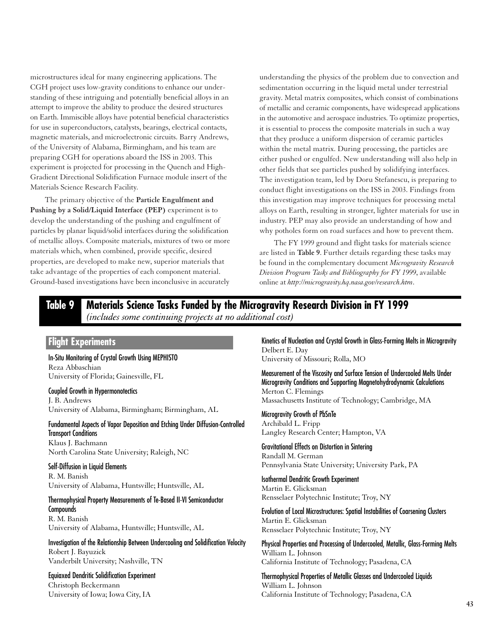microstructures ideal for many engineering applications. The CGH project uses low-gravity conditions to enhance our understanding of these intriguing and potentially beneficial alloys in an attempt to improve the ability to produce the desired structures on Earth. Immiscible alloys have potential beneficial characteristics for use in superconductors, catalysts, bearings, electrical contacts, magnetic materials, and microelectronic circuits. Barry Andrews, of the University of Alabama, Birmingham, and his team are preparing CGH for operations aboard the ISS in 2003. This experiment is projected for processing in the Quench and High-Gradient Directional Solidification Furnace module insert of the Materials Science Research Facility.

The primary objective of the **Particle Engulfment and Pushing by a Solid/Liquid Interface (PEP)** experiment is to develop the understanding of the pushing and engulfment of particles by planar liquid/solid interfaces during the solidification of metallic alloys. Composite materials, mixtures of two or more materials which, when combined, provide specific, desired properties, are developed to make new, superior materials that take advantage of the properties of each component material. Ground-based investigations have been inconclusive in accurately

understanding the physics of the problem due to convection and sedimentation occurring in the liquid metal under terrestrial gravity. Metal matrix composites, which consist of combinations of metallic and ceramic components, have widespread applications in the automotive and aerospace industries. To optimize properties, it is essential to process the composite materials in such a way that they produce a uniform dispersion of ceramic particles within the metal matrix. During processing, the particles are either pushed or engulfed. New understanding will also help in other fields that see particles pushed by solidifying interfaces. The investigation team, led by Doru Stefanescu, is preparing to conduct flight investigations on the ISS in 2003. Findings from this investigation may improve techniques for processing metal alloys on Earth, resulting in stronger, lighter materials for use in industry. PEP may also provide an understanding of how and why potholes form on road surfaces and how to prevent them.

The FY 1999 ground and flight tasks for materials science are listed in **Table 9**. Further details regarding these tasks may be found in the complementary document *Microgravity Research Division Program Tasks and Bibliography for FY 1999*, available online at *http://microgravity.hq.nasa.gov/research.htm*.

## **Table 9 Materials Science Tasks Funded by the Microgravity Research Division in FY 1999** *(includes some continuing projects at no additional cost)*

#### **Flight Experiments**

In-Situ Monitoring of Crystal Growth Using MEPHISTO Reza Abbaschian University of Florida; Gainesville, FL

Coupled Growth in Hypermonotectics J. B. Andrews University of Alabama, Birmingham; Birmingham, AL

Fundamental Aspects of Vapor Deposition and Etching Under Diffusion-Controlled Transport Conditions Klaus J. Bachmann North Carolina State University; Raleigh, NC

# Self-Diffusion in Liquid Elements

R. M. Banish University of Alabama, Huntsville; Huntsville, AL

### Thermophysical Property Measurements of Te-Based II-VI Semiconductor **Compounds**

R. M. Banish University of Alabama, Huntsville; Huntsville, AL

Investigation of the Relationship Between Undercooling and Solidification Velocity Robert J. Bayuzick Vanderbilt University; Nashville, TN

Equiaxed Dendritic Solidification Experiment Christoph Beckermann University of Iowa; Iowa City, IA

Kinetics of Nucleation and Crystal Growth in Glass-Forming Melts in Microgravity Delbert E. Day University of Missouri; Rolla, MO

Measurement of the Viscosity and Surface Tension of Undercooled Melts Under Microgravity Conditions and Supporting Magnetohydrodynamic Calculations Merton C. Flemings Massachusetts Institute of Technology; Cambridge, MA

Microgravity Growth of PbSnTe Archibald L. Fripp Langley Research Center; Hampton, VA

Gravitational Effects on Distortion in Sintering Randall M. German Pennsylvania State University; University Park, PA

Isothermal Dendritic Growth Experiment Martin E. Glicksman Rensselaer Polytechnic Institute; Troy, NY

Evolution of Local Microstructures: Spatial Instabilities of Coarsening Clusters Martin E. Glicksman Rensselaer Polytechnic Institute; Troy, NY

Physical Properties and Processing of Undercooled, Metallic, Glass-Forming Melts William L. Johnson California Institute of Technology; Pasadena, CA

Thermophysical Properties of Metallic Glasses and Undercooled Liquids William L. Johnson California Institute of Technology; Pasadena, CA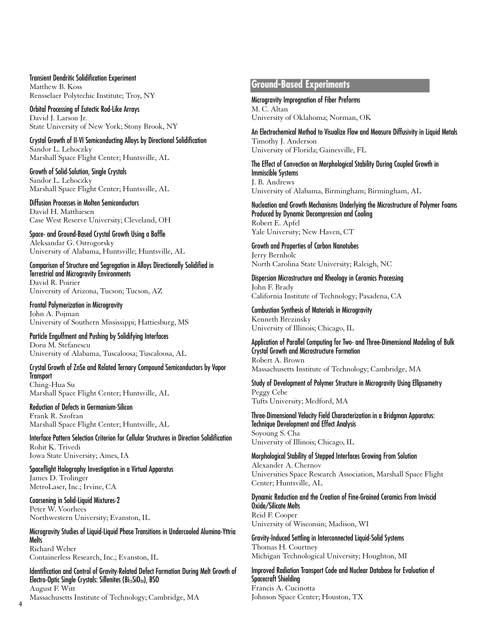#### Transient Dendritic Solidification Experiment Matthew B. Koss Rensselaer Polytechic Institute; Troy, NY

Orbital Processing of Eutectic Rod-Like Arrays David J. Larson Jr. State University of New York; Stony Brook, NY

Crystal Growth of II-VI Semiconducting Alloys by Directional Solidification Sandor L. Lehoczky Marshall Space Flight Center; Huntsville, AL

Growth of Solid-Solution, Single Crystals Sandor L. Lehoczky Marshall Space Flight Center; Huntsville, AL

Diffusion Processes in Molten Semiconductors David H. Matthiesen Case West Reserve University; Cleveland, OH

Space- and Ground-Based Crystal Growth Using a Baffle Aleksandar G. Ostrogorsky University of Alabama, Huntsville; Huntsville, AL

Comparison of Structure and Segregation in Alloys Directionally Solidified in Terrestrial and Microgravity Environments David R. Poirier

University of Arizona, Tucson; Tucson, AZ

Frontal Polymerization in Microgravity John A. Pojman University of Southern Mississippi; Hattiesburg, MS

Particle Engulfment and Pushing by Solidifying Interfaces Doru M. Stefanescu University of Alabama, Tuscaloosa; Tuscaloosa, AL

Crystal Growth of ZnSe and Related Ternary Compound Semiconductors by Vapor **Transport** Ching-Hua Su

Marshall Space Flight Center; Huntsville, AL

Reduction of Defects in Germanium-Silicon Frank R. Szofran Marshall Space Flight Center; Huntsville, AL

Interface Pattern Selection Criterion for Cellular Structures in Direction Solidification Rohit K. Trivedi Iowa State University; Ames, IA

Spaceflight Holography Investigation in a Virtual Apparatus James D. Trolinger MetroLaser, Inc.; Irvine, CA

Coarsening in Solid-Liquid Mixtures-2 Peter W. Voorhees Northwestern University; Evanston, IL

Microgravity Studies of Liquid-Liquid Phase Transitions in Undercooled Alumina-Yttria Melts Richard Weber Containerless Research, Inc.; Evanston, IL

Identification and Control of Gravity-Related Defect Formation During Melt Growth of Electro-Optic Single Crystals: Sillenites (Bi<sub>12</sub>SiO<sub>20</sub>), BSO August F. Witt

Massachusetts Institute of Technology; Cambridge, MA

## **Ground-Based Experiments**

Microgravity Impregnation of Fiber Preforms M. C. Altan University of Oklahoma; Norman, OK

An Electrochemical Method to Visualize Flow and Measure Diffusivity in Liquid Metals Timothy J. Anderson University of Florida; Gainesville, FL

The Effect of Convection on Morphological Stability During Coupled Growth in Immiscible Systems J. B. Andrews University of Alabama, Birmingham; Birmingham, AL

Nucleation and Growth Mechanisms Underlying the Microstructure of Polymer Foams Produced by Dynamic Decompression and Cooling Robert E. Apfel Yale University; New Haven, CT

Growth and Properties of Carbon Nanotubes Jerry Bernholc North Carolina State University; Raleigh, NC

Dispersion Microstructure and Rheology in Ceramics Processing John F. Brady California Institute of Technology; Pasadena, CA

Combustion Synthesis of Materials in Microgravity Kenneth Brezinsky University of Illinois; Chicago, IL

Application of Parallel Computing for Two- and Three-Dimensional Modeling of Bulk Crystal Growth and Microstructure Formation Robert A. Brown Massachusetts Institute of Technology; Cambridge, MA

Study of Development of Polymer Structure in Microgravity Using Ellipsometry Peggy Cebe Tufts University; Medford, MA

Three-Dimensional Velocity Field Characterization in a Bridgman Apparatus: Technique Development and Effect Analysis Soyoung S. Cha University of Illinois; Chicago, IL

Morphological Stability of Stepped Interfaces Growing From Solution Alexander A. Chernov Universities Space Research Association, Marshall Space Flight Center; Huntsville, AL

Dynamic Reduction and the Creation of Fine-Grained Ceramics From Inviscid Oxide/Silicate Melts Reid F. Cooper

University of Wisconsin; Madison, WI

Gravity-Induced Settling in Interconnected Liquid-Solid Systems Thomas H. Courtney Michigan Technological University; Houghton, MI

Improved Radiation Transport Code and Nuclear Database for Evaluation of Spacecraft Shielding Francis A. Cucinotta Johnson Space Center; Houston, TX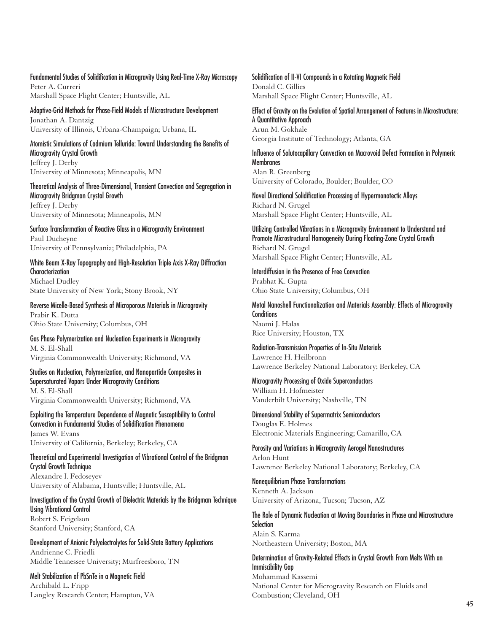Fundamental Studies of Solidification in Microgravity Using Real-Time X-Ray Microscopy Peter A. Curreri Marshall Space Flight Center; Huntsville, AL

Adaptive-Grid Methods for Phase-Field Models of Microstructure Development Jonathan A. Dantzig University of Illinois, Urbana-Champaign; Urbana, IL

Atomistic Simulations of Cadmium Telluride: Toward Understanding the Benefits of Microgravity Crystal Growth Jeffrey J. Derby University of Minnesota; Minneapolis, MN

Theoretical Analysis of Three-Dimensional, Transient Convection and Segregation in Microgravity Bridgman Crystal Growth Jeffrey J. Derby University of Minnesota; Minneapolis, MN

Surface Transformation of Reactive Glass in a Microgravity Environment Paul Ducheyne University of Pennsylvania; Philadelphia, PA

White Beam X-Ray Topography and High-Resolution Triple Axis X-Ray Diffraction **Characterization** Michael Dudley State University of New York; Stony Brook, NY

Reverse Micelle-Based Synthesis of Microporous Materials in Microgravity Prabir K. Dutta Ohio State University; Columbus, OH

Gas Phase Polymerization and Nucleation Experiments in Microgravity M. S. El-Shall Virginia Commonwealth University; Richmond, VA

Studies on Nucleation, Polymerization, and Nanoparticle Composites in Supersaturated Vapors Under Microgravity Conditions M. S. El-Shall Virginia Commonwealth University; Richmond, VA

Exploiting the Temperature Dependence of Magnetic Susceptibility to Control Convection in Fundamental Studies of Solidification Phenomena James W. Evans

University of California, Berkeley; Berkeley, CA Theoretical and Experimental Investigation of Vibrational Control of the Bridgman Crystal Growth Technique

Alexandre I. Fedoseyev University of Alabama, Huntsville; Huntsville, AL

Investigation of the Crystal Growth of Dielectric Materials by the Bridgman Technique Using Vibrational Control Robert S. Feigelson Stanford University; Stanford, CA

Development of Anionic Polyelectrolytes for Solid-State Battery Applications Andrienne C. Friedli Middle Tennessee University; Murfreesboro, TN

Melt Stabilization of PbSnTe in a Magnetic Field Archibald L. Fripp Langley Research Center; Hampton, VA Solidification of II-VI Compounds in a Rotating Magnetic Field Donald C. Gillies Marshall Space Flight Center; Huntsville, AL

Effect of Gravity on the Evolution of Spatial Arrangement of Features in Microstructure: A Quantitative Approach Arun M. Gokhale Georgia Institute of Technology; Atlanta, GA

Influence of Solutocapillary Convection on Macrovoid Defect Formation in Polymeric **Membranes** Alan R. Greenberg University of Colorado, Boulder; Boulder, CO

Novel Directional Solidification Processing of Hypermonotectic Alloys Richard N. Grugel Marshall Space Flight Center; Huntsville, AL

Utilizing Controlled Vibrations in a Microgravity Environment to Understand and Promote Microstructural Homogeneity During Floating-Zone Crystal Growth Richard N. Grugel Marshall Space Flight Center; Huntsville, AL

Interdiffusion in the Presence of Free Convection Prabhat K. Gupta Ohio State University; Columbus, OH

Metal Nanoshell Functionalization and Materials Assembly: Effects of Microgravity **Conditions** Naomi J. Halas Rice University; Houston, TX

Radiation-Transmission Properties of In-Situ Materials Lawrence H. Heilbronn Lawrence Berkeley National Laboratory; Berkeley, CA

Microgravity Processing of Oxide Superconductors William H. Hofmeister Vanderbilt University; Nashville, TN

Dimensional Stability of Supermatrix Semiconductors Douglas E. Holmes Electronic Materials Engineering; Camarillo, CA

Porosity and Variations in Microgravity Aerogel Nanostructures Arlon Hunt Lawrence Berkeley National Laboratory; Berkeley, CA

Nonequilibrium Phase Transformations

Kenneth A. Jackson University of Arizona, Tucson; Tucson, AZ

The Role of Dynamic Nucleation at Moving Boundaries in Phase and Microstructure **Selection** 

Alain S. Karma Northeastern University; Boston, MA

Determination of Gravity-Related Effects in Crystal Growth From Melts With an Immiscibility Gap Mohammad Kassemi

National Center for Microgravity Research on Fluids and Combustion; Cleveland, OH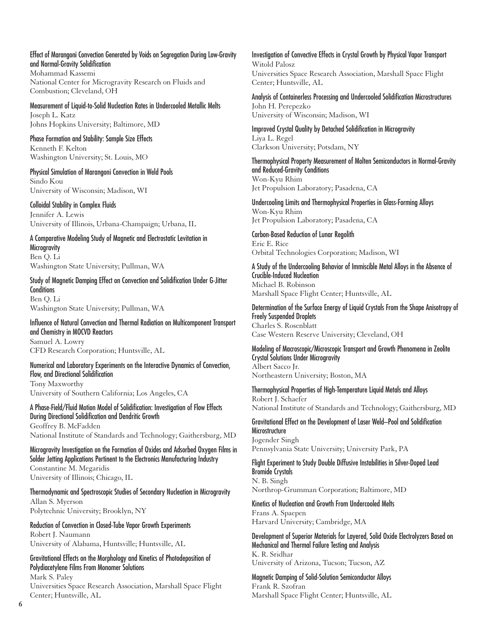#### Effect of Marangoni Convection Generated by Voids on Segregation During Low-Gravity and Normal-Gravity Solidification

Mohammad Kassemi National Center for Microgravity Research on Fluids and Combustion; Cleveland, OH

Measurement of Liquid-to-Solid Nucleation Rates in Undercooled Metallic Melts Joseph L. Katz Johns Hopkins University; Baltimore, MD

Phase Formation and Stability: Sample Size Effects Kenneth F. Kelton Washington University; St. Louis, MO

Physical Simulation of Marangoni Convection in Weld Pools Sindo Kou University of Wisconsin; Madison, WI

Colloidal Stability in Complex Fluids Jennifer A. Lewis University of Illinois, Urbana-Champaign; Urbana, IL

A Comparative Modeling Study of Magnetic and Electrostatic Levitation in **Microgravity** Ben Q. Li Washington State University; Pullman, WA

Study of Magnetic Damping Effect on Convection and Solidification Under G-Jitter **Conditions** Ben Q. Li Washington State University; Pullman, WA

Influence of Natural Convection and Thermal Radiation on Multicomponent Transport and Chemistry in MOCVD Reactors Samuel A. Lowry CFD Research Corporation; Huntsville, AL

Numerical and Laboratory Experiments on the Interactive Dynamics of Convection, Flow, and Directional Solidification Tony Maxworthy

University of Southern California; Los Angeles, CA

A Phase-Field/Fluid Motion Model of Solidification: Investigation of Flow Effects During Directional Solidification and Dendritic Growth Geoffrey B. McFadden National Institute of Standards and Technology; Gaithersburg, MD

Microgravity Investigation on the Formation of Oxides and Adsorbed Oxygen Films in Solder Jetting Applications Pertinent to the Electronics Manufacturing Industry Constantine M. Megaridis University of Illinois; Chicago, IL

Thermodynamic and Spectroscopic Studies of Secondary Nucleation in Microgravity Allan S. Myerson Polytechnic University; Brooklyn, NY

Reduction of Convection in Closed-Tube Vapor Growth Experiments Robert J. Naumann University of Alabama, Huntsville; Huntsville, AL

Gravitational Effects on the Morphology and Kinetics of Photodeposition of Polydiacetylene Films From Monomer Solutions

Mark S. Paley Universities Space Research Association, Marshall Space Flight Center; Huntsville, AL

Investigation of Convective Effects in Crystal Growth by Physical Vapor Transport Witold Palosz Universities Space Research Association, Marshall Space Flight Center; Huntsville, AL

Analysis of Containerless Processing and Undercooled Solidification Microstructures John H. Perepezko University of Wisconsin; Madison, WI

Improved Crystal Quality by Detached Solidification in Microgravity Liya L. Regel Clarkson University; Potsdam, NY

Thermophysical Property Measurement of Molten Semiconductors in Normal-Gravity and Reduced-Gravity Conditions Won-Kyu Rhim Jet Propulsion Laboratory; Pasadena, CA

Undercooling Limits and Thermophysical Properties in Glass-Forming Alloys Won-Kyu Rhim Jet Propulsion Laboratory; Pasadena, CA

Carbon-Based Reduction of Lunar Regolith Eric E. Rice Orbital Technologies Corporation; Madison, WI

A Study of the Undercooling Behavior of Immiscible Metal Alloys in the Absence of Crucible-Induced Nucleation Michael B. Robinson Marshall Space Flight Center; Huntsville, AL

Determination of the Surface Energy of Liquid Crystals From the Shape Anisotropy of Freely Suspended Droplets Charles S. Rosenblatt Case Western Reserve University; Cleveland, OH

Modeling of Macroscopic/Microscopic Transport and Growth Phenomena in Zeolite Crystal Solutions Under Microgravity Albert Sacco Jr. Northeastern University; Boston, MA

Thermophysical Properties of High-Temperature Liquid Metals and Alloys Robert J. Schaefer National Institute of Standards and Technology; Gaithersburg, MD

Gravitational Effect on the Development of Laser Weld–Pool and Solidification **Microstructure** Jogender Singh

Pennsylvania State University; University Park, PA

Flight Experiment to Study Double Diffusive Instabilities in Silver-Doped Lead Bromide Crystals N. B. Singh

Northrop-Grumman Corporation; Baltimore, MD

Kinetics of Nucleation and Growth From Undercooled Melts

Frans A. Spaepen Harvard University; Cambridge, MA

Development of Superior Materials for Layered, Solid Oxide Electrolyzers Based on Mechanical and Thermal Failure Testing and Analysis K. R. Sridhar University of Arizona, Tucson; Tucson, AZ

Magnetic Damping of Solid-Solution Semiconductor Alloys Frank R. Szofran Marshall Space Flight Center; Huntsville, AL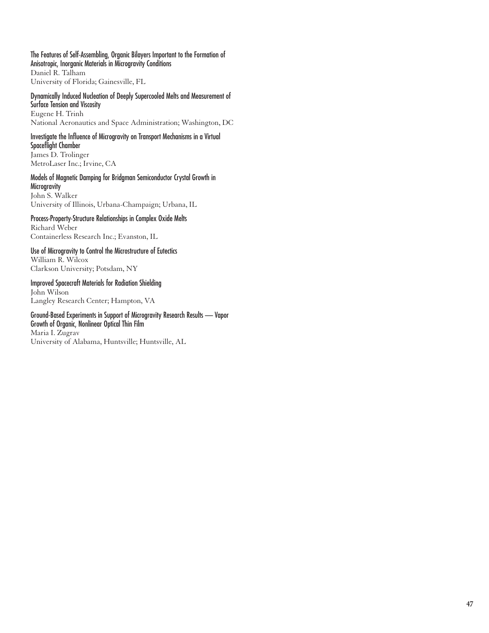The Features of Self-Assembling, Organic Bilayers Important to the Formation of Anisotropic, Inorganic Materials in Microgravity Conditions Daniel R. Talham University of Florida; Gainesville, FL

Dynamically Induced Nucleation of Deeply Supercooled Melts and Measurement of Surface Tension and Viscosity Eugene H. Trinh National Aeronautics and Space Administration; Washington, DC

### Investigate the Influence of Microgravity on Transport Mechanisms in a Virtual Spaceflight Chamber

James D. Trolinger MetroLaser Inc.; Irvine, CA

#### Models of Magnetic Damping for Bridgman Semiconductor Crystal Growth in **Microgravity**

John S. Walker University of Illinois, Urbana-Champaign; Urbana, IL

#### Process-Property-Structure Relationships in Complex Oxide Melts

Richard Weber Containerless Research Inc.; Evanston, IL

#### Use of Microgravity to Control the Microstructure of Eutectics William R. Wilcox

Clarkson University; Potsdam, NY

# Improved Spacecraft Materials for Radiation Shielding

John Wilson Langley Research Center; Hampton, VA

# Ground-Based Experiments in Support of Microgravity Research Results — Vapor

Growth of Organic, Nonlinear Optical Thin Film Maria I. Zugrav University of Alabama, Huntsville; Huntsville, AL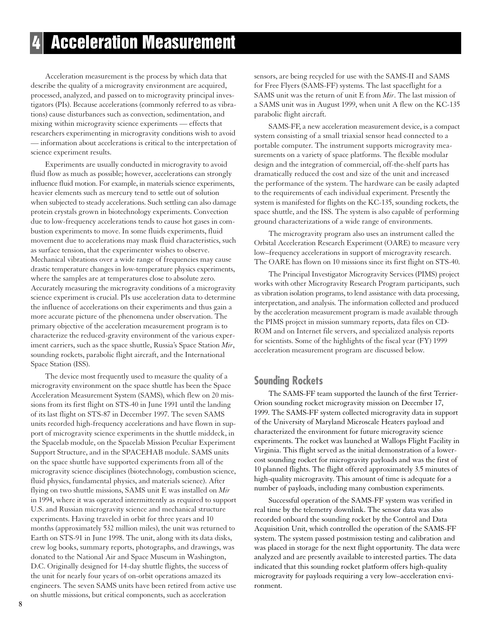# **4 Acceleration Measurement**

Acceleration measurement is the process by which data that describe the quality of a microgravity environment are acquired, processed, analyzed, and passed on to microgravity principal investigators (PIs). Because accelerations (commonly referred to as vibrations) cause disturbances such as convection, sedimentation, and mixing within microgravity science experiments — effects that researchers experimenting in microgravity conditions wish to avoid — information about accelerations is critical to the interpretation of science experiment results.

Experiments are usually conducted in microgravity to avoid fluid flow as much as possible; however, accelerations can strongly influence fluid motion. For example, in materials science experiments, heavier elements such as mercury tend to settle out of solution when subjected to steady accelerations. Such settling can also damage protein crystals grown in biotechnology experiments. Convection due to low-frequency accelerations tends to cause hot gases in combustion experiments to move. In some fluids experiments, fluid movement due to accelerations may mask fluid characteristics, such as surface tension, that the experimenter wishes to observe. Mechanical vibrations over a wide range of frequencies may cause drastic temperature changes in low-temperature physics experiments, where the samples are at temperatures close to absolute zero. Accurately measuring the microgravity conditions of a microgravity science experiment is crucial. PIs use acceleration data to determine the influence of accelerations on their experiments and thus gain a more accurate picture of the phenomena under observation. The primary objective of the acceleration measurement program is to characterize the reduced-gravity environment of the various experiment carriers, such as the space shuttle, Russia's Space Station *Mir*, sounding rockets, parabolic flight aircraft, and the International Space Station (ISS).

The device most frequently used to measure the quality of a microgravity environment on the space shuttle has been the Space Acceleration Measurement System (SAMS), which flew on 20 missions from its first flight on STS-40 in June 1991 until the landing of its last flight on STS-87 in December 1997. The seven SAMS units recorded high-frequency accelerations and have flown in support of microgravity science experiments in the shuttle middeck, in the Spacelab module, on the Spacelab Mission Peculiar Experiment Support Structure, and in the SPACEHAB module. SAMS units on the space shuttle have supported experiments from all of the microgravity science disciplines (biotechnology, combustion science, fluid physics, fundamental physics, and materials science). After flying on two shuttle missions, SAMS unit E was installed on *Mir* in 1994, where it was operated intermittently as required to support U.S. and Russian microgravity science and mechanical structure experiments. Having traveled in orbit for three years and 10 months (approximately 532 million miles), the unit was returned to Earth on STS-91 in June 1998. The unit, along with its data disks, crew log books, summary reports, photographs, and drawings, was donated to the National Air and Space Museum in Washington, D.C. Originally designed for 14-day shuttle flights, the success of the unit for nearly four years of on-orbit operations amazed its engineers. The seven SAMS units have been retired from active use on shuttle missions, but critical components, such as acceleration

sensors, are being recycled for use with the SAMS-II and SAMS for Free Flyers (SAMS-FF) systems. The last spaceflight for a SAMS unit was the return of unit E from *Mir*. The last mission of a SAMS unit was in August 1999, when unit A flew on the KC-135 parabolic flight aircraft.

SAMS-FF, a new acceleration measurement device, is a compact system consisting of a small triaxial sensor head connected to a portable computer. The instrument supports microgravity measurements on a variety of space platforms. The flexible modular design and the integration of commercial, off-the-shelf parts has dramatically reduced the cost and size of the unit and increased the performance of the system. The hardware can be easily adapted to the requirements of each individual experiment. Presently the system is manifested for flights on the KC-135, sounding rockets, the space shuttle, and the ISS. The system is also capable of performing ground characterizations of a wide range of environments.

The microgravity program also uses an instrument called the Orbital Acceleration Research Experiment (OARE) to measure very low–frequency accelerations in support of microgravity research. The OARE has flown on 10 missions since its first flight on STS-40.

The Principal Investigator Microgravity Services (PIMS) project works with other Microgravity Research Program participants, such as vibration isolation programs, to lend assistance with data processing, interpretation, and analysis. The information collected and produced by the acceleration measurement program is made available through the PIMS project in mission summary reports, data files on CD-ROM and on Internet file servers, and specialized analysis reports for scientists. Some of the highlights of the fiscal year (FY) 1999 acceleration measurement program are discussed below.

## **Sounding Rockets**

The SAMS-FF team supported the launch of the first Terrier-Orion sounding rocket microgravity mission on December 17, 1999. The SAMS-FF system collected microgravity data in support of the University of Maryland Microscale Heaters payload and characterized the environment for future microgravity science experiments. The rocket was launched at Wallops Flight Facility in Virginia. This flight served as the initial demonstration of a lowercost sounding rocket for microgravity payloads and was the first of 10 planned flights. The flight offered approximately 3.5 minutes of high-quality microgravity. This amount of time is adequate for a number of payloads, including many combustion experiments.

Successful operation of the SAMS-FF system was verified in real time by the telemetry downlink. The sensor data was also recorded onboard the sounding rocket by the Control and Data Acquisition Unit, which controlled the operation of the SAMS-FF system. The system passed postmission testing and calibration and was placed in storage for the next flight opportunity. The data were analyzed and are presently available to interested parties. The data indicated that this sounding rocket platform offers high-quality microgravity for payloads requiring a very low–acceleration environment.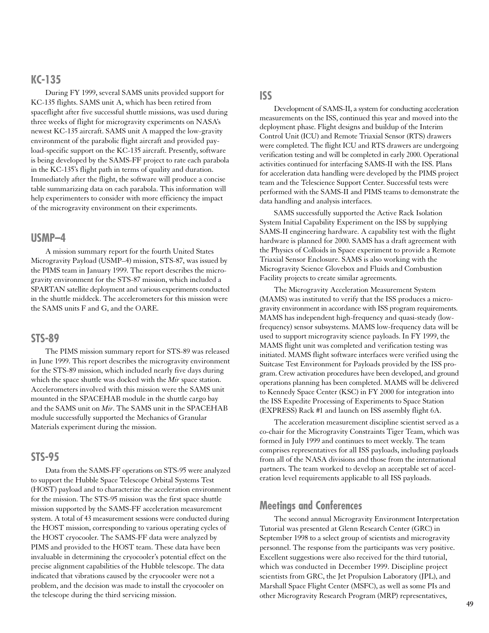## **KC-135**

During FY 1999, several SAMS units provided support for KC-135 flights. SAMS unit A, which has been retired from spaceflight after five successful shuttle missions, was used during three weeks of flight for microgravity experiments on NASA's newest KC-135 aircraft. SAMS unit A mapped the low-gravity environment of the parabolic flight aircraft and provided payload-specific support on the KC-135 aircraft. Presently, software is being developed by the SAMS-FF project to rate each parabola in the KC-135's flight path in terms of quality and duration. Immediately after the flight, the software will produce a concise table summarizing data on each parabola. This information will help experimenters to consider with more efficiency the impact of the microgravity environment on their experiments.

### **USMP–4**

A mission summary report for the fourth United States Microgravity Payload (USMP–4) mission, STS-87, was issued by the PIMS team in January 1999. The report describes the microgravity environment for the STS-87 mission, which included a SPARTAN satellite deployment and various experiments conducted in the shuttle middeck. The accelerometers for this mission were the SAMS units F and G, and the OARE.

### **STS-89**

The PIMS mission summary report for STS-89 was released in June 1999. This report describes the microgravity environment for the STS-89 mission, which included nearly five days during which the space shuttle was docked with the *Mir* space station. Accelerometers involved with this mission were the SAMS unit mounted in the SPACEHAB module in the shuttle cargo bay and the SAMS unit on *Mir*. The SAMS unit in the SPACEHAB module successfully supported the Mechanics of Granular Materials experiment during the mission.

### **STS-95**

Data from the SAMS-FF operations on STS-95 were analyzed to support the Hubble Space Telescope Orbital Systems Test (HOST) payload and to characterize the acceleration environment for the mission. The STS-95 mission was the first space shuttle mission supported by the SAMS-FF acceleration measurement system. A total of 43 measurement sessions were conducted during the HOST mission, corresponding to various operating cycles of the HOST cryocooler. The SAMS-FF data were analyzed by PIMS and provided to the HOST team. These data have been invaluable in determining the cryocooler's potential effect on the precise alignment capabilities of the Hubble telescope. The data indicated that vibrations caused by the cryocooler were not a problem, and the decision was made to install the cryocooler on the telescope during the third servicing mission.

#### **ISS**

Development of SAMS-II, a system for conducting acceleration measurements on the ISS, continued this year and moved into the deployment phase. Flight designs and buildup of the Interim Control Unit (ICU) and Remote Triaxial Sensor (RTS) drawers were completed. The flight ICU and RTS drawers are undergoing verification testing and will be completed in early 2000. Operational activities continued for interfacing SAMS-II with the ISS. Plans for acceleration data handling were developed by the PIMS project team and the Telescience Support Center. Successful tests were performed with the SAMS-II and PIMS teams to demonstrate the data handling and analysis interfaces.

SAMS successfully supported the Active Rack Isolation System Initial Capability Experiment on the ISS by supplying SAMS-II engineering hardware. A capability test with the flight hardware is planned for 2000. SAMS has a draft agreement with the Physics of Colloids in Space experiment to provide a Remote Triaxial Sensor Enclosure. SAMS is also working with the Microgravity Science Glovebox and Fluids and Combustion Facility projects to create similar agreements.

The Microgravity Acceleration Measurement System (MAMS) was instituted to verify that the ISS produces a microgravity environment in accordance with ISS program requirements. MAMS has independent high-frequency and quasi-steady (lowfrequency) sensor subsystems. MAMS low-frequency data will be used to support microgravity science payloads. In FY 1999, the MAMS flight unit was completed and verification testing was initiated. MAMS flight software interfaces were verified using the Suitcase Test Environment for Payloads provided by the ISS program. Crew activation procedures have been developed, and ground operations planning has been completed. MAMS will be delivered to Kennedy Space Center (KSC) in FY 2000 for integration into the ISS Expedite Processing of Experiments to Space Station (EXPRESS) Rack #1 and launch on ISS assembly flight 6A.

The acceleration measurement discipline scientist served as a co-chair for the Microgravity Constraints Tiger Team, which was formed in July 1999 and continues to meet weekly. The team comprises representatives for all ISS payloads, including payloads from all of the NASA divisions and those from the international partners. The team worked to develop an acceptable set of acceleration level requirements applicable to all ISS payloads.

# **Meetings and Conferences**

The second annual Microgravity Environment Interpretation Tutorial was presented at Glenn Research Center (GRC) in September 1998 to a select group of scientists and microgravity personnel. The response from the participants was very positive. Excellent suggestions were also received for the third tutorial, which was conducted in December 1999. Discipline project scientists from GRC, the Jet Propulsion Laboratory (JPL), and Marshall Space Flight Center (MSFC), as well as some PIs and other Microgravity Research Program (MRP) representatives,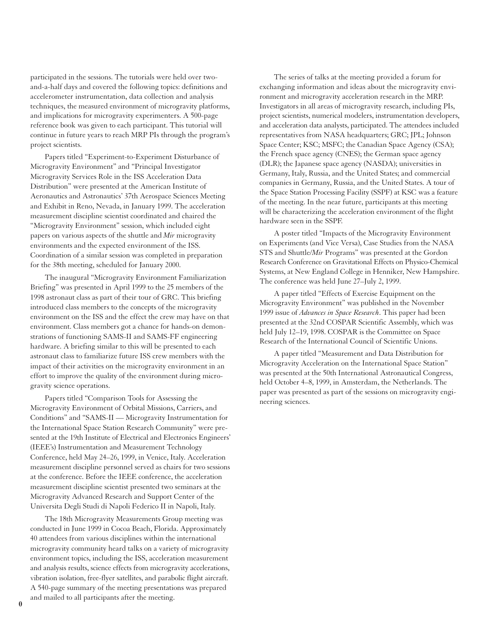participated in the sessions. The tutorials were held over twoand-a-half days and covered the following topics: definitions and accelerometer instrumentation, data collection and analysis techniques, the measured environment of microgravity platforms, and implications for microgravity experimenters. A 500-page reference book was given to each participant. This tutorial will continue in future years to reach MRP PIs through the program's project scientists.

Papers titled "Experiment-to-Experiment Disturbance of Microgravity Environment" and "Principal Investigator Microgravity Services Role in the ISS Acceleration Data Distribution" were presented at the American Institute of Aeronautics and Astronautics' 37th Aerospace Sciences Meeting and Exhibit in Reno, Nevada, in January 1999. The acceleration measurement discipline scientist coordinated and chaired the "Microgravity Environment" session, which included eight papers on various aspects of the shuttle and *Mir* microgravity environments and the expected environment of the ISS. Coordination of a similar session was completed in preparation for the 38th meeting, scheduled for January 2000.

The inaugural "Microgravity Environment Familiarization Briefing" was presented in April 1999 to the 25 members of the 1998 astronaut class as part of their tour of GRC. This briefing introduced class members to the concepts of the microgravity environment on the ISS and the effect the crew may have on that environment. Class members got a chance for hands-on demonstrations of functioning SAMS-II and SAMS-FF engineering hardware. A briefing similar to this will be presented to each astronaut class to familiarize future ISS crew members with the impact of their activities on the microgravity environment in an effort to improve the quality of the environment during microgravity science operations.

Papers titled "Comparison Tools for Assessing the Microgravity Environment of Orbital Missions, Carriers, and Conditions" and "SAMS-II — Microgravity Instrumentation for the International Space Station Research Community" were presented at the 19th Institute of Electrical and Electronics Engineers' (IEEE's) Instrumentation and Measurement Technology Conference, held May 24–26, 1999, in Venice, Italy. Acceleration measurement discipline personnel served as chairs for two sessions at the conference. Before the IEEE conference, the acceleration measurement discipline scientist presented two seminars at the Microgravity Advanced Research and Support Center of the Universita Degli Studi di Napoli Federico II in Napoli, Italy.

The 18th Microgravity Measurements Group meeting was conducted in June 1999 in Cocoa Beach, Florida. Approximately 40 attendees from various disciplines within the international microgravity community heard talks on a variety of microgravity environment topics, including the ISS, acceleration measurement and analysis results, science effects from microgravity accelerations, vibration isolation, free-flyer satellites, and parabolic flight aircraft. A 540-page summary of the meeting presentations was prepared and mailed to all participants after the meeting.

The series of talks at the meeting provided a forum for exchanging information and ideas about the microgravity environment and microgravity acceleration research in the MRP. Investigators in all areas of microgravity research, including PIs, project scientists, numerical modelers, instrumentation developers, and acceleration data analysts, participated. The attendees included representatives from NASA headquarters; GRC; JPL; Johnson Space Center; KSC; MSFC; the Canadian Space Agency (CSA); the French space agency (CNES); the German space agency (DLR); the Japanese space agency (NASDA); universities in Germany, Italy, Russia, and the United States; and commercial companies in Germany, Russia, and the United States. A tour of the Space Station Processing Facility (SSPF) at KSC was a feature of the meeting. In the near future, participants at this meeting will be characterizing the acceleration environment of the flight hardware seen in the SSPF.

A poster titled "Impacts of the Microgravity Environment on Experiments (and Vice Versa), Case Studies from the NASA STS and Shuttle/*Mir* Programs" was presented at the Gordon Research Conference on Gravitational Effects on Physico-Chemical Systems, at New England College in Henniker, New Hampshire. The conference was held June 27–July 2, 1999.

A paper titled "Effects of Exercise Equipment on the Microgravity Environment" was published in the November 1999 issue of *Advances in Space Research*. This paper had been presented at the 32nd COSPAR Scientific Assembly, which was held July 12-19, 1998. COSPAR is the Committee on Space Research of the International Council of Scientific Unions.

A paper titled "Measurement and Data Distribution for Microgravity Acceleration on the International Space Station" was presented at the 50th International Astronautical Congress, held October 4–8, 1999, in Amsterdam, the Netherlands. The paper was presented as part of the sessions on microgravity engineering sciences.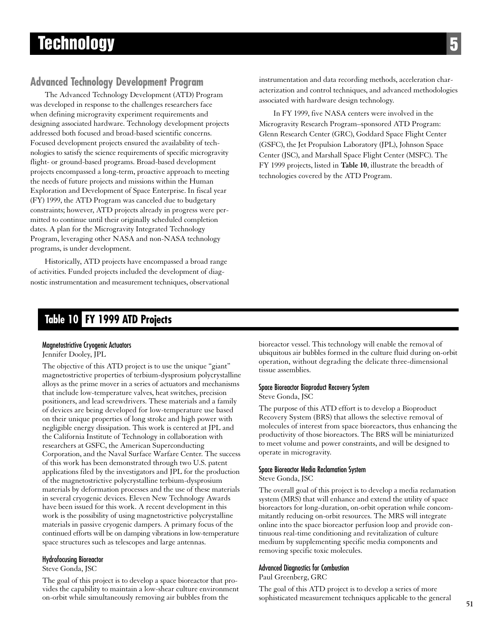# **Technology**

# **Advanced Technology Development Program**

The Advanced Technology Development (ATD) Program was developed in response to the challenges researchers face when defining microgravity experiment requirements and designing associated hardware. Technology development projects addressed both focused and broad-based scientific concerns. Focused development projects ensured the availability of technologies to satisfy the science requirements of specific microgravity flight- or ground-based programs. Broad-based development projects encompassed a long-term, proactive approach to meeting the needs of future projects and missions within the Human Exploration and Development of Space Enterprise. In fiscal year (FY) 1999, the ATD Program was canceled due to budgetary constraints; however, ATD projects already in progress were permitted to continue until their originally scheduled completion dates. A plan for the Microgravity Integrated Technology Program, leveraging other NASA and non-NASA technology programs, is under development.

Historically, ATD projects have encompassed a broad range of activities. Funded projects included the development of diagnostic instrumentation and measurement techniques, observational instrumentation and data recording methods, acceleration characterization and control techniques, and advanced methodologies associated with hardware design technology.

In FY 1999, five NASA centers were involved in the Microgravity Research Program–sponsored ATD Program: Glenn Research Center (GRC), Goddard Space Flight Center (GSFC), the Jet Propulsion Laboratory (JPL), Johnson Space Center (JSC), and Marshall Space Flight Center (MSFC). The FY 1999 projects, listed in **Table 10**, illustrate the breadth of technologies covered by the ATD Program.

# **Table 10 FY 1999 ATD Projects**

#### Magnetostrictive Cryogenic Actuators

Jennifer Dooley, JPL

The objective of this ATD project is to use the unique "giant" magnetostrictive properties of terbium-dysprosium polycrystalline alloys as the prime mover in a series of actuators and mechanisms that include low-temperature valves, heat switches, precision positioners, and lead screwdrivers. These materials and a family of devices are being developed for low-temperature use based on their unique properties of long stroke and high power with negligible energy dissipation. This work is centered at JPL and the California Institute of Technology in collaboration with researchers at GSFC, the American Superconducting Corporation, and the Naval Surface Warfare Center. The success of this work has been demonstrated through two U.S. patent applications filed by the investigators and JPL for the production of the magnetostrictive polycrystalline terbium-dysprosium materials by deformation processes and the use of these materials in several cryogenic devices. Eleven New Technology Awards have been issued for this work. A recent development in this work is the possibility of using magnetostrictive polycrystalline materials in passive cryogenic dampers. A primary focus of the continued efforts will be on damping vibrations in low-temperature space structures such as telescopes and large antennas.

#### Hydrofocusing Bioreactor

Steve Gonda, JSC

The goal of this project is to develop a space bioreactor that provides the capability to maintain a low-shear culture environment on-orbit while simultaneously removing air bubbles from the

bioreactor vessel. This technology will enable the removal of ubiquitous air bubbles formed in the culture fluid during on-orbit operation, without degrading the delicate three-dimensional tissue assemblies.

#### Space Bioreactor Bioproduct Recovery System

Steve Gonda, JSC

The purpose of this ATD effort is to develop a Bioproduct Recovery System (BRS) that allows the selective removal of molecules of interest from space bioreactors, thus enhancing the productivity of those bioreactors. The BRS will be miniaturized to meet volume and power constraints, and will be designed to operate in microgravity.

#### Space Bioreactor Media Reclamation System

Steve Gonda, JSC

The overall goal of this project is to develop a media reclamation system (MRS) that will enhance and extend the utility of space bioreactors for long-duration, on-orbit operation while concommitantly reducing on-orbit resources. The MRS will integrate online into the space bioreactor perfusion loop and provide continuous real-time conditioning and revitalization of culture medium by supplementing specific media components and removing specific toxic molecules.

#### Advanced Diagnostics for Combustion

Paul Greenberg, GRC

The goal of this ATD project is to develop a series of more sophisticated measurement techniques applicable to the general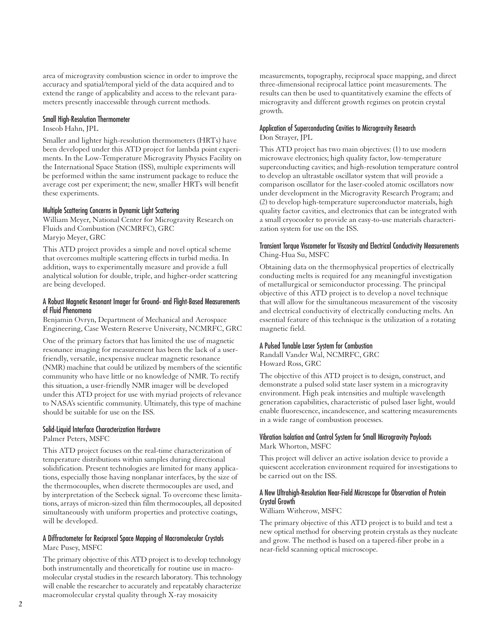area of microgravity combustion science in order to improve the accuracy and spatial/temporal yield of the data acquired and to extend the range of applicability and access to the relevant parameters presently inaccessible through current methods.

#### Small High-Resolution Thermometer

#### Inseob Hahn, JPL

Smaller and lighter high-resolution thermometers (HRTs) have been developed under this ATD project for lambda point experiments. In the Low-Temperature Microgravity Physics Facility on the International Space Station (ISS), multiple experiments will be performed within the same instrument package to reduce the average cost per experiment; the new, smaller HRTs will benefit these experiments.

#### Multiple Scattering Concerns in Dynamic Light Scattering

William Meyer, National Center for Microgravity Research on Fluids and Combustion (NCMRFC), GRC Maryjo Meyer, GRC

This ATD project provides a simple and novel optical scheme that overcomes multiple scattering effects in turbid media. In addition, ways to experimentally measure and provide a full analytical solution for double, triple, and higher-order scattering are being developed.

#### A Robust Magnetic Resonant Imager for Ground- and Flight-Based Measurements of Fluid Phenomena

Benjamin Ovryn, Department of Mechanical and Aerospace Engineering, Case Western Reserve University, NCMRFC, GRC

One of the primary factors that has limited the use of magnetic resonance imaging for measurement has been the lack of a userfriendly, versatile, inexpensive nuclear magnetic resonance (NMR) machine that could be utilized by members of the scientific community who have little or no knowledge of NMR. To rectify this situation, a user-friendly NMR imager will be developed under this ATD project for use with myriad projects of relevance to NASA's scientific community. Ultimately, this type of machine should be suitable for use on the ISS.

#### Solid-Liquid Interface Characterization Hardware

Palmer Peters, MSFC

This ATD project focuses on the real-time characterization of temperature distributions within samples during directional solidification. Present technologies are limited for many applications, especially those having nonplanar interfaces, by the size of the thermocouples, when discrete thermocouples are used, and by interpretation of the Seebeck signal. To overcome these limitations, arrays of micron-sized thin film thermocouples, all deposited simultaneously with uniform properties and protective coatings, will be developed.

#### A Diffractometer for Reciprocal Space Mapping of Macromolecular Crystals Marc Pusey, MSFC

The primary objective of this ATD project is to develop technology both instrumentally and theoretically for routine use in macromolecular crystal studies in the research laboratory. This technology will enable the researcher to accurately and repeatably characterize macromolecular crystal quality through X-ray mosaicity

measurements, topography, reciprocal space mapping, and direct three-dimensional reciprocal lattice point measurements. The results can then be used to quantitatively examine the effects of microgravity and different growth regimes on protein crystal growth.

#### Application of Superconducting Cavities to Microgravity Research Don Strayer, JPL

This ATD project has two main objectives: (1) to use modern microwave electronics; high quality factor, low-temperature superconducting cavities; and high-resolution temperature control to develop an ultrastable oscillator system that will provide a comparison oscillator for the laser-cooled atomic oscillators now under development in the Microgravity Research Program; and (2) to develop high-temperature superconductor materials, high quality factor cavities, and electronics that can be integrated with a small cryocooler to provide an easy-to-use materials characterization system for use on the ISS.

#### Transient Torque Viscometer for Viscosity and Electrical Conductivity Measurements Ching-Hua Su, MSFC

Obtaining data on the thermophysical properties of electrically conducting melts is required for any meaningful investigation of metallurgical or semiconductor processing. The principal objective of this ATD project is to develop a novel technique that will allow for the simultaneous measurement of the viscosity and electrical conductivity of electrically conducting melts. An essential feature of this technique is the utilization of a rotating magnetic field.

#### A Pulsed Tunable Laser System for Combustion

Randall Vander Wal, NCMRFC, GRC Howard Ross, GRC

The objective of this ATD project is to design, construct, and demonstrate a pulsed solid state laser system in a microgravity environment. High peak intensities and multiple wavelength generation capabilities, characteristic of pulsed laser light, would enable fluorescence, incandescence, and scattering measurements in a wide range of combustion processes.

#### Vibration Isolation and Control System for Small Microgravity Payloads Mark Whorton, MSFC

This project will deliver an active isolation device to provide a quiescent acceleration environment required for investigations to be carried out on the ISS.

#### A New Ultrahigh-Resolution Near-Field Microscope for Observation of Protein Crystal Growth

William Witherow, MSFC

The primary objective of this ATD project is to build and test a new optical method for observing protein crystals as they nucleate and grow. The method is based on a tapered-fiber probe in a near-field scanning optical microscope.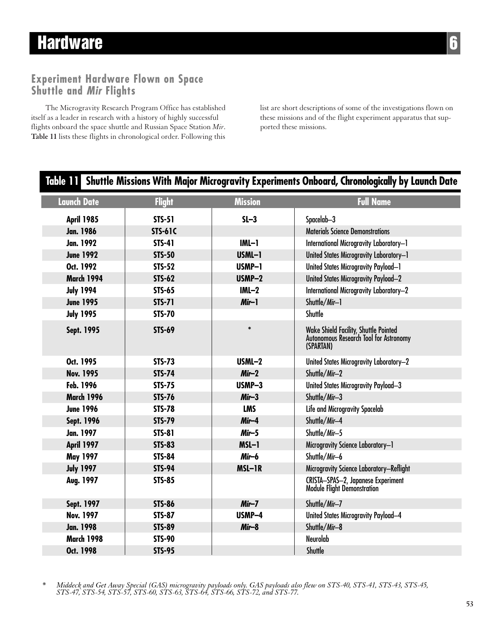# **Hardware 6**

# **Experiment Hardware Flown on Space Shuttle and Mir Flights**

The Microgravity Research Program Office has established itself as a leader in research with a history of highly successful flights onboard the space shuttle and Russian Space Station *Mir*. **Table 11** lists these flights in chronological order. Following this list are short descriptions of some of the investigations flown on these missions and of the flight experiment apparatus that supported these missions.

# **Table 11 Shuttle Missions With Major Microgravity Experiments Onboard, Chronologically by Launch Date April 1985 STS-51 SL–3** Spacelab–3 **Jan. 1986** Stephen STS-61C STS Superior Science Demonstrations **Jan. 1992 STS-41 IML–1** International Microgravity Laboratory–1 **June 1992 STS-50 USML–1** United States Microgravity Laboratory–1 **Oct. 1992** STS-52 USMP-1 United States Microgravity Payload–1 **March 1994 STS-62 USMP–2** United States Microgravity Payload–2 **July 1994 STS-65 IML–2** International Microgravity Laboratory–2 **June 1995 STS-71 Mir–1** Shuttle/Mir–1 **July 1995 STS-70** Shuttle **Sept. 1995 STS-69 \*** Wake Shield Facility, Shuttle Pointed Autonomous Research Tool for Astronomy (SPARTAN) **Oct. 1995 STS-73** STS-73 USML-2 United States Microgravity Laboratory-2 **Nov. 1995 STS-74 Mir–2** Shuttle/Mir–2 **Feb. 1996 STS-75 USMP-3** United States Microgravity Payload-3 **March 1996 STS-76 Mir–3** Shuttle/Mir–3 **June 1996 STS-78 LMS** Life and Microgravity Spacelab **Sept. 1996 STS-79 Mir–4** Shuttle/Mir–4 **Jan. 1997 STS-81 Mir–5** Shuttle/Mir–5 **April 1997 STS-83 MSL–1** Microgravity Science Laboratory–1 **May 1997 STS-84 Mir–6** Shuttle/Mir–6 **July 1997 STS-94 MSL–1R** Microgravity Science Laboratory–Reflight **Aug. 1997 STS-85** CRISTA–SPAS–2, Japanese Experiment Module Flight Demonstration **Sept. 1997 STS-86 Mir–7** Shuttle/Mir–7 **Nov. 1997 STS-87 Nov. 1997** STS-87 Nov. 1997 STS-87 USMP-4 United States Microgravity Payload–4 **Jan. 1998 STS-89 Mir–8** Shuttle/Mir–8 **March 1998 STS-90** Neurolab **Oct. 1998 STS-95** Shuttle **Launch Date Flight Mission Full Name**

*\* Middeck and Get Away Special (GAS) microgravity payloads only. GAS payloads also flew on STS-40, STS-41, STS-43, STS-45, STS-47, STS-54, STS-57, STS-60, STS-63, STS-64, STS-66, STS-72, and STS-77.*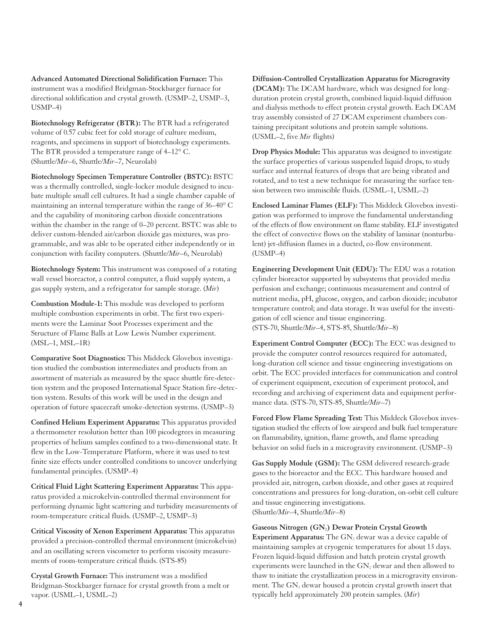**Advanced Automated Directional Solidification Furnace:** This instrument was a modified Bridgman-Stockbarger furnace for directional soldification and crystal growth. (USMP–2, USMP–3, USMP–4)

**Biotechnology Refrigerator (BTR):** The BTR had a refrigerated volume of 0.57 cubic feet for cold storage of culture medium, reagents, and specimens in support of biotechnology experiments. The BTR provided a temperature range of 4–12° C. (Shuttle/*Mir*–6, Shuttle/*Mir*–7, Neurolab)

**Biotechnology Specimen Temperature Controller (BSTC):** BSTC was a thermally controlled, single-locker module designed to incubate multiple small cell cultures. It had a single chamber capable of maintaining an internal temperature within the range of 36–40° C and the capability of monitoring carbon dioxide concentrations within the chamber in the range of 0–20 percent. BSTC was able to deliver custom-blended air/carbon dioxide gas mixtures, was programmable, and was able to be operated either independently or in conjunction with facility computers. (Shuttle/*Mir*–6, Neurolab)

**Biotechnology System:** This instrument was composed of a rotating wall vessel bioreactor, a control computer, a fluid supply system, a gas supply system, and a refrigerator for sample storage. (*Mir*)

**Combustion Module-1:** This module was developed to perform multiple combustion experiments in orbit. The first two experiments were the Laminar Soot Processes experiment and the Structure of Flame Balls at Low Lewis Number experiment. (MSL–1, MSL–1R)

**Comparative Soot Diagnostics:** This Middeck Glovebox investigation studied the combustion intermediates and products from an assortment of materials as measured by the space shuttle fire-detection system and the proposed International Space Station fire-detection system. Results of this work will be used in the design and operation of future spacecraft smoke-detection systems. (USMP–3)

**Confined Helium Experiment Apparatus:** This apparatus provided a thermometer resolution better than 100 picodegrees in measuring properties of helium samples confined to a two-dimensional state. It flew in the Low-Temperature Platform, where it was used to test finite size effects under controlled conditions to uncover underlying fundamental principles. (USMP–4)

**Critical Fluid Light Scattering Experiment Apparatus:** This apparatus provided a microkelvin-controlled thermal environment for performing dynamic light scattering and turbidity measurements of room-temperature critical fluids. (USMP–2, USMP–3)

**Critical Viscosity of Xenon Experiment Apparatus:** This apparatus provided a precision-controlled thermal environment (microkelvin) and an oscillating screen viscometer to perform viscosity measurements of room-temperature critical fluids. (STS-85)

**Crystal Growth Furnace:** This instrument was a modified Bridgman-Stockbarger furnace for crystal growth from a melt or vapor. (USML–1, USML–2)

**Diffusion-Controlled Crystallization Apparatus for Microgravity (DCAM):** The DCAM hardware, which was designed for longduration protein crystal growth, combined liquid-liquid diffusion and dialysis methods to effect protein crystal growth. Each DCAM tray assembly consisted of 27 DCAM experiment chambers containing precipitant solutions and protein sample solutions. (USML–2, five *Mir* flights)

**Drop Physics Module:** This apparatus was designed to investigate the surface properties of various suspended liquid drops, to study surface and internal features of drops that are being vibrated and rotated, and to test a new technique for measuring the surface tension between two immiscible fluids. (USML–1, USML–2)

**Enclosed Laminar Flames (ELF):** This Middeck Glovebox investigation was performed to improve the fundamental understanding of the effects of flow environment on flame stability. ELF investigated the effect of convective flows on the stability of laminar (nonturbulent) jet-diffusion flames in a ducted, co-flow environment. (USMP–4)

**Engineering Development Unit (EDU):** The EDU was a rotation cylinder bioreactor supported by subsystems that provided media perfusion and exchange; continuous measurement and control of nutrient media, pH, glucose, oxygen, and carbon dioxide; incubator temperature control; and data storage. It was useful for the investigation of cell science and tissue engineering. (STS-70, Shuttle/*Mir*–4, STS-85, Shuttle/*Mir*–8)

**Experiment Control Computer (ECC):** The ECC was designed to provide the computer control resources required for automated, long-duration cell science and tissue engineering investigations on orbit. The ECC provided interfaces for communication and control of experiment equipment, execution of experiment protocol, and recording and archiving of experiment data and equipment performance data. (STS-70, STS-85, Shuttle/*Mir*–7)

**Forced Flow Flame Spreading Test:** This Middeck Glovebox investigation studied the effects of low airspeed and bulk fuel temperature on flammability, ignition, flame growth, and flame spreading behavior on solid fuels in a microgravity environment. (USMP–3)

**Gas Supply Module (GSM):** The GSM delivered research-grade gases to the bioreactor and the ECC. This hardware housed and provided air, nitrogen, carbon dioxide, and other gases at required concentrations and pressures for long-duration, on-orbit cell culture and tissue engineering investigations. (Shuttle/*Mir*–4, Shuttle/*Mir*–8)

#### Gaseous Nitrogen (GN<sub>2</sub>) Dewar Protein Crystal Growth

**Experiment Apparatus:** The GN<sub>2</sub> dewar was a device capable of maintaining samples at cryogenic temperatures for about 13 days. Frozen liquid-liquid diffusion and batch protein crystal growth experiments were launched in the  $GN_2$  dewar and then allowed to thaw to initiate the crystallization process in a microgravity environment. The  $GN_2$  dewar housed a protein crystal growth insert that typically held approximately 200 protein samples. (*Mir*)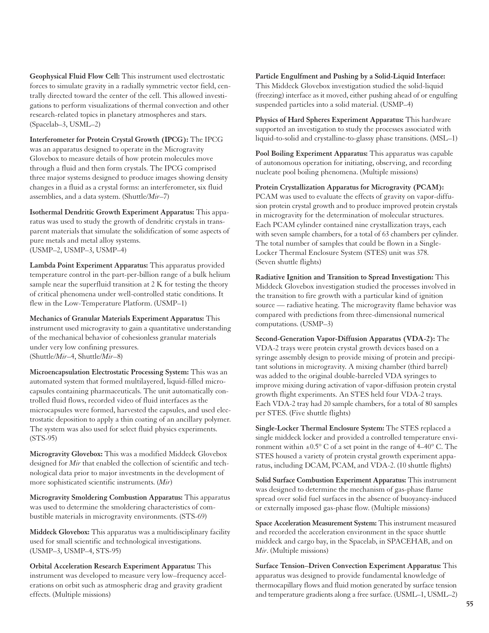**Geophysical Fluid Flow Cell:** This instrument used electrostatic forces to simulate gravity in a radially symmetric vector field, centrally directed toward the center of the cell. This allowed investigations to perform visualizations of thermal convection and other research-related topics in planetary atmospheres and stars. (Spacelab–3, USML–2)

**Interferometer for Protein Crystal Growth (IPCG):** The IPCG was an apparatus designed to operate in the Microgravity Glovebox to measure details of how protein molecules move through a fluid and then form crystals. The IPCG comprised three major systems designed to produce images showing density changes in a fluid as a crystal forms: an interferometer, six fluid assemblies, and a data system. (Shuttle/*Mir*–7)

**Isothermal Dendritic Growth Experiment Apparatus:** This apparatus was used to study the growth of dendritic crystals in transparent materials that simulate the solidification of some aspects of pure metals and metal alloy systems. (USMP–2, USMP–3, USMP–4)

**Lambda Point Experiment Apparatus:** This apparatus provided temperature control in the part-per-billion range of a bulk helium sample near the superfluid transition at 2 K for testing the theory of critical phenomena under well-controlled static conditions. It flew in the Low-Temperature Platform. (USMP–1)

**Mechanics of Granular Materials Experiment Apparatus:** This instrument used microgravity to gain a quantitative understanding of the mechanical behavior of cohesionless granular materials under very low confining pressures. (Shuttle/*Mir*–4, Shuttle/*Mir*–8)

**Microencapsulation Electrostatic Processing System:** This was an automated system that formed multilayered, liquid-filled microcapsules containing pharmaceuticals. The unit automatically controlled fluid flows, recorded video of fluid interfaces as the microcapsules were formed, harvested the capsules, and used electrostatic deposition to apply a thin coating of an ancillary polymer. The system was also used for select fluid physics experiments. (STS-95)

**Microgravity Glovebox:** This was a modified Middeck Glovebox designed for *Mir* that enabled the collection of scientific and technological data prior to major investments in the development of more sophisticated scientific instruments. (*Mir*)

**Microgravity Smoldering Combustion Apparatus:** This apparatus was used to determine the smoldering characteristics of combustible materials in microgravity environments. (STS-69)

**Middeck Glovebox:** This apparatus was a multidisciplinary facility used for small scientific and technological investigations. (USMP–3, USMP–4, STS-95)

**Orbital Acceleration Research Experiment Apparatus:** This instrument was developed to measure very low–frequency accelerations on orbit such as atmospheric drag and gravity gradient effects. (Multiple missions)

**Particle Engulfment and Pushing by a Solid-Liquid Interface:** This Middeck Glovebox investigation studied the solid-liquid (freezing) interface as it moved, either pushing ahead of or engulfing suspended particles into a solid material. (USMP–4)

**Physics of Hard Spheres Experiment Apparatus:** This hardware supported an investigation to study the processes associated with liquid-to-solid and crystalline-to-glassy phase transitions. (MSL–1)

**Pool Boiling Experiment Apparatus:** This apparatus was capable of autonomous operation for initiating, observing, and recording nucleate pool boiling phenomena. (Multiple missions)

**Protein Crystallization Apparatus for Microgravity (PCAM):** PCAM was used to evaluate the effects of gravity on vapor-diffusion protein crystal growth and to produce improved protein crystals in microgravity for the determination of molecular structures. Each PCAM cylinder contained nine crystallization trays, each with seven sample chambers, for a total of 63 chambers per cylinder. The total number of samples that could be flown in a Single-Locker Thermal Enclosure System (STES) unit was 378. (Seven shuttle flights)

**Radiative Ignition and Transition to Spread Investigation:** This Middeck Glovebox investigation studied the processes involved in the transition to fire growth with a particular kind of ignition source — radiative heating. The microgravity flame behavior was compared with predictions from three-dimensional numerical computations. (USMP–3)

**Second-Generation Vapor-Diffusion Apparatus (VDA-2):** The VDA-2 trays were protein crystal growth devices based on a syringe assembly design to provide mixing of protein and precipitant solutions in microgravity. A mixing chamber (third barrel) was added to the original double-barreled VDA syringes to improve mixing during activation of vapor-diffusion protein crystal growth flight experiments. An STES held four VDA-2 trays. Each VDA-2 tray had 20 sample chambers, for a total of 80 samples per STES. (Five shuttle flights)

**Single-Locker Thermal Enclosure System:** The STES replaced a single middeck locker and provided a controlled temperature environment within  $\pm 0.5^{\circ}$  C of a set point in the range of 4–40 $^{\circ}$  C. The STES housed a variety of protein crystal growth experiment apparatus, including DCAM, PCAM, and VDA-2. (10 shuttle flights)

**Solid Surface Combustion Experiment Apparatus:** This instrument was designed to determine the mechanism of gas-phase flame spread over solid fuel surfaces in the absence of buoyancy-induced or externally imposed gas-phase flow. (Multiple missions)

**Space Acceleration Measurement System:** This instrument measured and recorded the acceleration environment in the space shuttle middeck and cargo bay, in the Spacelab, in SPACEHAB, and on *Mir*. (Multiple missions)

**Surface Tension–Driven Convection Experiment Apparatus:** This apparatus was designed to provide fundamental knowledge of thermocapillary flows and fluid motion generated by surface tension and temperature gradients along a free surface. (USML–1, USML–2)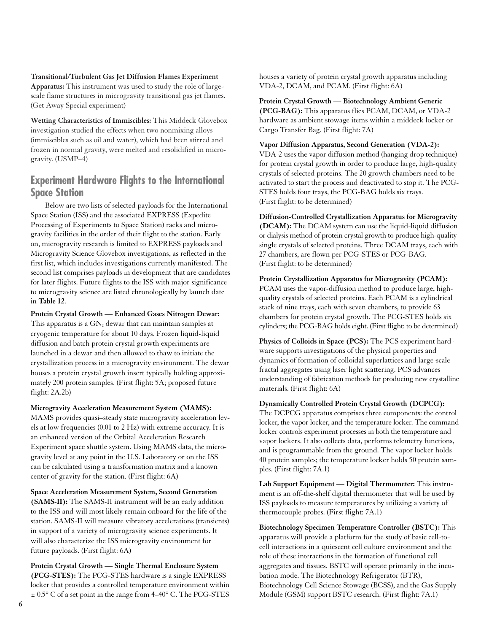#### **Transitional/Turbulent Gas Jet Diffusion Flames Experiment**

**Apparatus:** This instrument was used to study the role of largescale flame structures in microgravity transitional gas jet flames. (Get Away Special experiment)

**Wetting Characteristics of Immiscibles:** This Middeck Glovebox investigation studied the effects when two nonmixing alloys (immiscibles such as oil and water), which had been stirred and frozen in normal gravity, were melted and resolidified in microgravity. (USMP–4)

# **Experiment Hardware Flights to the International Space Station**

Below are two lists of selected payloads for the International Space Station (ISS) and the associated EXPRESS (Expedite Processing of Experiments to Space Station) racks and microgravity facilities in the order of their flight to the station. Early on, microgravity research is limited to EXPRESS payloads and Microgravity Science Glovebox investigations, as reflected in the first list, which includes investigations currently manifested. The second list comprises payloads in development that are candidates for later flights. Future flights to the ISS with major significance to microgravity science are listed chronologically by launch date in **Table 12**.

**Protein Crystal Growth — Enhanced Gases Nitrogen Dewar:** This apparatus is a  $GN_2$  dewar that can maintain samples at cryogenic temperature for about 10 days. Frozen liquid-liquid diffusion and batch protein crystal growth experiments are launched in a dewar and then allowed to thaw to initiate the crystallization process in a microgravity environment. The dewar houses a protein crystal growth insert typically holding approximately 200 protein samples. (First flight: 5A; proposed future flight: 2A.2b)

**Microgravity Acceleration Measurement System (MAMS):** MAMS provides quasi–steady state microgravity acceleration levels at low frequencies (0.01 to 2 Hz) with extreme accuracy. It is an enhanced version of the Orbital Acceleration Research Experiment space shuttle system. Using MAMS data, the microgravity level at any point in the U.S. Laboratory or on the ISS can be calculated using a transformation matrix and a known center of gravity for the station. (First flight: 6A)

**Space Acceleration Measurement System, Second Generation (SAMS-II):** The SAMS-II instrument will be an early addition to the ISS and will most likely remain onboard for the life of the station. SAMS-II will measure vibratory accelerations (transients) in support of a variety of microgravity science experiments. It will also characterize the ISS microgravity environment for future payloads. (First flight: 6A)

**Protein Crystal Growth — Single Thermal Enclosure System (PCG-STES):** The PCG-STES hardware is a single EXPRESS locker that provides a controlled temperature environment within  $\pm$  0.5 $\degree$  C of a set point in the range from 4–40 $\degree$  C. The PCG-STES houses a variety of protein crystal growth apparatus including VDA-2, DCAM, and PCAM. (First flight: 6A)

# **Protein Crystal Growth — Biotechnology Ambient Generic (PCG-BAG):** This apparatus flies PCAM, DCAM, or VDA-2

hardware as ambient stowage items within a middeck locker or Cargo Transfer Bag. (First flight: 7A)

#### **Vapor Diffusion Apparatus, Second Generation (VDA-2):**

VDA-2 uses the vapor diffusion method (hanging drop technique) for protein crystal growth in order to produce large, high-quality crystals of selected proteins. The 20 growth chambers need to be activated to start the process and deactivated to stop it. The PCG-STES holds four trays, the PCG-BAG holds six trays. (First flight: to be determined)

**Diffusion-Controlled Crystallization Apparatus for Microgravity (DCAM):** The DCAM system can use the liquid-liquid diffusion or dialysis method of protein crystal growth to produce high-quality single crystals of selected proteins. Three DCAM trays, each with 27 chambers, are flown per PCG-STES or PCG-BAG. (First flight: to be determined)

**Protein Crystallization Apparatus for Microgravity (PCAM):** PCAM uses the vapor-diffusion method to produce large, highquality crystals of selected proteins. Each PCAM is a cylindrical stack of nine trays, each with seven chambers, to provide 63 chambers for protein crystal growth. The PCG-STES holds six cylinders; the PCG-BAG holds eight. (First flight: to be determined)

**Physics of Colloids in Space (PCS):** The PCS experiment hardware supports investigations of the physical properties and dynamics of formation of colloidal superlattices and large-scale fractal aggregates using laser light scattering. PCS advances understanding of fabrication methods for producing new crystalline materials. (First flight: 6A)

#### **Dynamically Controlled Protein Crystal Growth (DCPCG):**

The DCPCG apparatus comprises three components: the control locker, the vapor locker, and the temperature locker. The command locker controls experiment processes in both the temperature and vapor lockers. It also collects data, performs telemetry functions, and is programmable from the ground. The vapor locker holds 40 protein samples; the temperature locker holds 50 protein samples. (First flight: 7A.1)

**Lab Support Equipment — Digital Thermometer:** This instrument is an off-the-shelf digital thermometer that will be used by ISS payloads to measure temperatures by utilizing a variety of thermocouple probes. (First flight: 7A.1)

**Biotechnology Specimen Temperature Controller (BSTC):** This apparatus will provide a platform for the study of basic cell-tocell interactions in a quiescent cell culture environment and the role of these interactions in the formation of functional cell aggregates and tissues. BSTC will operate primarily in the incubation mode. The Biotechnology Refrigerator (BTR), Biotechnology Cell Science Stowage (BCSS), and the Gas Supply Module (GSM) support BSTC research. (First flight: 7A.1)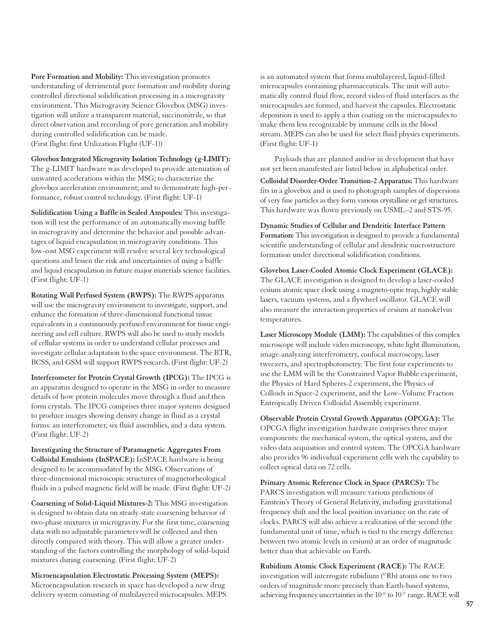**Pore Formation and Mobility:** This investigation promotes understanding of detrimental pore formation and mobility during controlled directional solidification processing in a microgravity environment. This Microgravity Science Glovebox (MSG) investigation will utilize a transparent material, succinonitrile, so that direct observation and recording of pore generation and mobility during controlled solidification can be made. (First flight: first Utilization Flight (UF-1))

**Glovebox Integrated Microgravity Isolation Technology (g-LIMIT):** The g-LIMIT hardware was developed to provide attenuation of unwanted accelerations within the MSG; to characterize the glovebox acceleration environment; and to demonstrate high-performance, robust control technology. (First flight: UF-1)

**Solidification Using a Baffle in Sealed Ampoules:** This investigation will test the performance of an automatically moving baffle in microgravity and determine the behavior and possible advantages of liquid encapsulation in microgravity conditions. This low-cost MSG experiment will resolve several key technological questions and lessen the risk and uncertainties of using a baffle and liquid encapsulation in future major materials science facilities. (First flight: UF-1)

**Rotating Wall Perfused System (RWPS):** The RWPS apparatus will use the microgravity environment to investigate, support, and enhance the formation of three-dimensional functional tissue equivalents in a continuously perfused environment for tissue engineering and cell culture. RWPS will also be used to study models of cellular systems in order to understand cellular processes and investigate cellular adaptation to the space environment. The BTR, BCSS, and GSM will support RWPS research. (First flight: UF-2)

**Interferometer for Protein Crystal Growth (IPCG):** The IPCG is an apparatus designed to operate in the MSG in order to measure details of how protein molecules move through a fluid and then form crystals. The IPCG comprises three major systems designed to produce images showing density change in fluid as a crystal forms: an interferometer, six fluid assemblies, and a data system. (First flight: UF-2)

**Investigating the Structure of Paramagnetic Aggregates From Colloidal Emulsions (InSPACE):** InSPACE hardware is being designed to be accommodated by the MSG. Observations of three-dimensional microscopic structures of magnetorheological fluids in a pulsed magnetic field will be made. (First flight: UF-2)

**Coarsening of Solid-Liquid Mixtures-2:** This MSG investigation is designed to obtain data on steady-state coarsening behavior of two-phase mixtures in microgravity. For the first time, coarsening data with no adjustable parameters will be collected and then directly compared with theory. This will allow a greater understanding of the factors controlling the morphology of solid-liquid mixtures during coarsening. (First flight: UF-2)

**Microencapsulation Electrostatic Processing System (MEPS):** Microencapsulation research in space has developed a new drug delivery system consisting of multilayered microcapsules. MEPS

is an automated system that forms multilayered, liquid-filled microcapsules containing pharmaceuticals. The unit will automatically control fluid flow, record video of fluid interfaces as the microcapsules are formed, and harvest the capsules. Electrostatic deposition is used to apply a thin coating on the microcapsules to make them less recognizable by immune cells in the blood stream. MEPS can also be used for select fluid physics experiments. (First flight: UF-1)

Payloads that are planned and/or in development that have not yet been manifested are listed below in alphabetical order.

**Colloidal Disorder-Order Transition-2 Apparatus:** This hardware fits in a glovebox and is used to photograph samples of dispersions of very fine particles as they form various crystalline or gel structures. This hardware was flown previously on USML–2 and STS-95.

**Dynamic Studies of Cellular and Dendritic Interface Pattern Formation:** This investigation is designed to provide a fundamental scientific understanding of cellular and dendritic microstructure formation under directional solidification conditions.

**Glovebox Laser-Cooled Atomic Clock Experiment (GLACE):** The GLACE investigation is designed to develop a laser-cooled cesium atomic space clock using a magneto-optic trap, highly stable lasers, vacuum systems, and a flywheel oscillator. GLACE will also measure the interaction properties of cesium at nanokelvin temperatures.

**Laser Microscopy Module (LMM):** The capabilities of this complex microscope will include video microscopy, white light illumination, image-analyzing interferometry, confocal microscopy, laser tweezers, and spectrophotometry. The first four experiments to use the LMM will be the Constrained Vapor Bubble experiment, the Physics of Hard Spheres-2 experiment, the Physics of Colloids in Space-2 experiment, and the Low–Volume Fraction Entropically Driven Colloidal Assembly experiment.

**Observable Protein Crystal Growth Apparatus (OPCGA):** The OPCGA flight investigation hardware comprises three major components: the mechanical system, the optical system, and the video data acquisition and control system. The OPCGA hardware also provides 96 individual experiment cells with the capability to collect optical data on 72 cells.

**Primary Atomic Reference Clock in Space (PARCS):** The PARCS investigation will measure various predictions of Einstein's Theory of General Relativity, including gravitational frequency shift and the local position invariance on the rate of clocks. PARCS will also achieve a realization of the second (the fundamental unit of time, which is tied to the energy difference between two atomic levels in cesium) at an order of magnitude better than that achievable on Earth.

**Rubidium Atomic Clock Experiment (RACE):** The RACE investigation will interrogate rubidium (87Rb) atoms one to two orders of magnitude more precisely than Earth-based systems, achieving frequency uncertainties in the  $10^{-16}$  to  $10^{-17}$  range. RACE will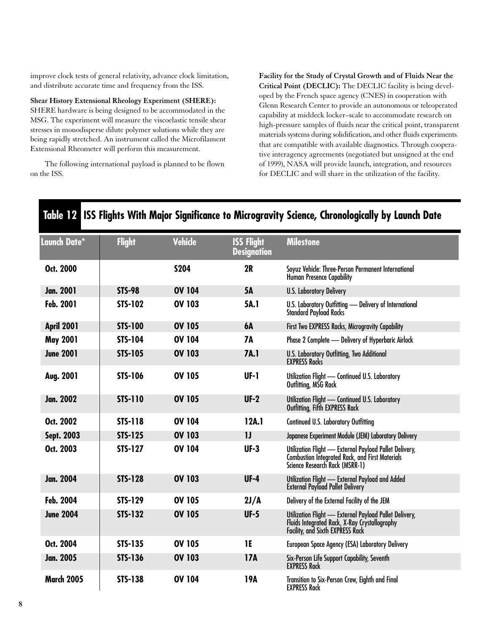improve clock tests of general relativity, advance clock limitation, and distribute accurate time and frequency from the ISS.

**Shear History Extensional Rheology Experiment (SHERE):**

SHERE hardware is being designed to be accommodated in the MSG. The experiment will measure the viscoelastic tensile shear stresses in monodisperse dilute polymer solutions while they are being rapidly stretched. An instrument called the Microfilament Extensional Rheometer will perform this measurement.

The following international payload is planned to be flown on the ISS.

**Facility for the Study of Crystal Growth and of Fluids Near the Critical Point (DECLIC):** The DECLIC facility is being developed by the French space agency (CNES) in cooperation with Glenn Research Center to provide an autonomous or teleoperated capability at middeck locker–scale to accommodate research on high-pressure samples of fluids near the critical point, transparent materials systems during solidification, and other fluids experiments that are compatible with available diagnostics. Through cooperative interagency agreements (negotiated but unsigned at the end of 1999), NASA will provide launch, integration, and resources for DECLIC and will share in the utilization of the facility.

| Launch Date*      | <b>Flight</b>  | <b>Vehicle</b> | <b>ISS Flight</b><br><b>Designation</b> | <b>Milestone</b>                                                                                                                                   |  |  |
|-------------------|----------------|----------------|-----------------------------------------|----------------------------------------------------------------------------------------------------------------------------------------------------|--|--|
| Oct. 2000         |                | <b>S204</b>    | 2R                                      | Soyuz Vehicle: Three-Person Permanent International<br>Human Presence Capability                                                                   |  |  |
| <b>Jan. 2001</b>  | <b>STS-98</b>  | <b>OV 104</b>  | <b>5A</b>                               | <b>U.S. Laboratory Delivery</b>                                                                                                                    |  |  |
| Feb. 2001         | <b>STS-102</b> | <b>OV 103</b>  | 5A.1                                    | U.S. Laboratory Outfitting - Delivery of International<br><b>Standard Payload Racks</b>                                                            |  |  |
| <b>April 2001</b> | <b>STS-100</b> | <b>OV 105</b>  | <b>6A</b>                               | First Two EXPRESS Racks, Microgravity Capability                                                                                                   |  |  |
| <b>May 2001</b>   | <b>STS-104</b> | <b>OV 104</b>  | <b>7A</b>                               | Phase 2 Complete - Delivery of Hyperbaric Airlock                                                                                                  |  |  |
| <b>June 2001</b>  | <b>STS-105</b> | <b>OV 103</b>  | 7A.1                                    | <b>U.S. Laboratory Outfitting, Two Additional</b><br><b>EXPRESS Racks</b>                                                                          |  |  |
| Aug. 2001         | <b>STS-106</b> | <b>OV 105</b>  | UF-1                                    | Utilization Flight - Continued U.S. Laboratory<br>Outfitting, MSG Rack                                                                             |  |  |
| <b>Jan. 2002</b>  | <b>STS-110</b> | <b>OV 105</b>  | $UF-2$                                  | Utilization Flight - Continued U.S. Laboratory<br>Outfitting, Fifth EXPRESS Rack                                                                   |  |  |
| Oct. 2002         | <b>STS-118</b> | <b>OV 104</b>  | 12A.1                                   | <b>Continued U.S. Laboratory Outfitting</b>                                                                                                        |  |  |
| Sept. 2003        | <b>STS-125</b> | <b>OV 103</b>  | $\mathbf{U}$                            | Japanese Experiment Module (JEM) Laboratory Delivery                                                                                               |  |  |
| Oct. 2003         | <b>STS-127</b> | <b>OV 104</b>  | $UF-3$                                  | Utilization Flight - External Payload Pallet Delivery,<br><b>Combustion Integrated Rack, and First Materials</b><br>Science Research Rack (MSRR-1) |  |  |
| <b>Jan. 2004</b>  | <b>STS-128</b> | <b>OV 103</b>  | $UF-4$                                  | Utilization Flight - External Payload and Added<br><b>External Payload Pallet Delivery</b>                                                         |  |  |
| Feb. 2004         | <b>STS-129</b> | <b>OV 105</b>  | 2J/A                                    | Delivery of the External Facility of the JEM                                                                                                       |  |  |
| <b>June 2004</b>  | <b>STS-132</b> | <b>OV 105</b>  | $UF-5$                                  | Utilization Flight - External Payload Pallet Delivery,<br>Fluids Integrated Rack, X-Ray Crystallography<br>Facility, and Sixth EXPRESS Rack        |  |  |
| Oct. 2004         | <b>STS-135</b> | <b>OV 105</b>  | 1E                                      | European Space Agency (ESA) Laboratory Delivery                                                                                                    |  |  |
| <b>Jan. 2005</b>  | <b>STS-136</b> | <b>OV 103</b>  | <b>17A</b>                              | Six-Person Life Support Capability, Seventh<br><b>EXPRESS Rack</b>                                                                                 |  |  |
| <b>March 2005</b> | <b>STS-138</b> | <b>OV 104</b>  | 19A                                     | Transition to Six-Person Crew, Eighth and Final<br><b>EXPRESS Rack</b>                                                                             |  |  |

# **Table 12 ISS Flights With Major Significance to Microgravity Science, Chronologically by Launch Date**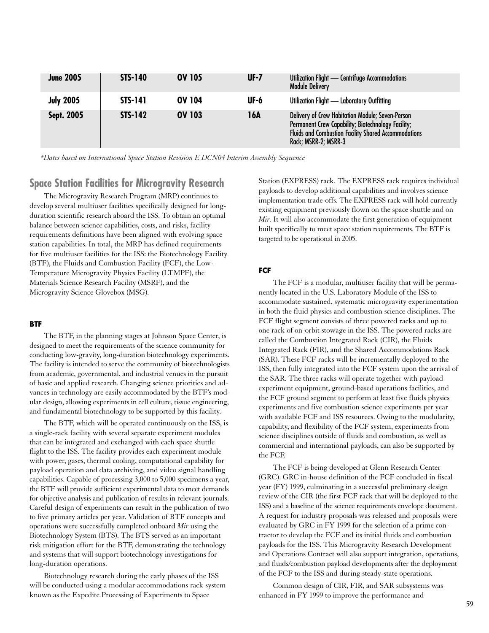| <b>June 2005</b> | <b>STS-140</b> | <b>OV 105</b> | $UF-7$      | Utilization Flight - Centrifuge Accommodations<br><b>Module Delivery</b>                                                                                                                      |
|------------------|----------------|---------------|-------------|-----------------------------------------------------------------------------------------------------------------------------------------------------------------------------------------------|
| <b>July 2005</b> | <b>STS-141</b> | <b>OV 104</b> | <b>UF-6</b> | Utilization Flight - Laboratory Outfitting                                                                                                                                                    |
| Sept. 2005       | <b>STS-142</b> | <b>OV 103</b> | 16A         | Delivery of Crew Habitation Module; Seven-Person<br>Permanent Crew Capability; Biotechnology Facility;<br><b>Fluids and Combustion Facility Shared Accommodations</b><br>Rack; MSRR-2; MSRR-3 |

*\*Dates based on International Space Station Revision E DCN04 Interim Assembly Sequence*

# **Space Station Facilities for Microgravity Research**

The Microgravity Research Program (MRP) continues to develop several multiuser facilities specifically designed for longduration scientific research aboard the ISS. To obtain an optimal balance between science capabilities, costs, and risks, facility requirements definitions have been aligned with evolving space station capabilities. In total, the MRP has defined requirements for five multiuser facilities for the ISS: the Biotechnology Facility (BTF), the Fluids and Combustion Facility (FCF), the Low-Temperature Microgravity Physics Facility (LTMPF), the Materials Science Research Facility (MSRF), and the Microgravity Science Glovebox (MSG).

#### **BTF**

The BTF, in the planning stages at Johnson Space Center, is designed to meet the requirements of the science community for conducting low-gravity, long-duration biotechnology experiments. The facility is intended to serve the community of biotechnologists from academic, governmental, and industrial venues in the pursuit of basic and applied research. Changing science priorities and advances in technology are easily accommodated by the BTF's modular design, allowing experiments in cell culture, tissue engineering, and fundamental biotechnology to be supported by this facility.

The BTF, which will be operated continuously on the ISS, is a single-rack facility with several separate experiment modules that can be integrated and exchanged with each space shuttle flight to the ISS. The facility provides each experiment module with power, gases, thermal cooling, computational capability for payload operation and data archiving, and video signal handling capabilities. Capable of processing 3,000 to 5,000 specimens a year, the BTF will provide sufficient experimental data to meet demands for objective analysis and publication of results in relevant journals. Careful design of experiments can result in the publication of two to five primary articles per year. Validation of BTF concepts and operations were successfully completed onboard *Mir* using the Biotechnology System (BTS). The BTS served as an important risk mitigation effort for the BTF, demonstrating the technology and systems that will support biotechnology investigations for long-duration operations.

Biotechnology research during the early phases of the ISS will be conducted using a modular accommodations rack system known as the Expedite Processing of Experiments to Space

Station (EXPRESS) rack. The EXPRESS rack requires individual payloads to develop additional capabilities and involves science implementation trade-offs. The EXPRESS rack will hold currently existing equipment previously flown on the space shuttle and on *Mir*. It will also accommodate the first generation of equipment built specifically to meet space station requirements. The BTF is targeted to be operational in 2005.

#### **FCF**

The FCF is a modular, multiuser facility that will be permanently located in the U.S. Laboratory Module of the ISS to accommodate sustained, systematic microgravity experimentation in both the fluid physics and combustion science disciplines. The FCF flight segment consists of three powered racks and up to one rack of on-orbit stowage in the ISS. The powered racks are called the Combustion Integrated Rack (CIR), the Fluids Integrated Rack (FIR), and the Shared Accommodations Rack (SAR). These FCF racks will be incrementally deployed to the ISS, then fully integrated into the FCF system upon the arrival of the SAR. The three racks will operate together with payload experiment equipment, ground-based operations facilities, and the FCF ground segment to perform at least five fluids physics experiments and five combustion science experiments per year with available FCF and ISS resources. Owing to the modularity, capability, and flexibility of the FCF system, experiments from science disciplines outside of fluids and combustion, as well as commercial and international payloads, can also be supported by the FCF.

The FCF is being developed at Glenn Research Center (GRC). GRC in-house definition of the FCF concluded in fiscal year (FY) 1999, culminating in a successful preliminary design review of the CIR (the first FCF rack that will be deployed to the ISS) and a baseline of the science requirements envelope document. A request for industry proposals was released and proposals were evaluated by GRC in FY 1999 for the selection of a prime contractor to develop the FCF and its initial fluids and combustion payloads for the ISS. This Microgravity Research Development and Operations Contract will also support integration, operations, and fluids/combustion payload developments after the deployment of the FCF to the ISS and during steady-state operations.

Common design of CIR, FIR, and SAR subsystems was enhanced in FY 1999 to improve the performance and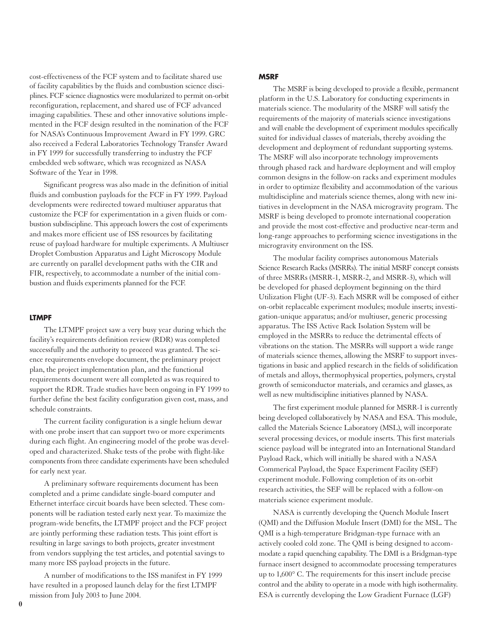cost-effectiveness of the FCF system and to facilitate shared use of facility capabilities by the fluids and combustion science disciplines. FCF science diagnostics were modularized to permit on-orbit reconfiguration, replacement, and shared use of FCF advanced imaging capabilities. These and other innovative solutions implemented in the FCF design resulted in the nomination of the FCF for NASA's Continuous Improvement Award in FY 1999. GRC also received a Federal Laboratories Technology Transfer Award in FY 1999 for successfully transferring to industry the FCF embedded web software, which was recognized as NASA Software of the Year in 1998.

Significant progress was also made in the definition of initial fluids and combustion payloads for the FCF in FY 1999. Payload developments were redirected toward multiuser apparatus that customize the FCF for experimentation in a given fluids or combustion subdiscipline. This approach lowers the cost of experiments and makes more efficient use of ISS resources by facilitating reuse of payload hardware for multiple experiments. A Multiuser Droplet Combustion Apparatus and Light Microscopy Module are currently on parallel development paths with the CIR and FIR, respectively, to accommodate a number of the initial combustion and fluids experiments planned for the FCF.

#### **LTMPF**

The LTMPF project saw a very busy year during which the facility's requirements definition review (RDR) was completed successfully and the authority to proceed was granted. The science requirements envelope document, the preliminary project plan, the project implementation plan, and the functional requirements document were all completed as was required to support the RDR. Trade studies have been ongoing in FY 1999 to further define the best facility configuration given cost, mass, and schedule constraints.

The current facility configuration is a single helium dewar with one probe insert that can support two or more experiments during each flight. An engineering model of the probe was developed and characterized. Shake tests of the probe with flight-like components from three candidate experiments have been scheduled for early next year.

A preliminary software requirements document has been completed and a prime candidate single-board computer and Ethernet interface circuit boards have been selected. These components will be radiation tested early next year. To maximize the program-wide benefits, the LTMPF project and the FCF project are jointly performing these radiation tests. This joint effort is resulting in large savings to both projects, greater investment from vendors supplying the test articles, and potential savings to many more ISS payload projects in the future.

A number of modifications to the ISS manifest in FY 1999 have resulted in a proposed launch delay for the first LTMPF mission from July 2003 to June 2004.

#### **MSRF**

The MSRF is being developed to provide a flexible, permanent platform in the U.S. Laboratory for conducting experiments in materials science. The modularity of the MSRF will satisfy the requirements of the majority of materials science investigations and will enable the development of experiment modules specifically suited for individual classes of materials, thereby avoiding the development and deployment of redundant supporting systems. The MSRF will also incorporate technology improvements through phased rack and hardware deployment and will employ common designs in the follow-on racks and experiment modules in order to optimize flexibility and accommodation of the various multidiscipline and materials science themes, along with new initiatives in development in the NASA microgravity program. The MSRF is being developed to promote international cooperation and provide the most cost-effective and productive near-term and long-range approaches to performing science investigations in the microgravity environment on the ISS.

The modular facility comprises autonomous Materials Science Research Racks (MSRRs). The initial MSRF concept consists of three MSRRs (MSRR-1, MSRR-2, and MSRR-3), which will be developed for phased deployment beginning on the third Utilization Flight (UF-3). Each MSRR will be composed of either on-orbit replaceable experiment modules; module inserts; investigation-unique apparatus; and/or multiuser, generic processing apparatus. The ISS Active Rack Isolation System will be employed in the MSRRs to reduce the detrimental effects of vibrations on the station. The MSRRs will support a wide range of materials science themes, allowing the MSRF to support investigations in basic and applied research in the fields of solidification of metals and alloys, thermophysical properties, polymers, crystal growth of semiconductor materials, and ceramics and glasses, as well as new multidiscipline initiatives planned by NASA.

The first experiment module planned for MSRR-1 is currently being developed collaboratively by NASA and ESA. This module, called the Materials Science Laboratory (MSL), will incorporate several processing devices, or module inserts. This first materials science payload will be integrated into an International Standard Payload Rack, which will initially be shared with a NASA Commerical Payload, the Space Experiment Facility (SEF) experiment module. Following completion of its on-orbit research activities, the SEF will be replaced with a follow-on materials science experiment module.

NASA is currently developing the Quench Module Insert (QMI) and the Diffusion Module Insert (DMI) for the MSL. The QMI is a high-temperature Bridgman-type furnace with an actively cooled cold zone. The QMI is being designed to accommodate a rapid quenching capability. The DMI is a Bridgman-type furnace insert designed to accommodate processing temperatures up to 1,600° C. The requirements for this insert include precise control and the ability to operate in a mode with high isothermality. ESA is currently developing the Low Gradient Furnace (LGF)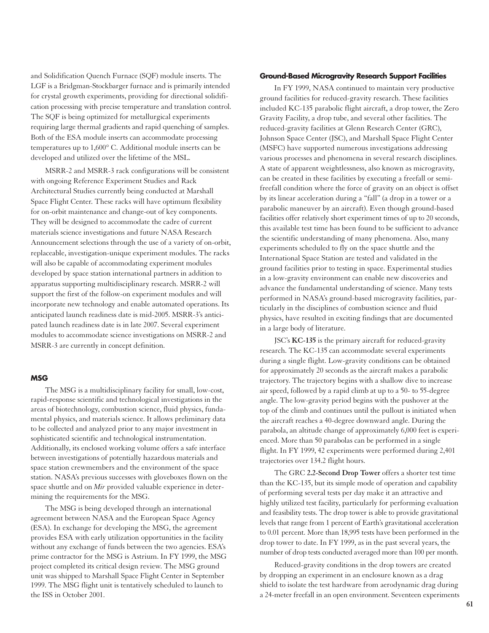and Solidification Quench Furnace (SQF) module inserts. The LGF is a Bridgman-Stockbarger furnace and is primarily intended for crystal growth experiments, providing for directional solidification processing with precise temperature and translation control. The SQF is being optimized for metallurgical experiments requiring large thermal gradients and rapid quenching of samples. Both of the ESA module inserts can accommodate processing temperatures up to 1,600° C. Additional module inserts can be developed and utilized over the lifetime of the MSL.

MSRR-2 and MSRR-3 rack configurations will be consistent with ongoing Reference Experiment Studies and Rack Architectural Studies currently being conducted at Marshall Space Flight Center. These racks will have optimum flexibility for on-orbit maintenance and change-out of key components. They will be designed to accommodate the cadre of current materials science investigations and future NASA Research Announcement selections through the use of a variety of on-orbit, replaceable, investigation-unique experiment modules. The racks will also be capable of accommodating experiment modules developed by space station international partners in addition to apparatus supporting multidisciplinary research. MSRR-2 will support the first of the follow-on experiment modules and will incorporate new technology and enable automated operations. Its anticipated launch readiness date is mid-2005. MSRR-3's anticipated launch readiness date is in late 2007. Several experiment modules to accommodate science investigations on MSRR-2 and MSRR-3 are currently in concept definition.

#### **MSG**

The MSG is a multidisciplinary facility for small, low-cost, rapid-response scientific and technological investigations in the areas of biotechnology, combustion science, fluid physics, fundamental physics, and materials science. It allows preliminary data to be collected and analyzed prior to any major investment in sophisticated scientific and technological instrumentation. Additionally, its enclosed working volume offers a safe interface between investigations of potentially hazardous materials and space station crewmembers and the environment of the space station. NASA's previous successes with gloveboxes flown on the space shuttle and on *Mir* provided valuable experience in determining the requirements for the MSG.

The MSG is being developed through an international agreement between NASA and the European Space Agency (ESA). In exchange for developing the MSG, the agreement provides ESA with early utilization opportunities in the facility without any exchange of funds between the two agencies. ESA's prime contractor for the MSG is Astrium. In FY 1999, the MSG project completed its critical design review. The MSG ground unit was shipped to Marshall Space Flight Center in September 1999. The MSG flight unit is tentatively scheduled to launch to the ISS in October 2001.

#### **Ground-Based Microgravity Research Support Facilities**

In FY 1999, NASA continued to maintain very productive ground facilities for reduced-gravity research. These facilities included KC-135 parabolic flight aircraft, a drop tower, the Zero Gravity Facility, a drop tube, and several other facilities. The reduced-gravity facilities at Glenn Research Center (GRC), Johnson Space Center (JSC), and Marshall Space Flight Center (MSFC) have supported numerous investigations addressing various processes and phenomena in several research disciplines. A state of apparent weightlessness, also known as microgravity, can be created in these facilities by executing a freefall or semifreefall condition where the force of gravity on an object is offset by its linear acceleration during a "fall" (a drop in a tower or a parabolic maneuver by an aircraft). Even though ground-based facilities offer relatively short experiment times of up to 20 seconds, this available test time has been found to be sufficient to advance the scientific understanding of many phenomena. Also, many experiments scheduled to fly on the space shuttle and the International Space Station are tested and validated in the ground facilities prior to testing in space. Experimental studies in a low-gravity environment can enable new discoveries and advance the fundamental understanding of science. Many tests performed in NASA's ground-based microgravity facilities, particularly in the disciplines of combustion science and fluid physics, have resulted in exciting findings that are documented in a large body of literature.

JSC's **KC-135** is the primary aircraft for reduced-gravity research. The KC-135 can accommodate several experiments during a single flight. Low-gravity conditions can be obtained for approximately 20 seconds as the aircraft makes a parabolic trajectory. The trajectory begins with a shallow dive to increase air speed, followed by a rapid climb at up to a 50- to 55-degree angle. The low-gravity period begins with the pushover at the top of the climb and continues until the pullout is initiated when the aircraft reaches a 40-degree downward angle. During the parabola, an altitude change of approximately 6,000 feet is experienced. More than 50 parabolas can be performed in a single flight. In FY 1999, 42 experiments were performed during 2,401 trajectories over 134.2 flight hours.

The GRC **2.2-Second Drop Tower** offers a shorter test time than the KC-135, but its simple mode of operation and capability of performing several tests per day make it an attractive and highly utilized test facility, particularly for performing evaluation and feasibility tests. The drop tower is able to provide gravitational levels that range from 1 percent of Earth's gravitational acceleration to 0.01 percent. More than 18,995 tests have been performed in the drop tower to date. In FY 1999, as in the past several years, the number of drop tests conducted averaged more than 100 per month.

Reduced-gravity conditions in the drop towers are created by dropping an experiment in an enclosure known as a drag shield to isolate the test hardware from aerodynamic drag during a 24-meter freefall in an open environment. Seventeen experiments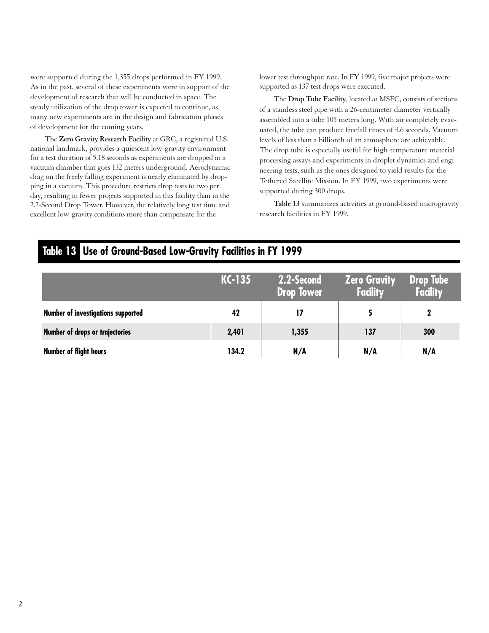were supported during the 1,355 drops performed in FY 1999. As in the past, several of these experiments were in support of the development of research that will be conducted in space. The steady utilization of the drop tower is expected to continue, as many new experiments are in the design and fabrication phases of development for the coming years.

The **Zero Gravity Research Facility** at GRC, a registered U.S. national landmark, provides a quiescent low-gravity environment for a test duration of 5.18 seconds as experiments are dropped in a vacuum chamber that goes 132 meters underground. Aerodynamic drag on the freely falling experiment is nearly eliminated by dropping in a vacuum. This procedure restricts drop tests to two per day, resulting in fewer projects supported in this facility than in the 2.2-Second Drop Tower. However, the relatively long test time and excellent low-gravity conditions more than compensate for the

lower test throughput rate. In FY 1999, five major projects were supported as 137 test drops were executed.

The **Drop Tube Facility**, located at MSFC, consists of sections of a stainless steel pipe with a 26-centimeter diameter vertically assembled into a tube 105 meters long. With air completely evacuated, the tube can produce freefall times of 4.6 seconds. Vacuum levels of less than a billionth of an atmosphere are achievable. The drop tube is especially useful for high-temperature material processing assays and experiments in droplet dynamics and engineering tests, such as the ones designed to yield results for the Tethered Satellite Mission. In FY 1999, two experiments were supported during 300 drops.

**Table 13** summarizes activities at ground-based microgravity research facilities in FY 1999.

# **Table 13 Use of Ground-Based Low-Gravity Facilities in FY 1999**

|                                    | $KC-135$ | 2.2-Second<br><b>Drop Tower</b> | <b>Zero Gravity</b><br><b>Facility</b> | Drop Tube<br>Facility |
|------------------------------------|----------|---------------------------------|----------------------------------------|-----------------------|
| Number of investigations supported | 42       | 17                              |                                        |                       |
| Number of drops or trajectories    | 2,401    | 1,355                           | 137                                    | 300                   |
| Number of flight hours             | 134.2    | N/A                             | N/A                                    | N/A                   |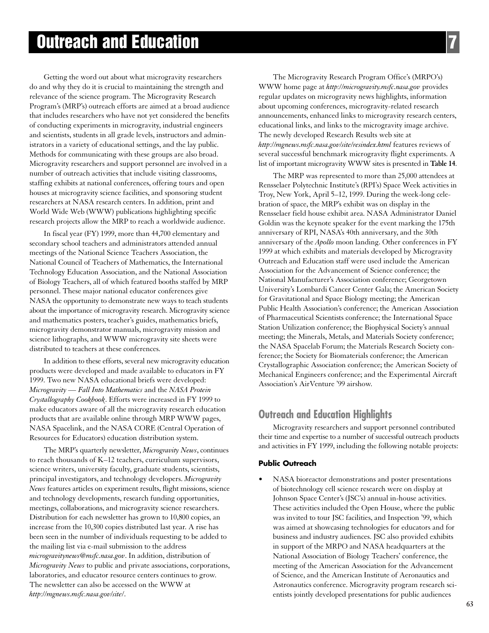Getting the word out about what microgravity researchers do and why they do it is crucial to maintaining the strength and relevance of the science program. The Microgravity Research Program's (MRP's) outreach efforts are aimed at a broad audience that includes researchers who have not yet considered the benefits of conducting experiments in microgravity, industrial engineers and scientists, students in all grade levels, instructors and administrators in a variety of educational settings, and the lay public. Methods for communicating with these groups are also broad. Microgravity researchers and support personnel are involved in a number of outreach activities that include visiting classrooms, staffing exhibits at national conferences, offering tours and open houses at microgravity science facilities, and sponsoring student researchers at NASA research centers. In addition, print and World Wide Web (WWW) publications highlighting specific research projects allow the MRP to reach a worldwide audience.

In fiscal year (FY) 1999, more than 44,700 elementary and secondary school teachers and administrators attended annual meetings of the National Science Teachers Association, the National Council of Teachers of Mathematics, the International Technology Education Association, and the National Association of Biology Teachers, all of which featured booths staffed by MRP personnel. These major national educator conferences give NASA the opportunity to demonstrate new ways to teach students about the importance of microgravity research. Microgravity science and mathematics posters, teacher's guides, mathematics briefs, microgravity demonstrator manuals, microgravity mission and science lithographs, and WWW microgravity site sheets were distributed to teachers at these conferences.

In addition to these efforts, several new microgravity education products were developed and made available to educators in FY 1999. Two new NASA educational briefs were developed: *Microgravity — Fall Into Mathematics* and the *NASA Protein Crystallography Cookbook*. Efforts were increased in FY 1999 to make educators aware of all the microgravity research education products that are available online through MRP WWW pages, NASA Spacelink, and the NASA CORE (Central Operation of Resources for Educators) education distribution system.

The MRP's quarterly newsletter, *Microgravity News*, continues to reach thousands of K–12 teachers, curriculum supervisors, science writers, university faculty, graduate students, scientists, principal investigators, and technology developers. *Microgravity News* features articles on experiment results, flight missions, science and technology developments, research funding opportunities, meetings, collaborations, and microgravity science researchers. Distribution for each newsletter has grown to 10,800 copies, an increase from the 10,300 copies distributed last year. A rise has been seen in the number of individuals requesting to be added to the mailing list via e-mail submission to the address *microgravitynews@msfc.nasa.gov*. In addition, distribution of *Microgravity News* to public and private associations, corporations, laboratories, and educator resource centers continues to grow. The newsletter can also be accessed on the WWW at *http://mgnews.msfc.nasa.gov/site/*.

The Microgravity Research Program Office's (MRPO's) WWW home page at *http://microgravity.msfc.nasa.gov* provides regular updates on microgravity news highlights, information about upcoming conferences, microgravity-related research announcements, enhanced links to microgravity research centers, educational links, and links to the microgravity image archive. The newly developed Research Results web site at *http://mgnews.msfc.nasa.gov/site/resindex.html* features reviews of several successful benchmark microgravity flight experiments. A list of important microgravity WWW sites is presented in **Table 14**.

The MRP was represented to more than 25,000 attendees at Rensselaer Polytechnic Institute's (RPI's) Space Week activities in Troy, New York, April 5–12, 1999. During the week-long celebration of space, the MRP's exhibit was on display in the Rensselaer field house exhibit area. NASA Administrator Daniel Goldin was the keynote speaker for the event marking the 175th anniversary of RPI, NASA's 40th anniversary, and the 30th anniversary of the *Apollo* moon landing. Other conferences in FY 1999 at which exhibits and materials developed by Microgravity Outreach and Education staff were used include the American Association for the Advancement of Science conference; the National Manufacturer's Association conference; Georgetown University's Lombardi Cancer Center Gala; the American Society for Gravitational and Space Biology meeting; the American Public Health Association's conference; the American Association of Pharmaceutical Scientists conference; the International Space Station Utilization conference; the Biophysical Society's annual meeting; the Minerals, Metals, and Materials Society conference; the NASA Spacelab Forum; the Materials Research Society conference; the Society for Biomaterials conference; the American Crystallographic Association conference; the American Society of Mechanical Engineers conference; and the Experimental Aircraft Association's AirVenture '99 airshow.

# **Outreach and Education Highlights**

Microgravity researchers and support personnel contributed their time and expertise to a number of successful outreach products and activities in FY 1999, including the following notable projects:

#### **Public Outreach**

NASA bioreactor demonstrations and poster presentations of biotechnology cell science research were on display at Johnson Space Center's (JSC's) annual in-house activities. These activities included the Open House, where the public was invited to tour JSC facilities, and Inspection '99, which was aimed at showcasing technologies for educators and for business and industry audiences. JSC also provided exhibits in support of the MRPO and NASA headquarters at the National Association of Biology Teachers' conference, the meeting of the American Association for the Advancement of Science, and the American Institute of Aeronautics and Astronautics conference. Microgravity program research scientists jointly developed presentations for public audiences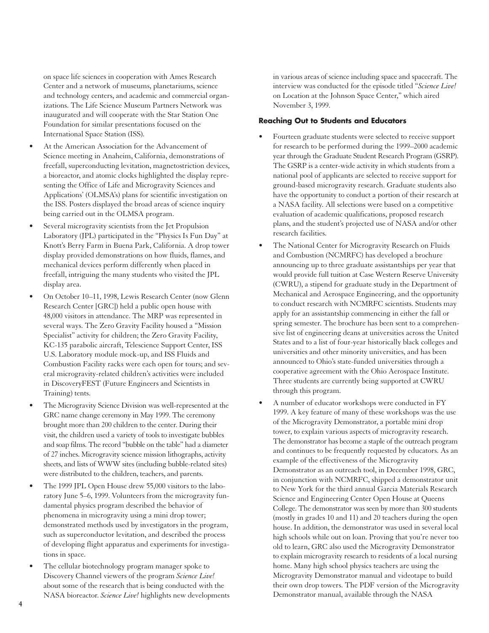on space life sciences in cooperation with Ames Research Center and a network of museums, planetariums, science and technology centers, and academic and commercial organizations. The Life Science Museum Partners Network was inaugurated and will cooperate with the Star Station One Foundation for similar presentations focused on the International Space Station (ISS).

- At the American Association for the Advancement of Science meeting in Anaheim, California, demonstrations of freefall, superconducting levitation, magnetostriction devices, a bioreactor, and atomic clocks highlighted the display representing the Office of Life and Microgravity Sciences and Applications' (OLMSA's) plans for scientific investigation on the ISS. Posters displayed the broad areas of science inquiry being carried out in the OLMSA program.
- Several microgravity scientists from the Jet Propulsion Laboratory (JPL) participated in the "Physics Is Fun Day" at Knott's Berry Farm in Buena Park, California. A drop tower display provided demonstrations on how fluids, flames, and mechanical devices perform differently when placed in freefall, intriguing the many students who visited the JPL display area.
- On October 10–11, 1998, Lewis Research Center (now Glenn Research Center [GRC]) held a public open house with 48,000 visitors in attendance. The MRP was represented in several ways. The Zero Gravity Facility housed a "Mission Specialist" activity for children; the Zero Gravity Facility, KC-135 parabolic aircraft, Telescience Support Center, ISS U.S. Laboratory module mock-up, and ISS Fluids and Combustion Facility racks were each open for tours; and several microgravity-related children's activities were included in DiscoveryFEST (Future Engineers and Scientists in Training) tents.
- The Microgravity Science Division was well-represented at the GRC name change ceremony in May 1999. The ceremony brought more than 200 children to the center. During their visit, the children used a variety of tools to investigate bubbles and soap films. The record "bubble on the table" had a diameter of 27 inches. Microgravity science mission lithographs, activity sheets, and lists of WWW sites (including bubble-related sites) were distributed to the children, teachers, and parents.
- The 1999 JPL Open House drew 55,000 visitors to the laboratory June 5–6, 1999. Volunteers from the microgravity fundamental physics program described the behavior of phenomena in microgravity using a mini drop tower; demonstrated methods used by investigators in the program, such as superconductor levitation, and described the process of developing flight apparatus and experiments for investigations in space.
- The cellular biotechnology program manager spoke to Discovery Channel viewers of the program *Science Live!* about some of the research that is being conducted with the NASA bioreactor. *Science Live!* highlights new developments

in various areas of science including space and spacecraft. The interview was conducted for the episode titled "*Science Live!* on Location at the Johnson Space Center," which aired November 3, 1999.

#### **Reaching Out to Students and Educators**

- Fourteen graduate students were selected to receive support for research to be performed during the 1999–2000 academic year through the Graduate Student Research Program (GSRP). The GSRP is a center-wide activity in which students from a national pool of applicants are selected to receive support for ground-based microgravity research. Graduate students also have the opportunity to conduct a portion of their research at a NASA facility. All selections were based on a competitive evaluation of academic qualifications, proposed research plans, and the student's projected use of NASA and/or other research facilities.
- The National Center for Microgravity Research on Fluids and Combustion (NCMRFC) has developed a brochure announcing up to three graduate assistantships per year that would provide full tuition at Case Western Reserve University (CWRU), a stipend for graduate study in the Department of Mechanical and Aerospace Engineering, and the opportunity to conduct research with NCMRFC scientists. Students may apply for an assistantship commencing in either the fall or spring semester. The brochure has been sent to a comprehensive list of engineering deans at universities across the United States and to a list of four-year historically black colleges and universities and other minority universities, and has been announced to Ohio's state-funded universities through a cooperative agreement with the Ohio Aerospace Institute. Three students are currently being supported at CWRU through this program.
- A number of educator workshops were conducted in FY 1999. A key feature of many of these workshops was the use of the Microgravity Demonstrator, a portable mini drop tower, to explain various aspects of microgravity research. The demonstrator has become a staple of the outreach program and continues to be frequently requested by educators. As an example of the effectiveness of the Microgravity Demonstrator as an outreach tool, in December 1998, GRC, in conjunction with NCMRFC, shipped a demonstrator unit to New York for the third annual Garcia Materials Research Science and Engineering Center Open House at Queens College. The demonstrator was seen by more than 300 students (mostly in grades 10 and 11) and 20 teachers during the open house. In addition, the demonstrator was used in several local high schools while out on loan. Proving that you're never too old to learn, GRC also used the Microgravity Demonstrator to explain microgravity research to residents of a local nursing home. Many high school physics teachers are using the Microgravity Demonstrator manual and videotape to build their own drop towers. The PDF version of the Microgravity Demonstrator manual, available through the NASA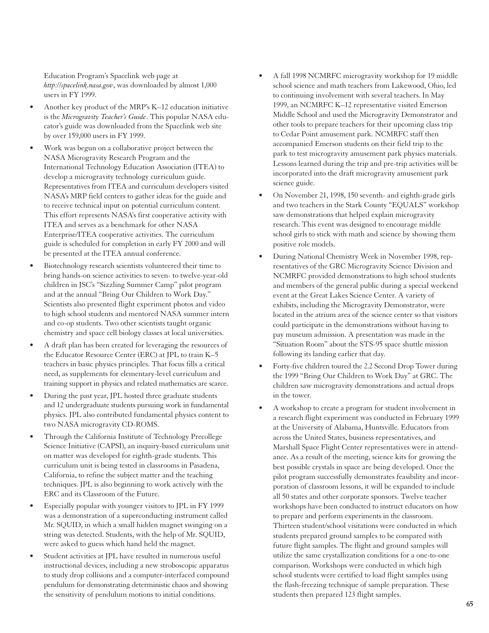Education Program's Spacelink web page at *http://spacelink.nasa.gov*, was downloaded by almost 1,000 users in FY 1999.

- Another key product of the MRP's K–12 education initiative is the *Microgravity Teacher's Guide*. This popular NASA educator's guide was downloaded from the Spacelink web site by over 159,000 users in FY 1999.
- Work was begun on a collaborative project between the NASA Microgravity Research Program and the International Technology Education Association (ITEA) to develop a microgravity technology curriculum guide. Representatives from ITEA and curriculum developers visited NASA's MRP field centers to gather ideas for the guide and to receive technical input on potential curriculum content. This effort represents NASA's first cooperative activity with ITEA and serves as a benchmark for other NASA Enterprise/ITEA cooperative activities. The curriculum guide is scheduled for completion in early FY 2000 and will be presented at the ITEA annual conference.
- Biotechnology research scientists volunteered their time to bring hands-on science activities to seven- to twelve-year-old children in JSC's "Sizzling Summer Camp" pilot program and at the annual "Bring Our Children to Work Day." Scientists also presented flight experiment photos and video to high school students and mentored NASA summer intern and co-op students. Two other scientists taught organic chemistry and space cell biology classes at local universities.
- A draft plan has been created for leveraging the resources of the Educator Resource Center (ERC) at JPL to train K–5 teachers in basic physics principles. That focus fills a critical need, as supplements for elementary-level curriculum and training support in physics and related mathematics are scarce.
- During the past year, JPL hosted three graduate students and 12 undergraduate students pursuing work in fundamental physics. JPL also contributed fundamental physics content to two NASA microgravity CD-ROMS.
- Through the California Institute of Technology Precollege Science Initiative (CAPSI), an inquiry-based curriculum unit on matter was developed for eighth-grade students. This curriculum unit is being tested in classrooms in Pasadena, California, to refine the subject matter and the teaching techniques. JPL is also beginning to work actively with the ERC and its Classroom of the Future.
- Especially popular with younger visitors to JPL in FY 1999 was a demonstration of a superconducting instrument called Mr. SQUID, in which a small hidden magnet swinging on a string was detected. Students, with the help of Mr. SQUID, were asked to guess which hand held the magnet.
- Student activities at JPL have resulted in numerous useful instructional devices, including a new stroboscopic apparatus to study drop collisions and a computer-interfaced compound pendulum for demonstrating deterministic chaos and showing the sensitivity of pendulum motions to initial conditions.
- A fall 1998 NCMRFC microgravity workshop for 19 middle school science and math teachers from Lakewood, Ohio, led to continuing involvement with several teachers. In May 1999, an NCMRFC K–12 representative visited Emerson Middle School and used the Microgravity Demonstrator and other tools to prepare teachers for their upcoming class trip to Cedar Point amusement park. NCMRFC staff then accompanied Emerson students on their field trip to the park to test microgravity amusement park physics materials. Lessons learned during the trip and pre-trip activities will be incorporated into the draft microgravity amusement park science guide.
- On November 21, 1998, 150 seventh- and eighth-grade girls and two teachers in the Stark County "EQUALS" workshop saw demonstrations that helped explain microgravity research. This event was designed to encourage middle school girls to stick with math and science by showing them positive role models.
- During National Chemistry Week in November 1998, representatives of the GRC Microgravity Science Division and NCMRFC provided demonstrations to high school students and members of the general public during a special weekend event at the Great Lakes Science Center. A variety of exhibits, including the Microgravity Demonstrator, were located in the atrium area of the science center so that visitors could participate in the demonstrations without having to pay museum admission. A presentation was made in the "Situation Room" about the STS-95 space shuttle mission following its landing earlier that day.
- Forty-five children toured the 2.2 Second Drop Tower during the 1999 "Bring Our Children to Work Day" at GRC. The children saw microgravity demonstrations and actual drops in the tower.
- A workshop to create a program for student involvement in a research flight experiment was conducted in February 1999 at the University of Alabama, Huntsville. Educators from across the United States, business representatives, and Marshall Space Flight Center representatives were in attendance. As a result of the meeting, science kits for growing the best possible crystals in space are being developed. Once the pilot program successfully demonstrates feasibility and incorporation of classroom lessons, it will be expanded to include all 50 states and other corporate sponsors. Twelve teacher workshops have been conducted to instruct educators on how to prepare and perform experiments in the classroom. Thirteen student/school visitations were conducted in which students prepared ground samples to be compared with future flight samples. The flight and ground samples will utilize the same crystallization conditions for a one-to-one comparison. Workshops were conducted in which high school students were certified to load flight samples using the flash-freezing technique of sample preparation. These students then prepared 123 flight samples.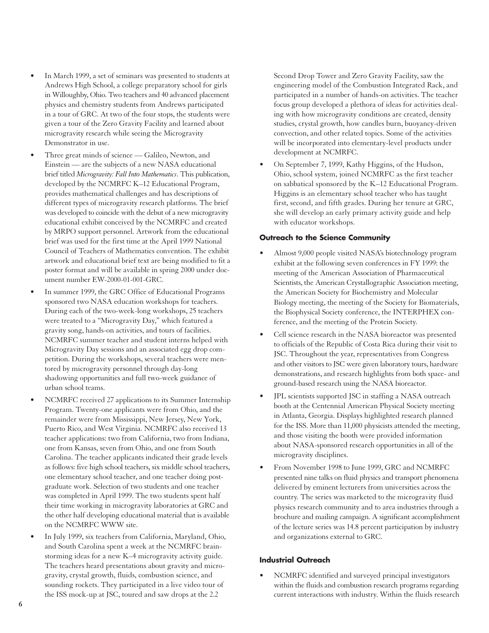- In March 1999, a set of seminars was presented to students at Andrews High School, a college preparatory school for girls in Willoughby, Ohio. Two teachers and 40 advanced placement physics and chemistry students from Andrews participated in a tour of GRC. At two of the four stops, the students were given a tour of the Zero Gravity Facility and learned about microgravity research while seeing the Microgravity Demonstrator in use.
- Three great minds of science Galileo, Newton, and Einstein — are the subjects of a new NASA educational brief titled *Microgravity: Fall Into Mathematics*. This publication, developed by the NCMRFC K–12 Educational Program, provides mathematical challenges and has descriptions of different types of microgravity research platforms. The brief was developed to coincide with the debut of a new microgravity educational exhibit conceived by the NCMRFC and created by MRPO support personnel. Artwork from the educational brief was used for the first time at the April 1999 National Council of Teachers of Mathematics convention. The exhibit artwork and educational brief text are being modified to fit a poster format and will be available in spring 2000 under document number EW-2000-01-001-GRC.
- In summer 1999, the GRC Office of Educational Programs sponsored two NASA education workshops for teachers. During each of the two-week-long workshops, 25 teachers were treated to a "Microgravity Day," which featured a gravity song, hands-on activities, and tours of facilities. NCMRFC summer teacher and student interns helped with Microgravity Day sessions and an associated egg drop competition. During the workshops, several teachers were mentored by microgravity personnel through day-long shadowing opportunities and full two-week guidance of urban school teams.
- NCMRFC received 27 applications to its Summer Internship Program. Twenty-one applicants were from Ohio, and the remainder were from Mississippi, New Jersey, New York, Puerto Rico, and West Virginia. NCMRFC also received 13 teacher applications: two from California, two from Indiana, one from Kansas, seven from Ohio, and one from South Carolina. The teacher applicants indicated their grade levels as follows: five high school teachers, six middle school teachers, one elementary school teacher, and one teacher doing postgraduate work. Selection of two students and one teacher was completed in April 1999. The two students spent half their time working in microgravity laboratories at GRC and the other half developing educational material that is available on the NCMRFC WWW site.
- In July 1999, six teachers from California, Maryland, Ohio, and South Carolina spent a week at the NCMRFC brainstorming ideas for a new K–4 microgravity activity guide. The teachers heard presentations about gravity and microgravity, crystal growth, fluids, combustion science, and sounding rockets. They participated in a live video tour of the ISS mock-up at JSC, toured and saw drops at the 2.2

Second Drop Tower and Zero Gravity Facility, saw the engineering model of the Combustion Integrated Rack, and participated in a number of hands-on activities. The teacher focus group developed a plethora of ideas for activities dealing with how microgravity conditions are created, density studies, crystal growth, how candles burn, buoyancy-driven convection, and other related topics. Some of the activities will be incorporated into elementary-level products under development at NCMRFC.

• On September 7, 1999, Kathy Higgins, of the Hudson, Ohio, school system, joined NCMRFC as the first teacher on sabbatical sponsored by the K–12 Educational Program. Higgins is an elementary school teacher who has taught first, second, and fifth grades. During her tenure at GRC, she will develop an early primary activity guide and help with educator workshops.

#### **Outreach to the Science Community**

- Almost 9,000 people visited NASA's biotechnology program exhibit at the following seven conferences in FY 1999: the meeting of the American Association of Pharmaceutical Scientists, the American Crystallographic Association meeting, the American Society for Biochemistry and Molecular Biology meeting, the meeting of the Society for Biomaterials, the Biophysical Society conference, the INTERPHEX conference, and the meeting of the Protein Society.
- Cell science research in the NASA bioreactor was presented to officials of the Republic of Costa Rica during their visit to JSC. Throughout the year, representatives from Congress and other visitors to JSC were given laboratory tours, hardware demonstrations, and research highlights from both space- and ground-based research using the NASA bioreactor.
- JPL scientists supported JSC in staffing a NASA outreach booth at the Centennial American Physical Society meeting in Atlanta, Georgia. Displays highlighted research planned for the ISS. More than 11,000 physicists attended the meeting, and those visiting the booth were provided information about NASA-sponsored research opportunities in all of the microgravity disciplines.
- From November 1998 to June 1999, GRC and NCMRFC presented nine talks on fluid physics and transport phenomena delivered by eminent lecturers from universities across the country. The series was marketed to the microgravity fluid physics research community and to area industries through a brochure and mailing campaign. A significant accomplishment of the lecture series was 14.8 percent participation by industry and organizations external to GRC.

#### **Industrial Outreach**

• NCMRFC identified and surveyed principal investigators within the fluids and combustion research programs regarding current interactions with industry. Within the fluids research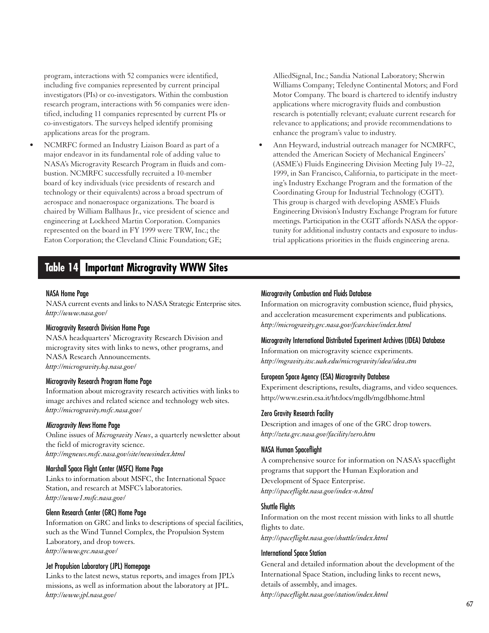program, interactions with 52 companies were identified, including five companies represented by current principal investigators (PIs) or co-investigators. Within the combustion research program, interactions with 56 companies were identified, including 11 companies represented by current PIs or co-investigators. The surveys helped identify promising applications areas for the program.

• NCMRFC formed an Industry Liaison Board as part of a major endeavor in its fundamental role of adding value to NASA's Microgravity Research Program in fluids and combustion. NCMRFC successfully recruited a 10-member board of key individuals (vice presidents of research and technology or their equivalents) across a broad spectrum of aerospace and nonaerospace organizations. The board is chaired by William Ballhaus Jr., vice president of science and engineering at Lockheed Martin Corporation. Companies represented on the board in FY 1999 were TRW, Inc.; the Eaton Corporation; the Cleveland Clinic Foundation; GE;

### **Table 14 Important Microgravity WWW Sites**

#### NASA Home Page

NASA current events and links to NASA Strategic Enterprise sites. *http://www.nasa.gov/*

#### Microgravity Research Division Home Page

NASA headquarters' Microgravity Research Division and microgravity sites with links to news, other programs, and NASA Research Announcements. *http://microgravity.hq.nasa.gov/*

#### Microgravity Research Program Home Page

Information about microgravity research activities with links to image archives and related science and technology web sites. *http://microgravity.msfc.nasa.gov/*

#### Microgravity News Home Page

Online issues of *Microgravity News*, a quarterly newsletter about the field of microgravity science. *http://mgnews.msfc.nasa.gov/site/newsindex.html*

#### Marshall Space Flight Center (MSFC) Home Page

Links to information about MSFC, the International Space Station, and research at MSFC's laboratories. *http://www1.msfc.nasa.gov/*

#### Glenn Research Center (GRC) Home Page

Information on GRC and links to descriptions of special facilities, such as the Wind Tunnel Complex, the Propulsion System Laboratory, and drop towers. *http://www.grc.nasa.gov/*

#### Jet Propulsion Laboratory (JPL) Homepage

Links to the latest news, status reports, and images from JPL's missions, as well as information about the laboratory at JPL. *http://www.jpl.nasa.gov/*

AlliedSignal, Inc.; Sandia National Laboratory; Sherwin Williams Company; Teledyne Continental Motors; and Ford Motor Company. The board is chartered to identify industry applications where microgravity fluids and combustion research is potentially relevant; evaluate current research for relevance to applications; and provide recommendations to enhance the program's value to industry.

• Ann Heyward, industrial outreach manager for NCMRFC, attended the American Society of Mechanical Engineers' (ASME's) Fluids Engineering Division Meeting July 19–22, 1999, in San Francisco, California, to participate in the meeting's Industry Exchange Program and the formation of the Coordinating Group for Industrial Technology (CGIT). This group is charged with developing ASME's Fluids Engineering Division's Industry Exchange Program for future meetings. Participation in the CGIT affords NASA the opportunity for additional industry contacts and exposure to industrial applications priorities in the fluids engineering arena.

#### Microgravity Combustion and Fluids Database

Information on microgravity combustion science, fluid physics, and acceleration measurement experiments and publications. *http://microgravity.grc.nasa.gov/fcarchive/index.html*

#### Microgravity International Distributed Experiment Archives (IDEA) Database

Information on microgravity science experiments. *http://mgravity.itsc.uah.edu/microgravity/idea/idea.stm*

#### European Space Agency (ESA) Microgravity Database

Experiment descriptions, results, diagrams, and video sequences. http://www.esrin.esa.it/htdocs/mgdb/mgdbhome.html

#### Zero Gravity Research Facility

Description and images of one of the GRC drop towers. *http://zeta.grc.nasa.gov/facility/zero.htm*

#### NASA Human Spaceflight

A comprehensive source for information on NASA's spaceflight programs that support the Human Exploration and Development of Space Enterprise. *http://spaceflight.nasa.gov/index-n.html*

#### Shuttle Flights

Information on the most recent mission with links to all shuttle flights to date. *http://spaceflight.nasa.gov/shuttle/index.html*

#### International Space Station

General and detailed information about the development of the International Space Station, including links to recent news, details of assembly, and images. *http://spaceflight.nasa.gov/station/index.html*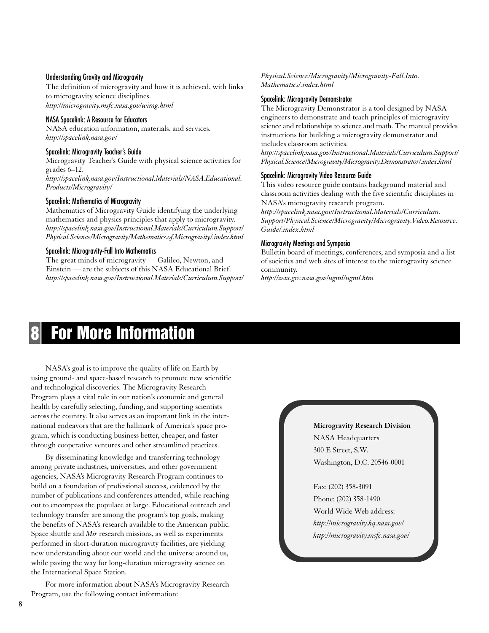#### Understanding Gravity and Microgravity

The definition of microgravity and how it is achieved, with links to microgravity science disciplines. *http://microgravity.msfc.nasa.gov/wimg.html*

#### NASA Spacelink: A Resource for Educators

NASA education information, materials, and services. *http://spacelink.nasa.gov/*

#### Spacelink: Microgravity Teacher's Guide

Microgravity Teacher's Guide with physical science activities for grades 6–12. *http://spacelink.nasa.gov/Instructional.Materials/NASA.Educational. Products/Microgravity/*

#### Spacelink: Mathematics of Microgravity

Mathematics of Microgravity Guide identifying the underlying mathematics and physics principles that apply to microgravity. *http://spacelink.nasa.gov/Instructional.Materials/Curriculum.Support/ Physical.Science/Microgravity/Mathematics.of.Microgravity/.index.html*

#### Spacelink: Microgravity-Fall Into Mathematics

The great minds of microgravity — Galileo, Newton, and Einstein — are the subjects of this NASA Educational Brief. *http://spacelink.nasa.gov/Instructional.Materials/Curriculum.Support/*

#### *Physical.Science/Microgravity/Microgravity-Fall.Into. Mathematics/.index.html*

#### Spacelink: Microgravity Demonstrator

The Microgravity Demonstrator is a tool designed by NASA engineers to demonstrate and teach principles of microgravity science and relationships to science and math. The manual provides instructions for building a microgravity demonstrator and includes classroom activities.

*http://spacelink.nasa.gov/Instructional.Materials/Curriculum.Support/ Physical.Science/Microgravity/Microgravity.Demonstrator/.index.html*

#### Spacelink: Microgravity Video Resource Guide

This video resource guide contains background material and classroom activities dealing with the five scientific disciplines in NASA's microgravity research program.

*http://spacelink.nasa.gov/Instructional.Materials/Curriculum. Support/Physical.Science/Microgravity/Microgravity.Video.Resource. Guide/.index.html*

#### Microgravity Meetings and Symposia

Bulletin board of meetings, conferences, and symposia and a list of societies and web sites of interest to the microgravity science community.

*http://zeta.grc.nasa.gov/ugml/ugml.htm*

## **8 For More Information**

NASA's goal is to improve the quality of life on Earth by using ground- and space-based research to promote new scientific and technological discoveries. The Microgravity Research Program plays a vital role in our nation's economic and general health by carefully selecting, funding, and supporting scientists across the country. It also serves as an important link in the international endeavors that are the hallmark of America's space program, which is conducting business better, cheaper, and faster through cooperative ventures and other streamlined practices.

By disseminating knowledge and transferring technology among private industries, universities, and other government agencies, NASA's Microgravity Research Program continues to build on a foundation of professional success, evidenced by the number of publications and conferences attended, while reaching out to encompass the populace at large. Educational outreach and technology transfer are among the program's top goals, making the benefits of NASA's research available to the American public. Space shuttle and *Mir* research missions, as well as experiments performed in short-duration microgravity facilities, are yielding new understanding about our world and the universe around us, while paving the way for long-duration microgravity science on the International Space Station.

For more information about NASA's Microgravity Research Program, use the following contact information:

#### **Microgravity Research Division**

NASA Headquarters 300 E Street, S.W. Washington, D.C. 20546-0001

Fax: (202) 358-3091 Phone: (202) 358-1490 World Wide Web address: *http://microgravity.hq.nasa.gov/ http://microgravity.msfc.nasa.gov/*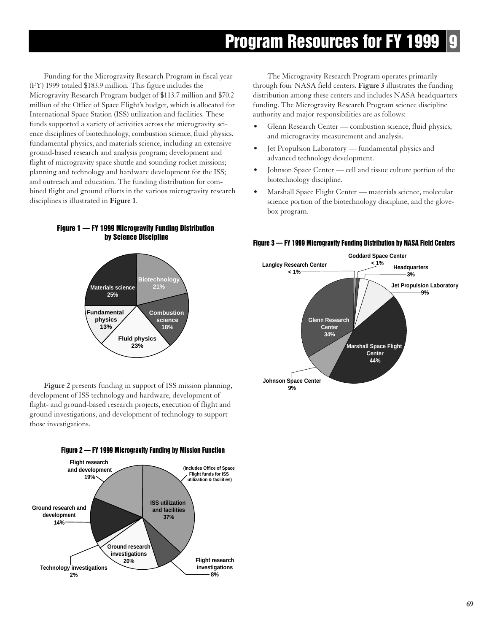## **Program Resources for FY 1999**

Funding for the Microgravity Research Program in fiscal year (FY) 1999 totaled \$183.9 million. This figure includes the Microgravity Research Program budget of \$113.7 million and \$70.2 million of the Office of Space Flight's budget, which is allocated for International Space Station (ISS) utilization and facilities. These funds supported a variety of activities across the microgravity science disciplines of biotechnology, combustion science, fluid physics, fundamental physics, and materials science, including an extensive ground-based research and analysis program; development and flight of microgravity space shuttle and sounding rocket missions; planning and technology and hardware development for the ISS; and outreach and education. The funding distribution for combined flight and ground efforts in the various microgravity research disciplines is illustrated in **Figure 1**.

The Microgravity Research Program operates primarily through four NASA field centers. **Figure 3** illustrates the funding distribution among these centers and includes NASA headquarters funding. The Microgravity Research Program science discipline authority and major responsibilities are as follows:

- Glenn Research Center combustion science, fluid physics, and microgravity measurement and analysis.
- Jet Propulsion Laboratory fundamental physics and advanced technology development.
- Johnson Space Center cell and tissue culture portion of the biotechnology discipline.
- Marshall Space Flight Center materials science, molecular science portion of the biotechnology discipline, and the glovebox program.



**Figure 1 — FY 1999 Microgravity Funding Distribution** 

**Figure 2** presents funding in support of ISS mission planning, development of ISS technology and hardware, development of flight- and ground-based research projects, execution of flight and ground investigations, and development of technology to support those investigations.



#### **Figure 3 — FY 1999 Microgravity Funding Distribution by NASA Field Centers**

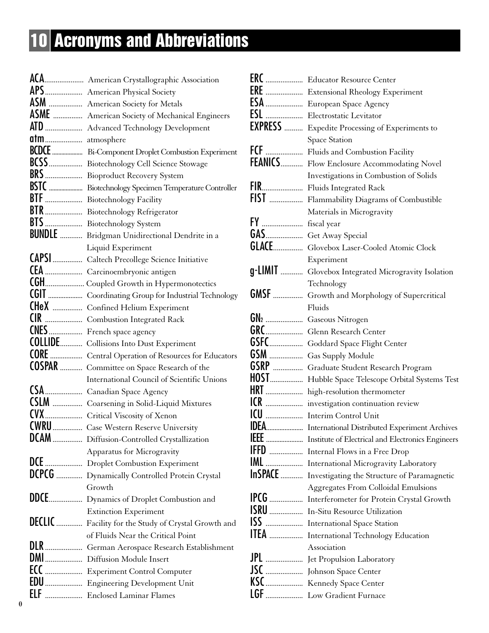# **10 Acronyms and Abbreviations**

|                | ACA American Crystallographic Association                |
|----------------|----------------------------------------------------------|
|                | APS American Physical Society                            |
|                | ASM  American Society for Metals                         |
|                | ASME  American Society of Mechanical Engineers           |
|                | ATD  Advanced Technology Development                     |
| atm atmosphere |                                                          |
|                | <b>BCDCE</b> Bi-Component Droplet Combustion Experiment  |
|                | BCSS  Biotechnology Cell Science Stowage                 |
|                | BRS  Bioproduct Recovery System                          |
|                | BSTC  Biotechnology Specimen Temperature Controller      |
|                | BTF  Biotechnology Facility                              |
|                | BTR  Biotechnology Refrigerator                          |
|                | BTS  Biotechnology System                                |
|                | <b>BUNDLE</b> Bridgman Unidirectional Dendrite in a      |
|                | Liquid Experiment                                        |
|                | CAPSI  Caltech Precollege Science Initiative             |
|                | CEA  Carcinoembryonic antigen                            |
|                | CGH Coupled Growth in Hypermonotectics                   |
|                |                                                          |
|                | CHeX  Confined Helium Experiment                         |
|                | <b>CIR</b> Combustion Integrated Rack                    |
|                | CNES French space agency                                 |
|                | <b>COLLIDE</b> Collisions Into Dust Experiment           |
|                | <b>CORE</b> Central Operation of Resources for Educators |
|                | COSPAR  Committee on Space Research of the               |
|                | <b>International Council of Scientific Unions</b>        |
|                | CSA  Canadian Space Agency                               |
|                | CSLM  Coarsening in Solid-Liquid Mixtures                |
|                | CVX Critical Viscosity of Xenon                          |
|                | <b>CWRU</b> Case Western Reserve University              |
|                | DCAM  Diffusion-Controlled Crystallization               |
|                | Apparatus for Microgravity                               |
|                | DCE  Droplet Combustion Experiment                       |
|                | DCPCG  Dynamically Controlled Protein Crystal            |
|                | Growth                                                   |
|                | DDCE Dynamics of Droplet Combustion and                  |
|                | <b>Extinction Experiment</b>                             |
|                | DECLIC  Facility for the Study of Crystal Growth and     |
|                | of Fluids Near the Critical Point                        |
|                | DLR  German Aerospace Research Establishment             |
|                | DMI Diffusion Module Insert                              |
|                | ECC  Experiment Control Computer                         |
|                | <b>EDU</b> Engineering Development Unit                  |
|                | ELF  Enclosed Laminar Flames                             |

|      | <b>ERC</b> Educator Resource Center                           |
|------|---------------------------------------------------------------|
|      | <b>ERE</b> Extensional Rheology Experiment                    |
|      | <b>ESA</b> European Space Agency                              |
|      | <b>ESL</b> Electrostatic Levitator                            |
|      | <b>EXPRESS</b> Expedite Processing of Experiments to          |
|      | <b>Space Station</b>                                          |
|      | FCF  Fluids and Combustion Facility                           |
|      | FEANICS Flow Enclosure Accommodating Novel                    |
|      | Investigations in Combustion of Solids                        |
|      | FIR Fluids Integrated Rack                                    |
|      | FIST  Flammability Diagrams of Combustible                    |
|      | Materials in Microgravity                                     |
|      |                                                               |
|      | GAS Get Away Special                                          |
|      | <b>GLACE</b> Glovebox Laser-Cooled Atomic Clock               |
|      | Experiment                                                    |
|      | g-LIMIT  Glovebox Integrated Microgravity Isolation           |
|      | Technology                                                    |
|      | <b>GMSF</b> Growth and Morphology of Supercritical            |
|      | Fluids                                                        |
|      | GN2  Gaseous Nitrogen                                         |
|      | GRC Glenn Research Center                                     |
| GSFC | Goddard Space Flight Center                                   |
| GSM  | Gas Supply Module                                             |
| GSRP | Graduate Student Research Program                             |
|      | HOST Hubble Space Telescope Orbital Systems Test              |
|      | HRT  high-resolution thermometer                              |
|      | ICR  investigation continuation review                        |
| ICU  | <b>Interim Control Unit</b>                                   |
|      | <b>IDEA</b> International Distributed Experiment Archives     |
|      | <b>IEEE</b> Institute of Electrical and Electronics Engineers |
|      | <b>IFFD</b> Internal Flows in a Free Drop                     |
|      | IML  International Microgravity Laboratory                    |
|      | <b>InSPACE</b> Investigating the Structure of Paramagnetic    |
|      | <b>Aggregates From Colloidal Emulsions</b>                    |
|      | IPCG  Interferometer for Protein Crystal Growth               |
|      | <b>ISRU</b> In-Situ Resource Utilization                      |
|      | ISS  International Space Station                              |
|      | ITEA  International Technology Education                      |
|      | Association                                                   |
|      | <b>JPL</b> Jet Propulsion Laboratory                          |
|      |                                                               |
|      | KSC Kennedy Space Center                                      |
|      | LGF  Low Gradient Furnace                                     |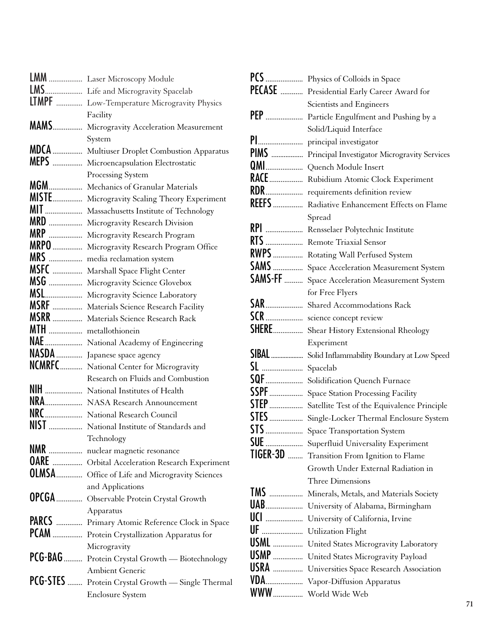|                      | LMM  Laser Microscopy Module                          |
|----------------------|-------------------------------------------------------|
|                      | LMS Life and Microgravity Spacelab                    |
|                      | <b>LTMPF</b> Low-Temperature Microgravity Physics     |
|                      | Facility                                              |
|                      | <b>MAMS</b> Microgravity Acceleration Measurement     |
|                      | System                                                |
|                      | MDCA  Multiuser Droplet Combustion Apparatus          |
|                      | MEPS  Microencapsulation Electrostatic                |
|                      | Processing System                                     |
| <b>MGM</b>           | Mechanics of Granular Materials                       |
|                      | MISTE Microgravity Scaling Theory Experiment          |
|                      | MIT  Massachusetts Institute of Technology            |
| <b>MRD</b>           | Microgravity Research Division                        |
| <b>MRP</b>           | Microgravity Research Program                         |
| <b>MRPO</b>          | Microgravity Research Program Office                  |
|                      | MRS  media reclamation system                         |
|                      | MSFC  Marshall Space Flight Center                    |
| MSG                  | Microgravity Science Glovebox                         |
| MSL                  | Microgravity Science Laboratory                       |
| <b>MSRF</b>          | Materials Science Research Facility                   |
|                      | <b>MSRR</b> Materials Science Research Rack           |
| MTH  metallothionein |                                                       |
|                      | NAE  National Academy of Engineering                  |
|                      | NASDA  Japanese space agency                          |
|                      | <b>NCMRFC</b> National Center for Microgravity        |
|                      | Research on Fluids and Combustion                     |
|                      | <b>NIH</b> National Institutes of Health              |
|                      | NRA NASA Research Announcement                        |
|                      | NRC  National Research Council                        |
|                      | NIST  National Institute of Standards and             |
|                      | Technology                                            |
|                      | NMR  nuclear magnetic resonance                       |
|                      | <b>OARE</b> Orbital Acceleration Research Experiment  |
|                      | <b>OLMSA</b> Office of Life and Microgravity Sciences |
|                      | and Applications                                      |
|                      | OPCGA  Observable Protein Crystal Growth              |
|                      | Apparatus                                             |
|                      | PARCS  Primary Atomic Reference Clock in Space        |
|                      | PCAM  Protein Crystallization Apparatus for           |
|                      | Microgravity                                          |
|                      | PCG-BAG  Protein Crystal Growth - Biotechnology       |
|                      | Ambient Generic                                       |
|                      | PCG-STES  Protein Crystal Growth - Single Thermal     |
|                      | <b>Enclosure System</b>                               |

|               | <b>PCS</b> Physics of Colloids in Space                                                 |
|---------------|-----------------------------------------------------------------------------------------|
| <b>PECASE</b> | Presidential Early Career Award for                                                     |
|               | Scientists and Engineers                                                                |
|               | PEP  Particle Engulfment and Pushing by a                                               |
|               | Solid/Liquid Interface                                                                  |
|               | principal investigator                                                                  |
| PIMS          | Principal Investigator Microgravity Services                                            |
| QMI           | Quench Module Insert                                                                    |
| RACE          | Rubidium Atomic Clock Experiment                                                        |
| RDR           | requirements definition review                                                          |
| <b>REEFS</b>  | Radiative Enhancement Effects on Flame                                                  |
|               | Spread                                                                                  |
|               | RPI  Rensselaer Polytechnic Institute                                                   |
| <b>RTS</b>    | <b>Remote Triaxial Sensor</b>                                                           |
| <b>RWPS</b>   | Rotating Wall Perfused System                                                           |
| <b>SAMS</b>   | Space Acceleration Measurement System                                                   |
| SAMS-FF       | Space Acceleration Measurement System                                                   |
|               | for Free Flyers                                                                         |
| SAR           | Shared Accommodations Rack                                                              |
|               | SCR science concept review                                                              |
|               | SHERE Shear History Extensional Rheology                                                |
|               |                                                                                         |
|               | Experiment                                                                              |
| <b>SIBAL</b>  | Solid Inflammability Boundary at Low Speed                                              |
|               | Spacelab                                                                                |
| SQF           | Solidification Quench Furnace                                                           |
| <b>SSPF</b>   | <b>Space Station Processing Facility</b>                                                |
| <b>STEP</b>   | Satellite Test of the Equivalence Principle                                             |
| <b>STES</b>   | Single-Locker Thermal Enclosure System                                                  |
| STS<br>.      | Space Transportation System                                                             |
|               |                                                                                         |
|               | <b>SUE</b> Superfluid Universality Experiment                                           |
|               | <b>TIGER-3D</b> Transition From Ignition to Flame<br>Growth Under External Radiation in |
|               | Three Dimensions                                                                        |
| <b>TMS</b>    | Minerals, Metals, and Materials Society                                                 |
| <b>UAB</b>    | University of Alabama, Birmingham                                                       |
|               | University of California, Irvine                                                        |
| UF            | <b>Utilization Flight</b>                                                               |
| <b>USML</b>   | United States Microgravity Laboratory                                                   |
| USMP          | United States Microgravity Payload                                                      |
|               | USRA  Universities Space Research Association                                           |
|               | VDA Vapor-Diffusion Apparatus<br>WWW World Wide Web                                     |